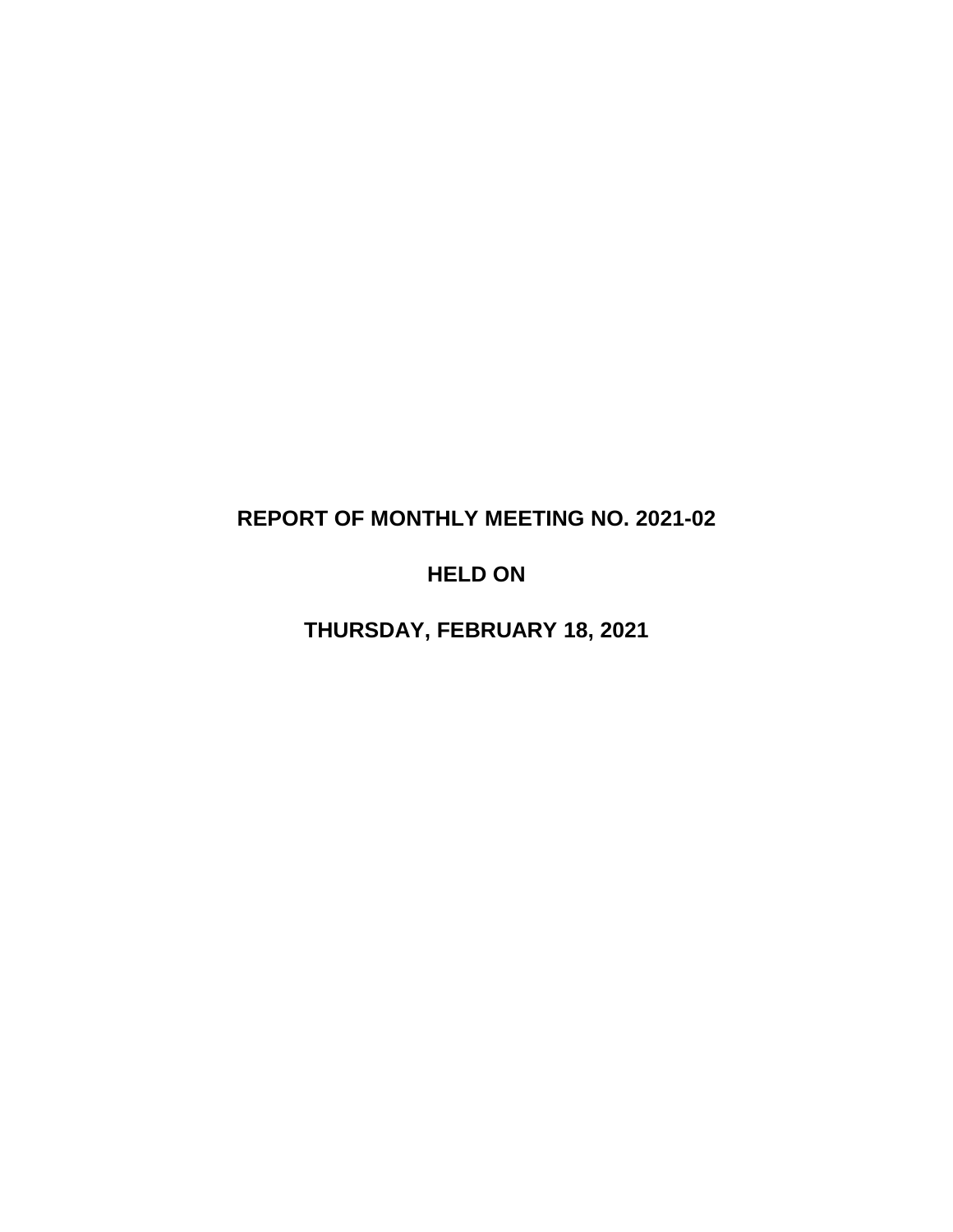# **REPORT OF MONTHLY MEETING NO. 2021-02**

# **HELD ON**

**THURSDAY, FEBRUARY 18, 2021**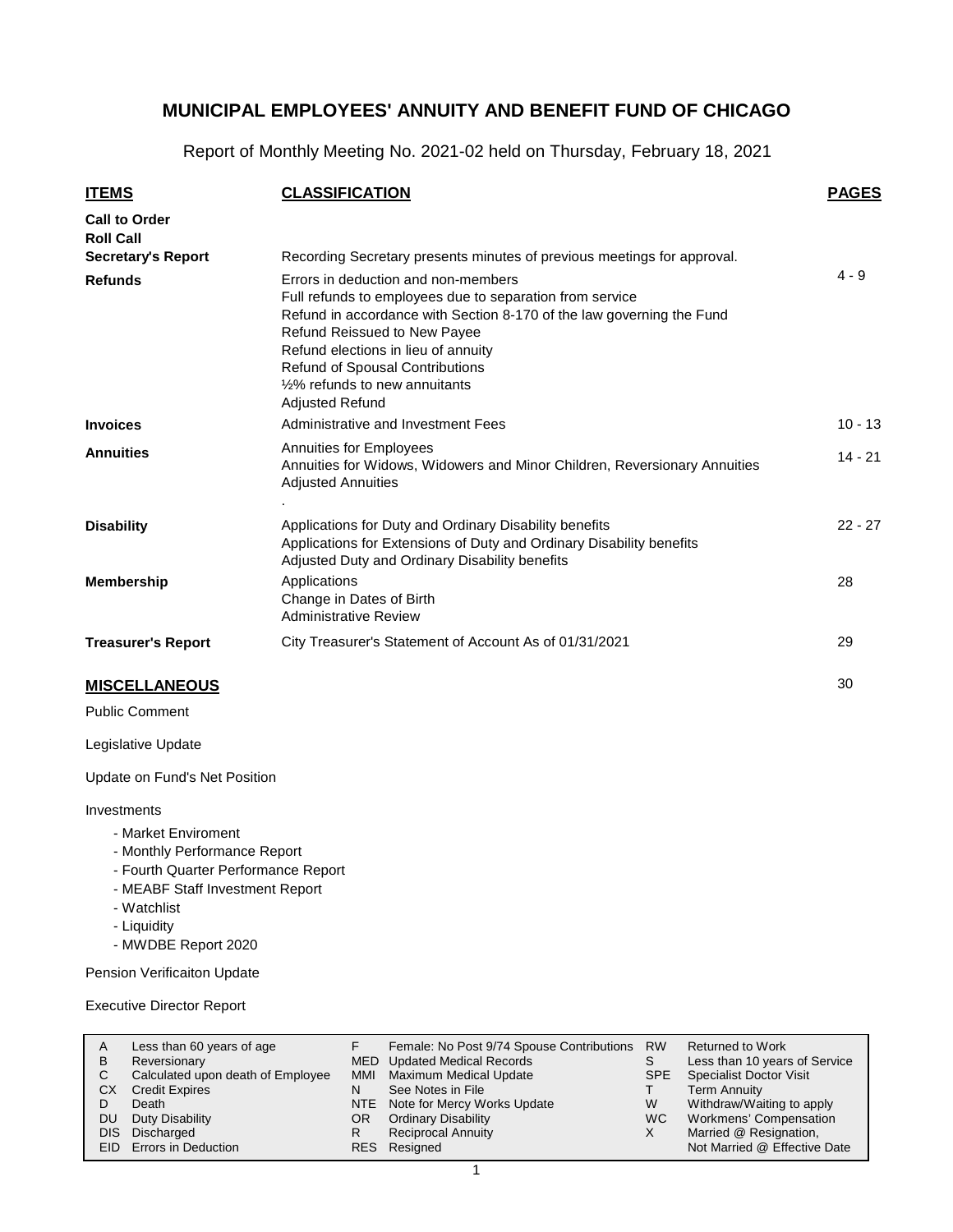Report of Monthly Meeting No. 2021-02 held on Thursday, February 18, 2021

| <b>ITEMS</b>                             | <b>CLASSIFICATION</b>                                                                                                                                                                                                                                                                                                                                              | <b>PAGES</b> |
|------------------------------------------|--------------------------------------------------------------------------------------------------------------------------------------------------------------------------------------------------------------------------------------------------------------------------------------------------------------------------------------------------------------------|--------------|
| <b>Call to Order</b><br><b>Roll Call</b> |                                                                                                                                                                                                                                                                                                                                                                    |              |
| <b>Secretary's Report</b>                | Recording Secretary presents minutes of previous meetings for approval.                                                                                                                                                                                                                                                                                            |              |
| <b>Refunds</b>                           | Errors in deduction and non-members<br>Full refunds to employees due to separation from service<br>Refund in accordance with Section 8-170 of the law governing the Fund<br>Refund Reissued to New Payee<br>Refund elections in lieu of annuity<br><b>Refund of Spousal Contributions</b><br>1/ <sub>2</sub> % refunds to new annuitants<br><b>Adjusted Refund</b> | $4 - 9$      |
| <b>Invoices</b>                          | Administrative and Investment Fees                                                                                                                                                                                                                                                                                                                                 | $10 - 13$    |
| <b>Annuities</b>                         | <b>Annuities for Employees</b><br>Annuities for Widows, Widowers and Minor Children, Reversionary Annuities<br><b>Adjusted Annuities</b>                                                                                                                                                                                                                           | $14 - 21$    |
| <b>Disability</b>                        | Applications for Duty and Ordinary Disability benefits<br>Applications for Extensions of Duty and Ordinary Disability benefits<br>Adjusted Duty and Ordinary Disability benefits                                                                                                                                                                                   | $22 - 27$    |
| <b>Membership</b>                        | Applications<br>Change in Dates of Birth<br><b>Administrative Review</b>                                                                                                                                                                                                                                                                                           | 28           |
| <b>Treasurer's Report</b>                | City Treasurer's Statement of Account As of 01/31/2021                                                                                                                                                                                                                                                                                                             | 29           |
| <b>MISCELLANEOUS</b>                     |                                                                                                                                                                                                                                                                                                                                                                    | 30           |

Public Comment

Legislative Update

Update on Fund's Net Position

#### Investments

- Market Enviroment
- Monthly Performance Report
- Fourth Quarter Performance Report
- MEABF Staff Investment Report
- Watchlist
- Liquidity
- MWDBE Report 2020

Pension Verificaiton Update

Executive Director Report

| A          | Less than 60 years of age         |     | Female: No Post 9/74 Spouse Contributions | <b>RW</b> | <b>Returned to Work</b>        |
|------------|-----------------------------------|-----|-------------------------------------------|-----------|--------------------------------|
| в          | Reversionary                      |     | MED Updated Medical Records               | S         | Less than 10 years of Service  |
| С          | Calculated upon death of Employee | MMI | Maximum Medical Update                    | SPE       | <b>Specialist Doctor Visit</b> |
| СX         | <b>Credit Expires</b>             | N   | See Notes in File                         |           | Term Annuity                   |
|            | Death                             |     | NTE Note for Mercy Works Update           | W         | Withdraw/Waiting to apply      |
| DU         | Duty Disability                   | OR. | <b>Ordinary Disability</b>                | WC.       | Workmens' Compensation         |
| <b>DIS</b> | Discharged                        | R   | <b>Reciprocal Annuity</b>                 |           | Married @ Resignation,         |
|            | EID Errors in Deduction           |     | RES Resigned                              |           | Not Married @ Effective Date   |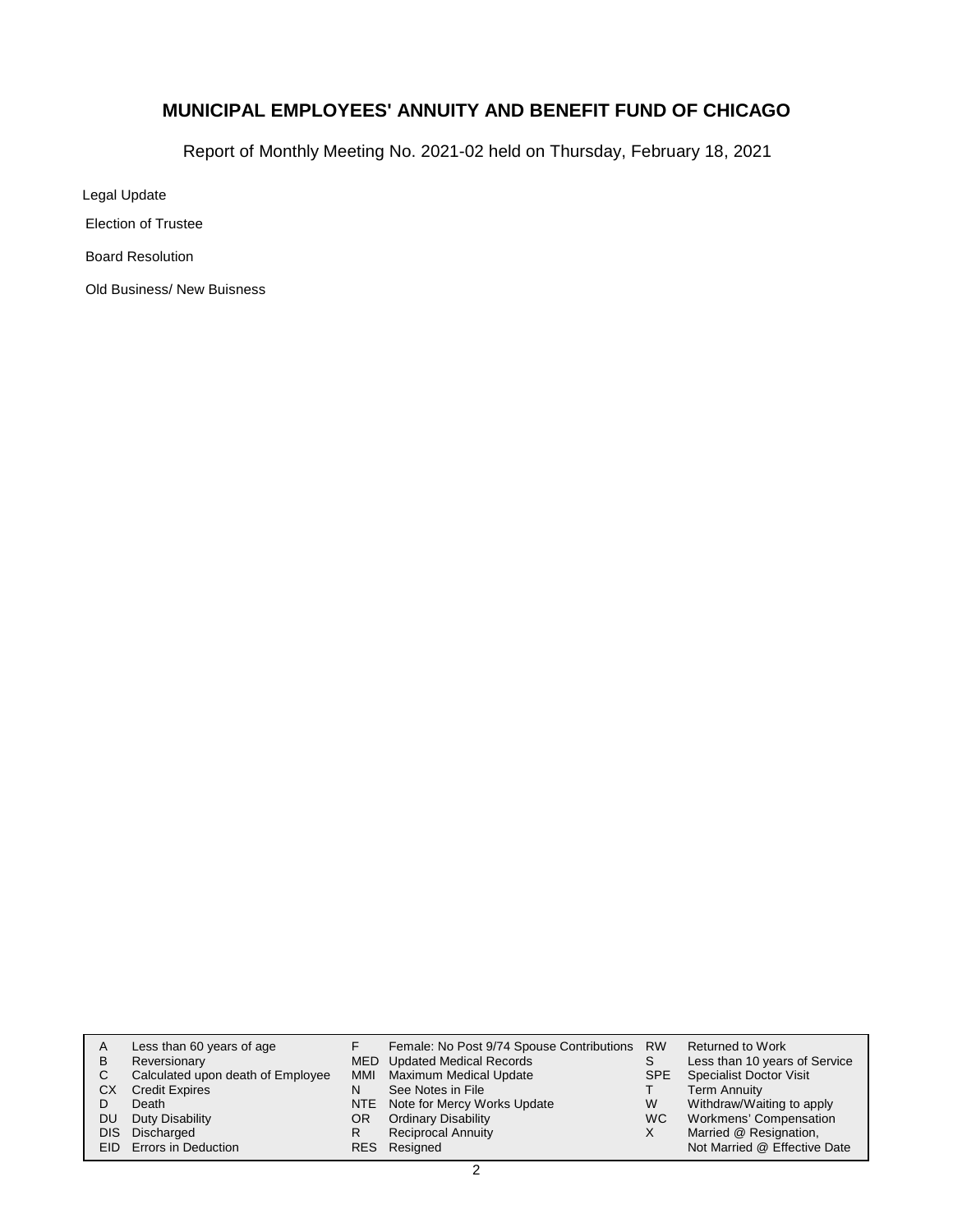Report of Monthly Meeting No. 2021-02 held on Thursday, February 18, 2021

Legal Update

Election of Trustee

Board Resolution

Old Business/ New Buisness

| A    | Less than 60 years of age         |     | Female: No Post 9/74 Spouse Contributions RW |            | Returned to Work               |
|------|-----------------------------------|-----|----------------------------------------------|------------|--------------------------------|
| В    | Reversionary                      |     | MED Updated Medical Records                  | S          | Less than 10 years of Service  |
| С    | Calculated upon death of Employee | MMI | Maximum Medical Update                       | <b>SPE</b> | <b>Specialist Doctor Visit</b> |
| СX   | <b>Credit Expires</b>             | N   | See Notes in File                            |            | <b>Term Annuity</b>            |
|      | Death                             |     | NTE Note for Mercy Works Update              | W          | Withdraw/Waiting to apply      |
| DU   | Duty Disability                   | OR. | <b>Ordinary Disability</b>                   | WC.        | Workmens' Compensation         |
| DIS. | Discharged                        |     | <b>Reciprocal Annuity</b>                    | х          | Married @ Resignation,         |
|      | EID Errors in Deduction           |     | RES Resigned                                 |            | Not Married @ Effective Date   |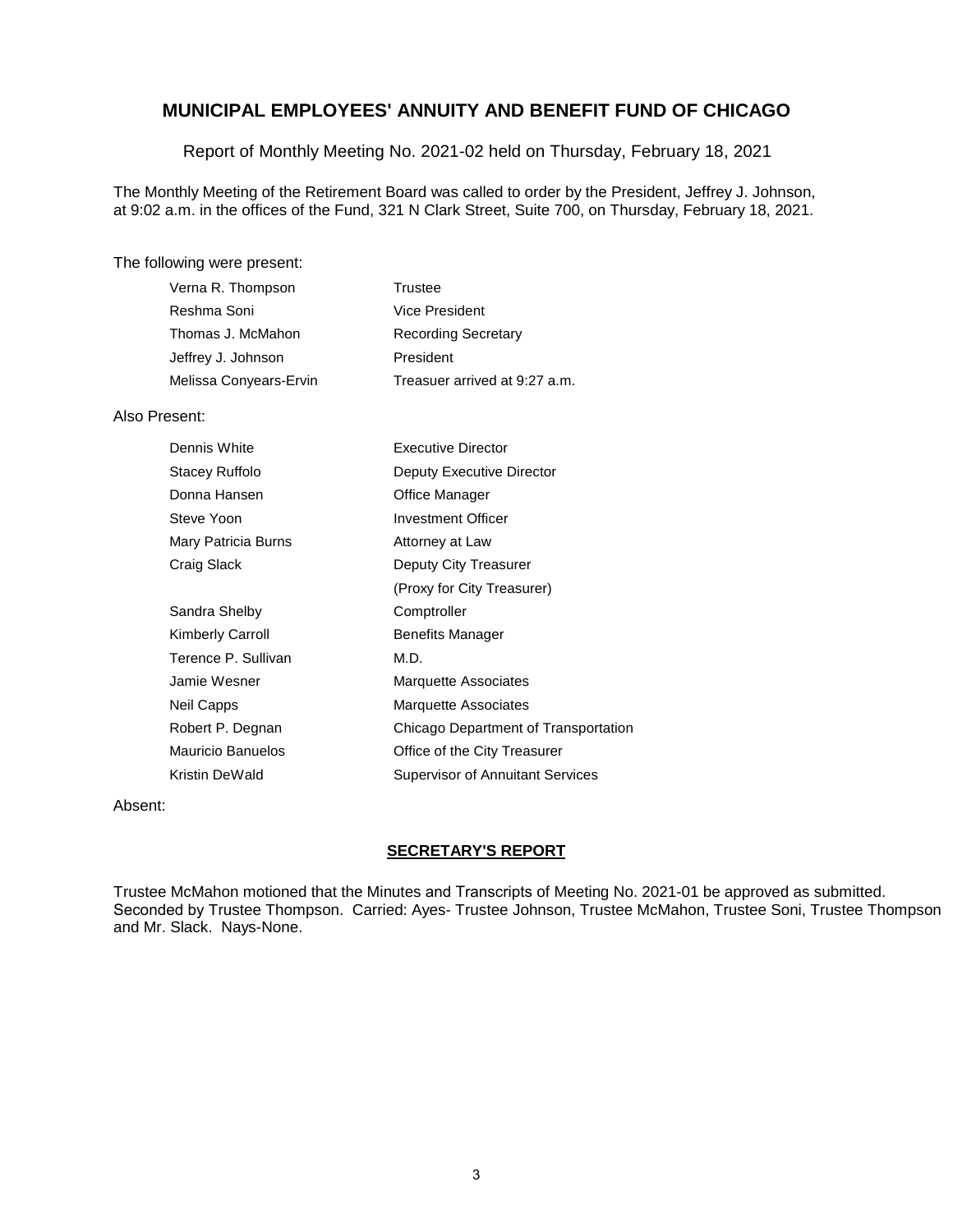Report of Monthly Meeting No. 2021-02 held on Thursday, February 18, 2021

The Monthly Meeting of the Retirement Board was called to order by the President, Jeffrey J. Johnson, at 9:02 a.m. in the offices of the Fund, 321 N Clark Street, Suite 700, on Thursday, February 18, 2021.

#### The following were present:

| Verna R. Thompson      | Trustee                       |
|------------------------|-------------------------------|
| Reshma Soni            | Vice President                |
| Thomas J. McMahon      | <b>Recording Secretary</b>    |
| Jeffrey J. Johnson     | President                     |
| Melissa Conyears-Ervin | Treasuer arrived at 9:27 a.m. |

#### Also Present:

| Dennis White             | <b>Executive Director</b>               |
|--------------------------|-----------------------------------------|
| Stacey Ruffolo           | Deputy Executive Director               |
| Donna Hansen             | Office Manager                          |
| Steve Yoon               | <b>Investment Officer</b>               |
| Mary Patricia Burns      | Attorney at Law                         |
| Craig Slack              | Deputy City Treasurer                   |
|                          | (Proxy for City Treasurer)              |
| Sandra Shelby            | Comptroller                             |
| Kimberly Carroll         | <b>Benefits Manager</b>                 |
| Terence P. Sullivan      | M.D.                                    |
| Jamie Wesner             | Marquette Associates                    |
| Neil Capps               | Marquette Associates                    |
| Robert P. Degnan         | Chicago Department of Transportation    |
| <b>Mauricio Banuelos</b> | Office of the City Treasurer            |
| Kristin DeWald           | <b>Supervisor of Annuitant Services</b> |

Absent:

### **SECRETARY'S REPORT**

Trustee McMahon motioned that the Minutes and Transcripts of Meeting No. 2021-01 be approved as submitted. Seconded by Trustee Thompson. Carried: Ayes- Trustee Johnson, Trustee McMahon, Trustee Soni, Trustee Thompson and Mr. Slack. Nays-None.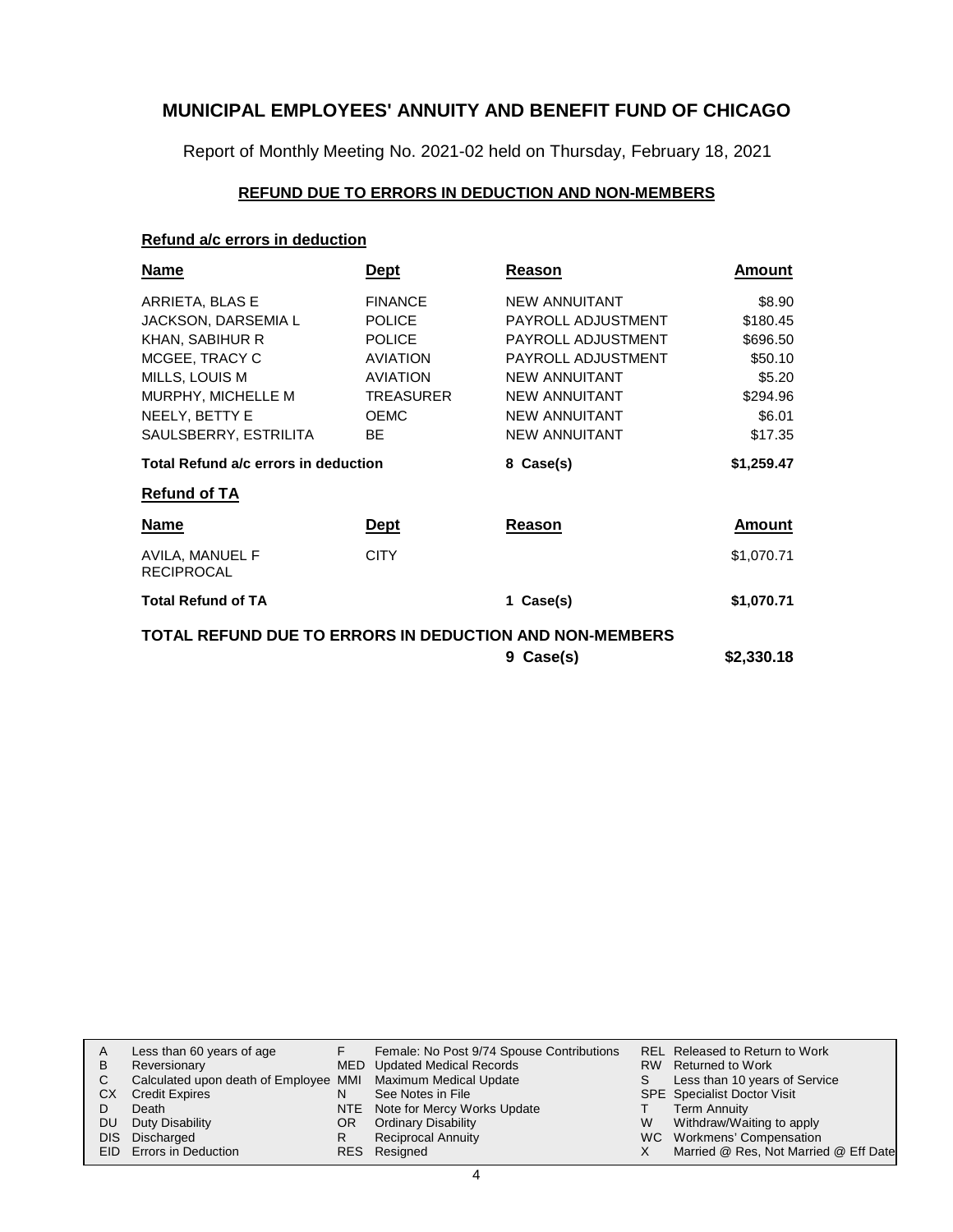Report of Monthly Meeting No. 2021-02 held on Thursday, February 18, 2021

### **REFUND DUE TO ERRORS IN DEDUCTION AND NON-MEMBERS**

### **Refund a/c errors in deduction**

| <b>Name</b>                                             | <b>Dept</b>      | Reason               | Amount     |
|---------------------------------------------------------|------------------|----------------------|------------|
| ARRIETA, BLAS E                                         | <b>FINANCE</b>   | <b>NEW ANNUITANT</b> | \$8.90     |
| JACKSON, DARSEMIA L                                     | <b>POLICE</b>    | PAYROLL ADJUSTMENT   | \$180.45   |
| KHAN, SABIHUR R                                         | <b>POLICE</b>    | PAYROLL ADJUSTMENT   | \$696.50   |
| MCGEE, TRACY C                                          | <b>AVIATION</b>  | PAYROLL ADJUSTMENT   | \$50.10    |
| MILLS, LOUIS M                                          | <b>AVIATION</b>  | <b>NEW ANNUITANT</b> | \$5.20     |
| MURPHY, MICHELLE M                                      | <b>TREASURER</b> | <b>NEW ANNUITANT</b> | \$294.96   |
| NEELY, BETTY E                                          | <b>OEMC</b>      | <b>NEW ANNUITANT</b> | \$6.01     |
| SAULSBERRY, ESTRILITA                                   | <b>BE</b>        | <b>NEW ANNUITANT</b> | \$17.35    |
| Total Refund a/c errors in deduction                    |                  | 8 Case(s)            | \$1,259.47 |
| <b>Refund of TA</b>                                     |                  |                      |            |
| <b>Name</b>                                             | <u>Dept</u>      | Reason               | Amount     |
| AVILA, MANUEL F<br><b>RECIPROCAL</b>                    | <b>CITY</b>      |                      | \$1,070.71 |
| <b>Total Refund of TA</b>                               |                  | 1 Case(s)            | \$1,070.71 |
| TOTAL REFUND DUE TO ERRORS IN DEDUCTION AND NON-MEMBERS |                  |                      |            |
|                                                         |                  | 9 Case(s)            | \$2,330.18 |

| A         | Less than 60 years of age                                    |     | Female: No Post 9/74 Spouse Contributions |   | <b>REL Released to Return to Work</b> |
|-----------|--------------------------------------------------------------|-----|-------------------------------------------|---|---------------------------------------|
| B         | Reversionary                                                 |     | MED Updated Medical Records               |   | RW Returned to Work                   |
|           | Calculated upon death of Employee MMI Maximum Medical Update |     |                                           |   | Less than 10 years of Service         |
| <b>CX</b> | <b>Credit Expires</b>                                        |     | See Notes in File                         |   | <b>SPE</b> Specialist Doctor Visit    |
|           | Death                                                        |     | NTE Note for Mercy Works Update           |   | <b>Term Annuity</b>                   |
| <b>DU</b> | Duty Disability                                              | OR. | <b>Ordinary Disability</b>                | W | Withdraw/Waiting to apply             |
|           | DIS Discharged                                               |     | <b>Reciprocal Annuity</b>                 |   | WC Workmens' Compensation             |
|           | <b>EID</b> Errors in Deduction                               |     | RES Resigned                              |   | Married @ Res, Not Married @ Eff Date |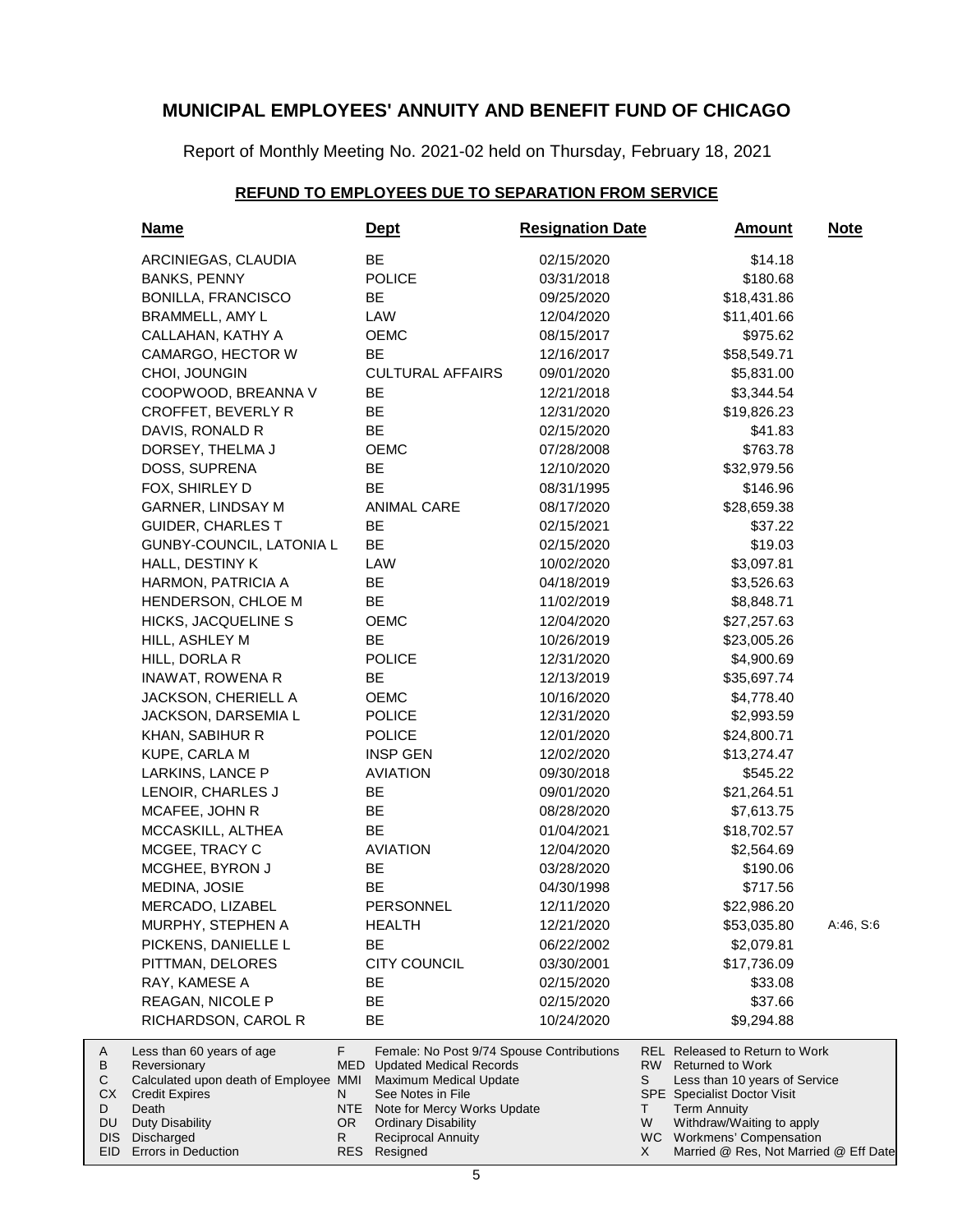Report of Monthly Meeting No. 2021-02 held on Thursday, February 18, 2021

# **REFUND TO EMPLOYEES DUE TO SEPARATION FROM SERVICE**

| <b>Name</b>                                                                                                                                    |                               | <u>Dept</u>                                                                                                                                                                             | <b>Resignation Date</b> |                     | <u>Amount</u>                                                                                                                                                                        | <b>Note</b> |
|------------------------------------------------------------------------------------------------------------------------------------------------|-------------------------------|-----------------------------------------------------------------------------------------------------------------------------------------------------------------------------------------|-------------------------|---------------------|--------------------------------------------------------------------------------------------------------------------------------------------------------------------------------------|-------------|
| ARCINIEGAS, CLAUDIA                                                                                                                            |                               | BE                                                                                                                                                                                      | 02/15/2020              |                     | \$14.18                                                                                                                                                                              |             |
| <b>BANKS, PENNY</b>                                                                                                                            |                               | <b>POLICE</b>                                                                                                                                                                           | 03/31/2018              |                     | \$180.68                                                                                                                                                                             |             |
| <b>BONILLA, FRANCISCO</b>                                                                                                                      |                               | BE                                                                                                                                                                                      | 09/25/2020              |                     | \$18,431.86                                                                                                                                                                          |             |
| BRAMMELL, AMY L                                                                                                                                |                               | LAW                                                                                                                                                                                     | 12/04/2020              |                     | \$11,401.66                                                                                                                                                                          |             |
| CALLAHAN, KATHY A                                                                                                                              |                               | <b>OEMC</b>                                                                                                                                                                             | 08/15/2017              |                     | \$975.62                                                                                                                                                                             |             |
| CAMARGO, HECTOR W                                                                                                                              |                               | BE                                                                                                                                                                                      | 12/16/2017              |                     | \$58,549.71                                                                                                                                                                          |             |
| CHOI, JOUNGIN                                                                                                                                  |                               | <b>CULTURAL AFFAIRS</b>                                                                                                                                                                 | 09/01/2020              |                     | \$5,831.00                                                                                                                                                                           |             |
| COOPWOOD, BREANNA V                                                                                                                            |                               | BE                                                                                                                                                                                      | 12/21/2018              |                     | \$3,344.54                                                                                                                                                                           |             |
| CROFFET, BEVERLY R                                                                                                                             |                               | BE                                                                                                                                                                                      | 12/31/2020              |                     | \$19,826.23                                                                                                                                                                          |             |
| DAVIS, RONALD R                                                                                                                                |                               | BE                                                                                                                                                                                      | 02/15/2020              |                     | \$41.83                                                                                                                                                                              |             |
| DORSEY, THELMA J                                                                                                                               |                               | OEMC                                                                                                                                                                                    | 07/28/2008              |                     | \$763.78                                                                                                                                                                             |             |
| DOSS, SUPRENA                                                                                                                                  |                               | BE                                                                                                                                                                                      | 12/10/2020              |                     | \$32,979.56                                                                                                                                                                          |             |
| FOX, SHIRLEY D                                                                                                                                 |                               | <b>BE</b>                                                                                                                                                                               | 08/31/1995              |                     | \$146.96                                                                                                                                                                             |             |
| GARNER, LINDSAY M                                                                                                                              |                               | <b>ANIMAL CARE</b>                                                                                                                                                                      | 08/17/2020              |                     | \$28,659.38                                                                                                                                                                          |             |
| <b>GUIDER, CHARLES T</b>                                                                                                                       |                               | BE                                                                                                                                                                                      | 02/15/2021              |                     | \$37.22                                                                                                                                                                              |             |
| GUNBY-COUNCIL, LATONIA L                                                                                                                       |                               | BE                                                                                                                                                                                      | 02/15/2020              |                     | \$19.03                                                                                                                                                                              |             |
| HALL, DESTINY K                                                                                                                                |                               | LAW                                                                                                                                                                                     | 10/02/2020              |                     | \$3,097.81                                                                                                                                                                           |             |
| HARMON, PATRICIA A                                                                                                                             |                               | BE                                                                                                                                                                                      | 04/18/2019              |                     | \$3,526.63                                                                                                                                                                           |             |
| HENDERSON, CHLOE M                                                                                                                             |                               | BE                                                                                                                                                                                      | 11/02/2019              |                     | \$8,848.71                                                                                                                                                                           |             |
| HICKS, JACQUELINE S                                                                                                                            |                               | OEMC                                                                                                                                                                                    | 12/04/2020              |                     | \$27,257.63                                                                                                                                                                          |             |
| HILL, ASHLEY M                                                                                                                                 |                               | BE                                                                                                                                                                                      | 10/26/2019              |                     | \$23,005.26                                                                                                                                                                          |             |
|                                                                                                                                                |                               | <b>POLICE</b>                                                                                                                                                                           | 12/31/2020              |                     | \$4,900.69                                                                                                                                                                           |             |
| HILL, DORLA R                                                                                                                                  |                               | BE                                                                                                                                                                                      |                         |                     |                                                                                                                                                                                      |             |
| INAWAT, ROWENA R                                                                                                                               |                               |                                                                                                                                                                                         | 12/13/2019              |                     | \$35,697.74                                                                                                                                                                          |             |
| JACKSON, CHERIELL A                                                                                                                            |                               | OEMC                                                                                                                                                                                    | 10/16/2020              |                     | \$4,778.40                                                                                                                                                                           |             |
| <b>JACKSON, DARSEMIA L</b>                                                                                                                     |                               | <b>POLICE</b>                                                                                                                                                                           | 12/31/2020              |                     | \$2,993.59                                                                                                                                                                           |             |
| KHAN, SABIHUR R                                                                                                                                |                               | <b>POLICE</b>                                                                                                                                                                           | 12/01/2020              |                     | \$24,800.71                                                                                                                                                                          |             |
| KUPE, CARLA M                                                                                                                                  |                               | <b>INSP GEN</b>                                                                                                                                                                         | 12/02/2020              |                     | \$13,274.47                                                                                                                                                                          |             |
| LARKINS, LANCE P                                                                                                                               |                               | <b>AVIATION</b>                                                                                                                                                                         | 09/30/2018              |                     | \$545.22                                                                                                                                                                             |             |
| LENOIR, CHARLES J                                                                                                                              |                               | BE                                                                                                                                                                                      | 09/01/2020              |                     | \$21,264.51                                                                                                                                                                          |             |
| MCAFEE, JOHN R                                                                                                                                 |                               | BE                                                                                                                                                                                      | 08/28/2020              |                     | \$7,613.75                                                                                                                                                                           |             |
| MCCASKILL, ALTHEA                                                                                                                              |                               | BE                                                                                                                                                                                      | 01/04/2021              |                     | \$18,702.57                                                                                                                                                                          |             |
| MCGEE, TRACY C                                                                                                                                 |                               | <b>AVIATION</b>                                                                                                                                                                         | 12/04/2020              |                     | \$2,564.69                                                                                                                                                                           |             |
| MCGHEE, BYRON J                                                                                                                                |                               | BE                                                                                                                                                                                      | 03/28/2020              |                     | \$190.06                                                                                                                                                                             |             |
| MEDINA, JOSIE                                                                                                                                  |                               | BE                                                                                                                                                                                      | 04/30/1998              |                     | \$717.56                                                                                                                                                                             |             |
| MERCADO, LIZABEL                                                                                                                               |                               | PERSONNEL                                                                                                                                                                               | 12/11/2020              |                     | \$22,986.20                                                                                                                                                                          |             |
| MURPHY, STEPHEN A                                                                                                                              |                               | <b>HEALTH</b>                                                                                                                                                                           | 12/21/2020              |                     | \$53,035.80                                                                                                                                                                          | A:46, S:6   |
| PICKENS, DANIELLE L                                                                                                                            |                               | BE                                                                                                                                                                                      | 06/22/2002              |                     | \$2,079.81                                                                                                                                                                           |             |
| PITTMAN, DELORES                                                                                                                               |                               | <b>CITY COUNCIL</b>                                                                                                                                                                     | 03/30/2001              |                     | \$17,736.09                                                                                                                                                                          |             |
| RAY, KAMESE A                                                                                                                                  |                               | BE                                                                                                                                                                                      | 02/15/2020              |                     | \$33.08                                                                                                                                                                              |             |
| REAGAN, NICOLE P                                                                                                                               |                               | BE                                                                                                                                                                                      | 02/15/2020              |                     | \$37.66                                                                                                                                                                              |             |
| RICHARDSON, CAROL R                                                                                                                            |                               | BE                                                                                                                                                                                      | 10/24/2020              |                     | \$9,294.88                                                                                                                                                                           |             |
| Less than 60 years of age<br>Reversionary<br>Calculated upon death of Employee MMI<br><b>Credit Expires</b><br>Death<br><b>Duty Disability</b> | F.<br>MED.<br>N<br>NTE<br>OR. | Female: No Post 9/74 Spouse Contributions<br><b>Updated Medical Records</b><br>Maximum Medical Update<br>See Notes in File<br>Note for Mercy Works Update<br><b>Ordinary Disability</b> |                         | RW.<br>S<br>T.<br>W | <b>REL Released to Return to Work</b><br><b>Returned to Work</b><br>Less than 10 years of Service<br>SPE Specialist Doctor Visit<br><b>Term Annuity</b><br>Withdraw/Waiting to apply |             |
| Discharged                                                                                                                                     | R                             | <b>Reciprocal Annuity</b>                                                                                                                                                               |                         |                     | WC Workmens' Compensation                                                                                                                                                            |             |
| Errors in Deduction                                                                                                                            |                               | RES Resigned                                                                                                                                                                            |                         | X.                  | Married @ Res, Not Married @ Eff Date                                                                                                                                                |             |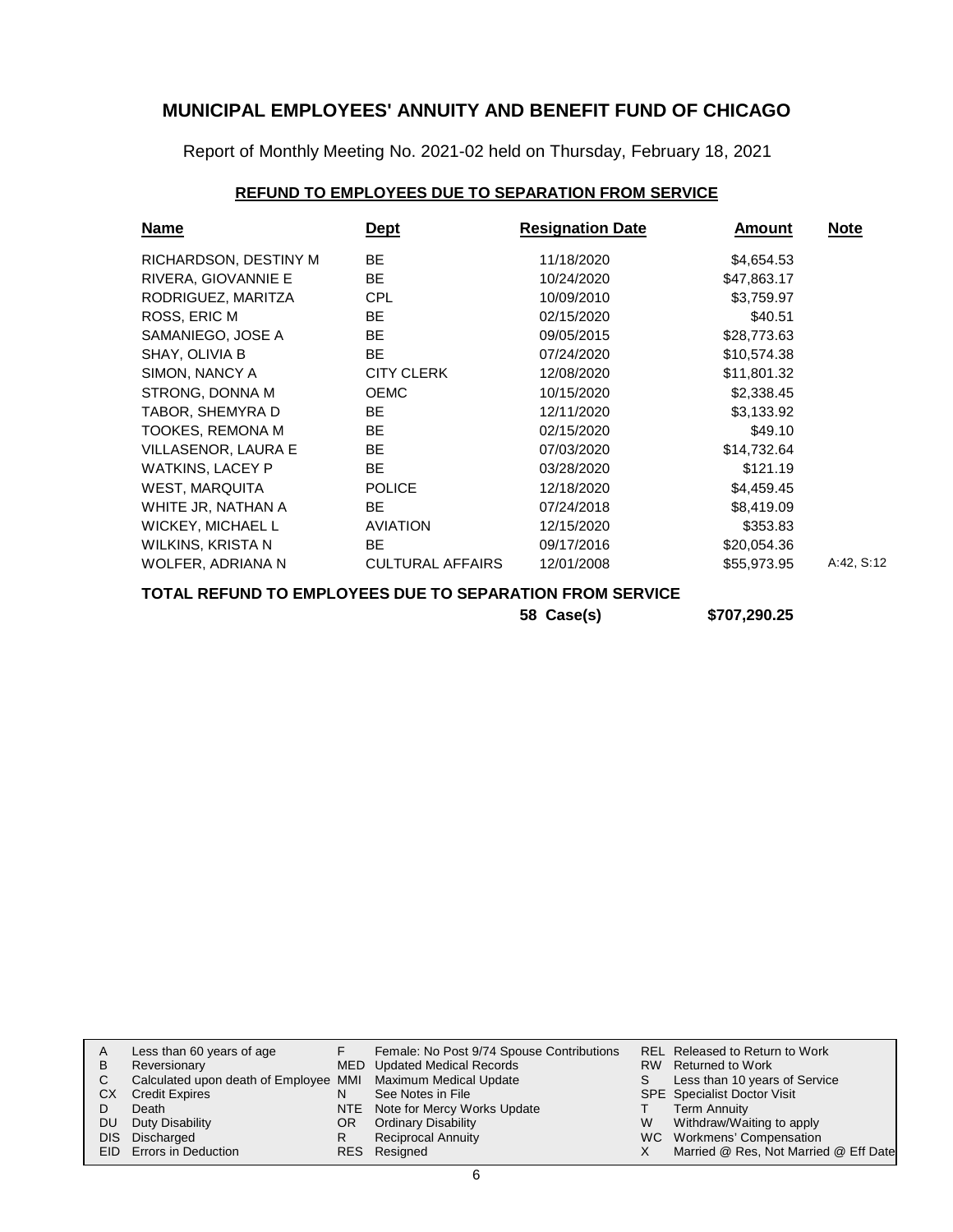Report of Monthly Meeting No. 2021-02 held on Thursday, February 18, 2021

### **REFUND TO EMPLOYEES DUE TO SEPARATION FROM SERVICE**

| <b>Name</b>              | Dept                    | <b>Resignation Date</b> | <b>Amount</b> | <b>Note</b> |
|--------------------------|-------------------------|-------------------------|---------------|-------------|
| RICHARDSON, DESTINY M    | <b>BE</b>               | 11/18/2020              | \$4,654.53    |             |
| RIVERA, GIOVANNIE E      | BE.                     | 10/24/2020              | \$47,863.17   |             |
| RODRIGUEZ, MARITZA       | <b>CPL</b>              | 10/09/2010              | \$3,759.97    |             |
| ROSS, ERIC M             | <b>BE</b>               | 02/15/2020              | \$40.51       |             |
| SAMANIEGO, JOSE A        | <b>BE</b>               | 09/05/2015              | \$28,773.63   |             |
| SHAY, OLIVIA B           | <b>BE</b>               | 07/24/2020              | \$10,574.38   |             |
| SIMON, NANCY A           | <b>CITY CLERK</b>       | 12/08/2020              | \$11,801.32   |             |
| STRONG, DONNA M          | <b>OEMC</b>             | 10/15/2020              | \$2,338.45    |             |
| TABOR, SHEMYRA D         | <b>BE</b>               | 12/11/2020              | \$3,133.92    |             |
| TOOKES, REMONA M         | <b>BE</b>               | 02/15/2020              | \$49.10       |             |
| VILLASENOR, LAURA E      | <b>BE</b>               | 07/03/2020              | \$14,732.64   |             |
| <b>WATKINS, LACEY P</b>  | <b>BE</b>               | 03/28/2020              | \$121.19      |             |
| <b>WEST, MARQUITA</b>    | <b>POLICE</b>           | 12/18/2020              | \$4,459.45    |             |
| WHITE JR, NATHAN A       | BE.                     | 07/24/2018              | \$8,419.09    |             |
| <b>WICKEY, MICHAEL L</b> | <b>AVIATION</b>         | 12/15/2020              | \$353.83      |             |
| WILKINS, KRISTA N        | BE                      | 09/17/2016              | \$20,054.36   |             |
| WOLFER, ADRIANA N        | <b>CULTURAL AFFAIRS</b> | 12/01/2008              | \$55,973.95   | A:42, S:12  |

### **TOTAL REFUND TO EMPLOYEES DUE TO SEPARATION FROM SERVICE**

**58 Case(s) \$707,290.25**

|    | Less than 60 years of age                                    |    | Female: No Post 9/74 Spouse Contributions |   | <b>REL Released to Return to Work</b> |
|----|--------------------------------------------------------------|----|-------------------------------------------|---|---------------------------------------|
| В  | Reversionary                                                 |    | MED Updated Medical Records               |   | RW Returned to Work                   |
|    | Calculated upon death of Employee MMI Maximum Medical Update |    |                                           |   | Less than 10 years of Service         |
| СX | <b>Credit Expires</b>                                        |    | See Notes in File                         |   | <b>SPE</b> Specialist Doctor Visit    |
|    | Death                                                        |    | NTE Note for Mercy Works Update           |   | Term Annuity                          |
| DU | Duty Disability                                              | OR | <b>Ordinary Disability</b>                | W | Withdraw/Waiting to apply             |
|    | DIS Discharged                                               |    | <b>Reciprocal Annuity</b>                 |   | WC Workmens' Compensation             |
|    | <b>EID</b> Errors in Deduction                               |    | RES Resigned                              |   | Married @ Res, Not Married @ Eff Date |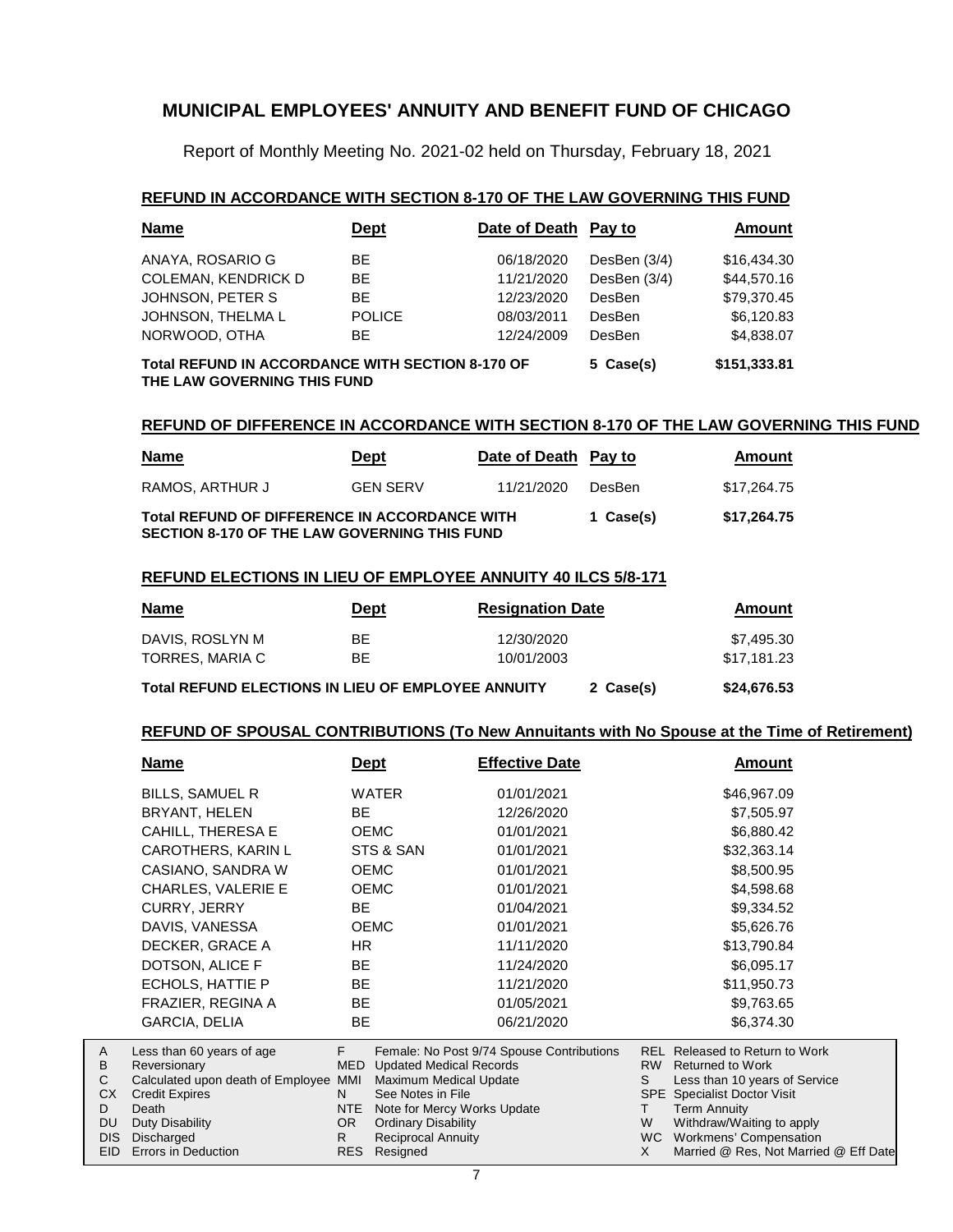Report of Monthly Meeting No. 2021-02 held on Thursday, February 18, 2021

### **REFUND IN ACCORDANCE WITH SECTION 8-170 OF THE LAW GOVERNING THIS FUND**

| <b>Name</b>                                                                     | <u>Dept</u>   | Date of Death Pay to |               | Amount      |
|---------------------------------------------------------------------------------|---------------|----------------------|---------------|-------------|
| ANAYA, ROSARIO G                                                                | BE.           | 06/18/2020           | DesBen (3/4)  | \$16,434.30 |
| <b>COLEMAN, KENDRICK D</b>                                                      | BE            | 11/21/2020           | DesBen (3/4)  | \$44,570.16 |
| JOHNSON, PETER S                                                                | BE            | 12/23/2020           | DesBen        | \$79.370.45 |
| JOHNSON, THELMA L                                                               | <b>POLICE</b> | 08/03/2011           | <b>DesBen</b> | \$6,120.83  |
| NORWOOD, OTHA                                                                   | BE.           | 12/24/2009           | DesBen        | \$4,838.07  |
| Total REFUND IN ACCORDANCE WITH SECTION 8-170 OF<br>THE LAW GOVERNING THIS FUND | 5 Case(s)     | \$151,333.81         |               |             |

#### **REFUND OF DIFFERENCE IN ACCORDANCE WITH SECTION 8-170 OF THE LAW GOVERNING THIS FUND**

| <u>Name</u>                                                                                                 | Dept            | Date of Death Pay to |           | Amount      |
|-------------------------------------------------------------------------------------------------------------|-----------------|----------------------|-----------|-------------|
| RAMOS. ARTHUR J                                                                                             | <b>GEN SERV</b> | 11/21/2020           | DesBen    | \$17.264.75 |
| <b>Total REFUND OF DIFFERENCE IN ACCORDANCE WITH</b><br><b>SECTION 8-170 OF THE LAW GOVERNING THIS FUND</b> |                 |                      | 1 Case(s) | \$17.264.75 |

#### **REFUND ELECTIONS IN LIEU OF EMPLOYEE ANNUITY 40 ILCS 5/8-171**

| <b>Name</b>                                               | Dept     | <b>Resignation Date</b>  |           | Amount                    |
|-----------------------------------------------------------|----------|--------------------------|-----------|---------------------------|
| DAVIS, ROSLYN M<br>TORRES, MARIA C                        | BE<br>BE | 12/30/2020<br>10/01/2003 |           | \$7.495.30<br>\$17.181.23 |
| <b>Total REFUND ELECTIONS IN LIEU OF EMPLOYEE ANNUITY</b> |          |                          | 2 Case(s) | \$24,676.53               |

#### **REFUND OF SPOUSAL CONTRIBUTIONS (To New Annuitants with No Spouse at the Time of Retirement)**

|            | Name                              | <u>Dept</u> |                                | <b>Effective Date</b>                     |     | <b>Amount</b>                         |
|------------|-----------------------------------|-------------|--------------------------------|-------------------------------------------|-----|---------------------------------------|
|            | BILLS, SAMUEL R                   |             | <b>WATER</b>                   | 01/01/2021                                |     | \$46,967.09                           |
|            | BRYANT, HELEN                     | <b>BE</b>   |                                | 12/26/2020                                |     | \$7,505.97                            |
|            | CAHILL, THERESA E                 |             | <b>OEMC</b>                    | 01/01/2021                                |     | \$6,880.42                            |
|            | <b>CAROTHERS, KARIN L</b>         |             | STS & SAN                      | 01/01/2021                                |     | \$32,363.14                           |
|            | CASIANO, SANDRA W                 |             | <b>OEMC</b>                    | 01/01/2021                                |     | \$8,500.95                            |
|            | <b>CHARLES, VALERIE E</b>         |             | <b>OEMC</b>                    | 01/01/2021                                |     | \$4,598.68                            |
|            | CURRY, JERRY                      | <b>BE</b>   |                                | 01/04/2021                                |     | \$9,334.52                            |
|            | DAVIS, VANESSA                    |             | <b>OEMC</b>                    | 01/01/2021                                |     | \$5,626.76                            |
|            | DECKER, GRACE A                   | HR.         |                                | 11/11/2020                                |     | \$13,790.84                           |
|            | DOTSON, ALICE F                   | <b>BE</b>   |                                | 11/24/2020                                |     | \$6,095.17                            |
|            | ECHOLS, HATTIE P                  | <b>BE</b>   |                                | 11/21/2020                                |     | \$11,950.73                           |
|            | FRAZIER, REGINA A                 | BE          |                                | 01/05/2021                                |     | \$9,763.65                            |
|            | GARCIA, DELIA                     | BE          |                                | 06/21/2020                                |     | \$6,374.30                            |
| A          | Less than 60 years of age         | F           |                                | Female: No Post 9/74 Spouse Contributions |     | <b>REL Released to Return to Work</b> |
| B          | Reversionary                      | MED.        | <b>Updated Medical Records</b> |                                           |     | RW Returned to Work                   |
| C          | Calculated upon death of Employee | MMI         | Maximum Medical Update         |                                           | S.  | Less than 10 years of Service         |
| CX         | <b>Credit Expires</b>             | N.          | See Notes in File              |                                           |     | <b>SPE</b> Specialist Doctor Visit    |
| D          | Death                             | NTE         | Note for Mercy Works Update    |                                           | T.  | <b>Term Annuity</b>                   |
| <b>DU</b>  | Duty Disability                   | OR .        | <b>Ordinary Disability</b>     |                                           | W   | Withdraw/Waiting to apply             |
| <b>DIS</b> | Discharged                        | R.          | <b>Reciprocal Annuity</b>      |                                           | WC. | Workmens' Compensation                |
| EID.       | Errors in Deduction               | <b>RES</b>  | Resigned                       |                                           | X   | Married @ Res, Not Married @ Eff Date |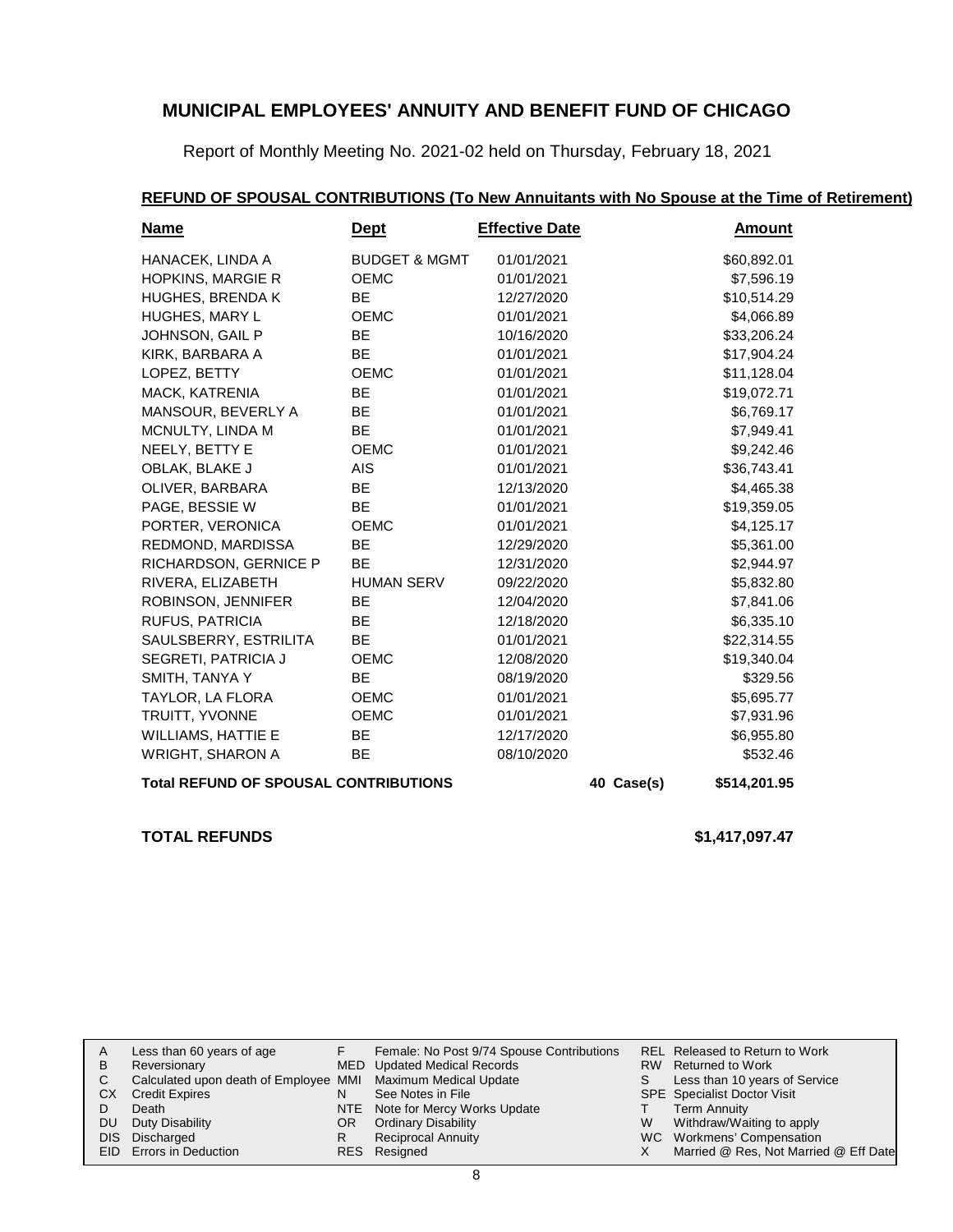Report of Monthly Meeting No. 2021-02 held on Thursday, February 18, 2021

## **REFUND OF SPOUSAL CONTRIBUTIONS (To New Annuitants with No Spouse at the Time of Retirement)**

| <u>Name</u>                                  | <u>Dept</u>              | <b>Effective Date</b> |              | <u>Amount</u> |
|----------------------------------------------|--------------------------|-----------------------|--------------|---------------|
| HANACEK, LINDA A                             | <b>BUDGET &amp; MGMT</b> | 01/01/2021            |              | \$60,892.01   |
| <b>HOPKINS, MARGIE R</b>                     | <b>OEMC</b>              | 01/01/2021            |              | \$7,596.19    |
| <b>HUGHES, BRENDA K</b>                      | <b>BE</b>                | 12/27/2020            |              | \$10,514.29   |
| HUGHES, MARY L                               | <b>OEMC</b>              | 01/01/2021            |              | \$4,066.89    |
| JOHNSON, GAIL P                              | BE                       | 10/16/2020            |              | \$33,206.24   |
| KIRK, BARBARA A                              | BE                       | 01/01/2021            |              | \$17,904.24   |
| LOPEZ, BETTY                                 | <b>OEMC</b>              | 01/01/2021            |              | \$11,128.04   |
| MACK, KATRENIA                               | <b>BE</b>                | 01/01/2021            |              | \$19,072.71   |
| MANSOUR, BEVERLY A                           | BE                       | 01/01/2021            |              | \$6,769.17    |
| MCNULTY, LINDA M                             | <b>BE</b>                | 01/01/2021            |              | \$7,949.41    |
| NEELY, BETTY E                               | <b>OEMC</b>              | 01/01/2021            |              | \$9,242.46    |
| OBLAK, BLAKE J                               | <b>AIS</b>               | 01/01/2021            |              | \$36,743.41   |
| OLIVER, BARBARA                              | <b>BE</b>                | 12/13/2020            |              | \$4,465.38    |
| PAGE, BESSIE W                               | BE                       | 01/01/2021            |              | \$19,359.05   |
| PORTER, VERONICA                             | <b>OEMC</b>              | 01/01/2021            |              | \$4,125.17    |
| REDMOND, MARDISSA                            | <b>BE</b>                | 12/29/2020            |              | \$5,361.00    |
| RICHARDSON, GERNICE P                        | <b>BE</b>                | 12/31/2020            |              | \$2,944.97    |
| RIVERA, ELIZABETH                            | <b>HUMAN SERV</b>        | 09/22/2020            |              | \$5,832.80    |
| ROBINSON, JENNIFER                           | <b>BE</b>                | 12/04/2020            |              | \$7,841.06    |
| RUFUS, PATRICIA                              | <b>BE</b>                | 12/18/2020            |              | \$6,335.10    |
| SAULSBERRY, ESTRILITA                        | <b>BE</b>                | 01/01/2021            |              | \$22,314.55   |
| SEGRETI, PATRICIA J                          | OEMC                     | 12/08/2020            |              | \$19,340.04   |
| SMITH, TANYA Y                               | <b>BE</b>                | 08/19/2020            |              | \$329.56      |
| TAYLOR, LA FLORA                             | <b>OEMC</b>              | 01/01/2021            |              | \$5,695.77    |
| TRUITT, YVONNE                               | <b>OEMC</b>              | 01/01/2021            |              | \$7,931.96    |
| <b>WILLIAMS, HATTIE E</b>                    | <b>BE</b>                | 12/17/2020            |              | \$6,955.80    |
| <b>WRIGHT, SHARON A</b>                      | BE                       | 08/10/2020            |              | \$532.46      |
| <b>Total REFUND OF SPOUSAL CONTRIBUTIONS</b> |                          | 40 Case(s)            | \$514,201.95 |               |

### **TOTAL REFUNDS \$1,417,097.47**

|    | Less than 60 years of age                                    |     | Female: No Post 9/74 Spouse Contributions |   | REL Released to Return to Work        |
|----|--------------------------------------------------------------|-----|-------------------------------------------|---|---------------------------------------|
| B  | Reversionary                                                 |     | MED Updated Medical Records               |   | RW Returned to Work                   |
|    | Calculated upon death of Employee MMI Maximum Medical Update |     |                                           |   | Less than 10 years of Service         |
| СX | <b>Credit Expires</b>                                        |     | See Notes in File                         |   | <b>SPE</b> Specialist Doctor Visit    |
|    | Death                                                        |     | NTE Note for Mercy Works Update           |   | Term Annuity                          |
| DU | Duty Disability                                              | OR. | <b>Ordinary Disability</b>                | W | Withdraw/Waiting to apply             |
|    | DIS Discharged                                               |     | <b>Reciprocal Annuity</b>                 |   | WC Workmens' Compensation             |
|    | EID Errors in Deduction                                      |     | RES Resigned                              |   | Married @ Res, Not Married @ Eff Date |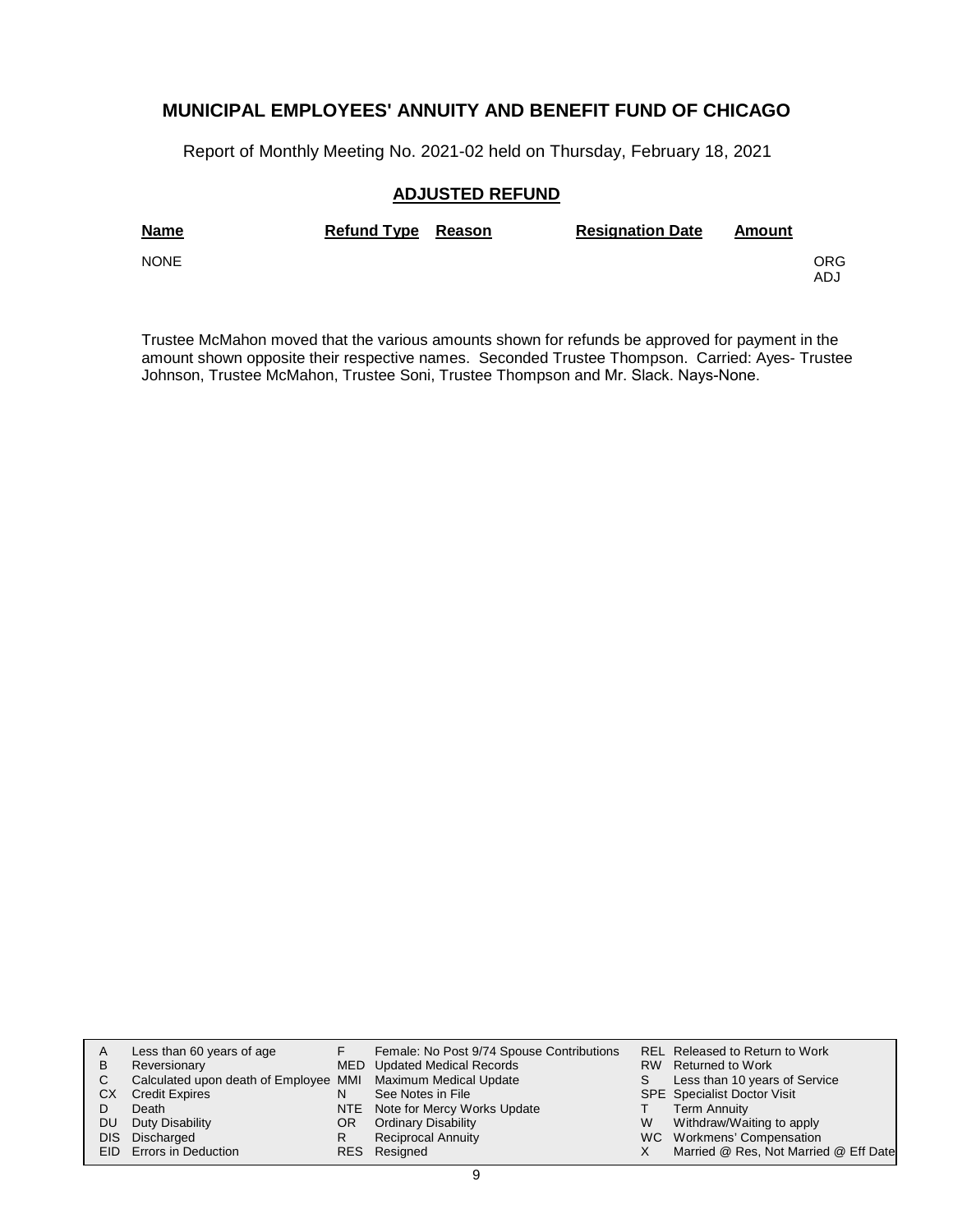Report of Monthly Meeting No. 2021-02 held on Thursday, February 18, 2021

### **ADJUSTED REFUND**

| <b>Name</b> | Refund Type Reason | <b>Resignation Date</b> | Amount |            |
|-------------|--------------------|-------------------------|--------|------------|
| <b>NONE</b> |                    |                         |        | ORG<br>ADJ |

Trustee McMahon moved that the various amounts shown for refunds be approved for payment in the amount shown opposite their respective names. Seconded Trustee Thompson. Carried: Ayes- Trustee Johnson, Trustee McMahon, Trustee Soni, Trustee Thompson and Mr. Slack. Nays-None.

|     | Less than 60 years of age                                    |     | Female: No Post 9/74 Spouse Contributions |   | REL Released to Return to Work        |
|-----|--------------------------------------------------------------|-----|-------------------------------------------|---|---------------------------------------|
| B   | Reversionary                                                 |     | MED Updated Medical Records               |   | RW Returned to Work                   |
| C.  | Calculated upon death of Employee MMI Maximum Medical Update |     |                                           |   | Less than 10 years of Service         |
| CХ  | <b>Credit Expires</b>                                        | N   | See Notes in File                         |   | <b>SPE</b> Specialist Doctor Visit    |
|     | Death                                                        |     | NTE Note for Mercy Works Update           |   | <b>Term Annuity</b>                   |
| DU. | Duty Disability                                              | OR. | <b>Ordinary Disability</b>                | W | Withdraw/Waiting to apply             |
|     | DIS Discharged                                               | R   | <b>Reciprocal Annuity</b>                 |   | WC Workmens' Compensation             |
|     | EID Errors in Deduction                                      |     | RES Resigned                              |   | Married @ Res, Not Married @ Eff Date |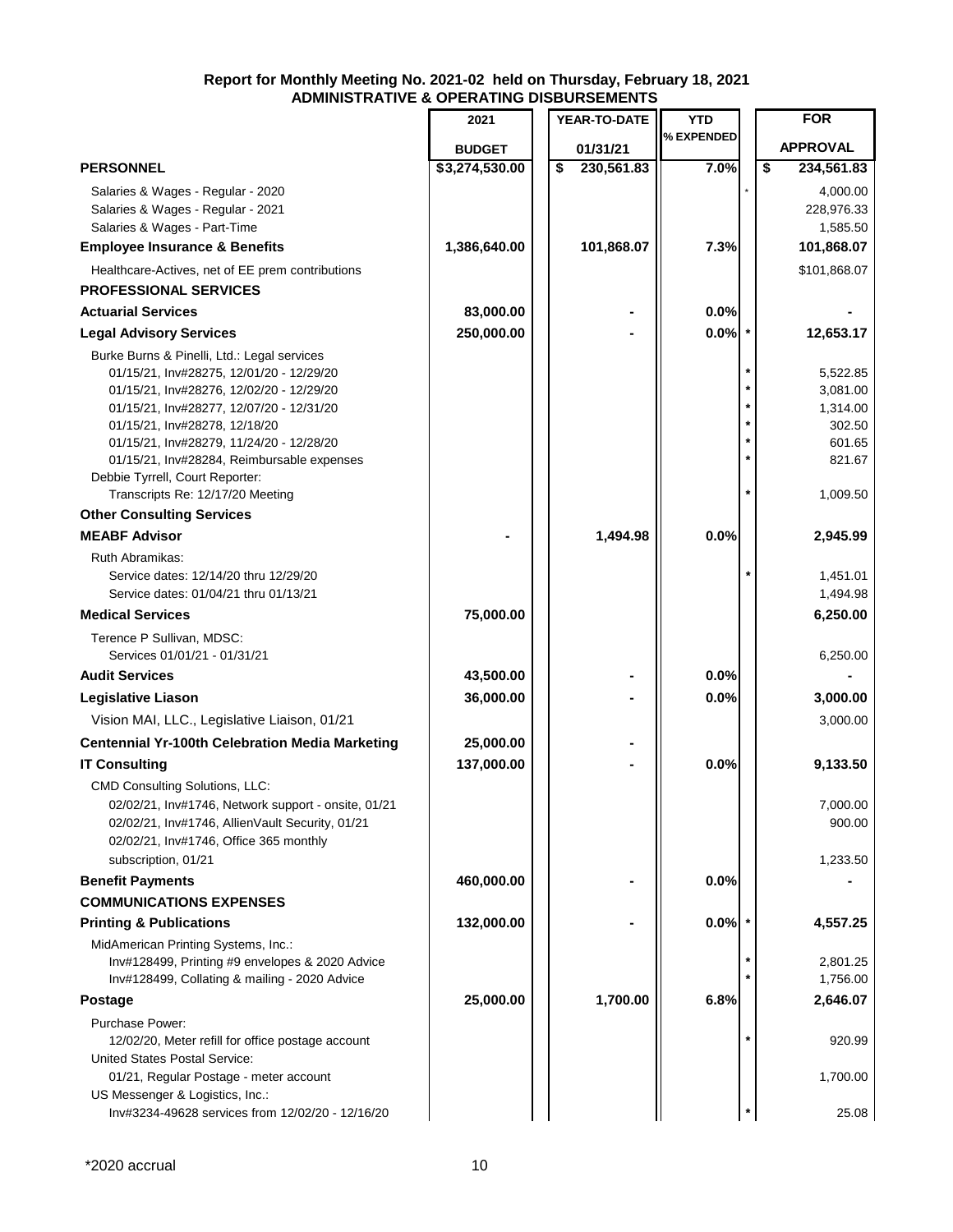|                                                                                                                                                                                                                                                                                                                                                                                   | 2021           |    | YEAR-TO-DATE | <b>YTD</b> |    | <b>FOR</b>                                                                 |
|-----------------------------------------------------------------------------------------------------------------------------------------------------------------------------------------------------------------------------------------------------------------------------------------------------------------------------------------------------------------------------------|----------------|----|--------------|------------|----|----------------------------------------------------------------------------|
|                                                                                                                                                                                                                                                                                                                                                                                   | <b>BUDGET</b>  |    | 01/31/21     | % EXPENDED |    | <b>APPROVAL</b>                                                            |
| <b>PERSONNEL</b>                                                                                                                                                                                                                                                                                                                                                                  | \$3,274,530.00 | \$ | 230,561.83   | 7.0%       | \$ | 234,561.83                                                                 |
| Salaries & Wages - Regular - 2020<br>Salaries & Wages - Regular - 2021<br>Salaries & Wages - Part-Time                                                                                                                                                                                                                                                                            |                |    |              |            |    | 4,000.00<br>228,976.33<br>1,585.50                                         |
| <b>Employee Insurance &amp; Benefits</b>                                                                                                                                                                                                                                                                                                                                          | 1,386,640.00   |    | 101,868.07   | 7.3%       |    | 101,868.07                                                                 |
| Healthcare-Actives, net of EE prem contributions                                                                                                                                                                                                                                                                                                                                  |                |    |              |            |    | \$101,868.07                                                               |
| <b>PROFESSIONAL SERVICES</b>                                                                                                                                                                                                                                                                                                                                                      |                |    |              |            |    |                                                                            |
| <b>Actuarial Services</b>                                                                                                                                                                                                                                                                                                                                                         | 83,000.00      |    |              | 0.0%       |    |                                                                            |
| <b>Legal Advisory Services</b>                                                                                                                                                                                                                                                                                                                                                    | 250,000.00     |    |              | 0.0%       |    | 12,653.17                                                                  |
| Burke Burns & Pinelli, Ltd.: Legal services<br>01/15/21, Inv#28275, 12/01/20 - 12/29/20<br>01/15/21, Inv#28276, 12/02/20 - 12/29/20<br>01/15/21, Inv#28277, 12/07/20 - 12/31/20<br>01/15/21, Inv#28278, 12/18/20<br>01/15/21, Inv#28279, 11/24/20 - 12/28/20<br>01/15/21, Inv#28284, Reimbursable expenses<br>Debbie Tyrrell, Court Reporter:<br>Transcripts Re: 12/17/20 Meeting |                |    |              |            |    | 5,522.85<br>3,081.00<br>1,314.00<br>302.50<br>601.65<br>821.67<br>1,009.50 |
| <b>Other Consulting Services</b>                                                                                                                                                                                                                                                                                                                                                  |                |    |              |            |    |                                                                            |
| <b>MEABF Advisor</b>                                                                                                                                                                                                                                                                                                                                                              |                |    | 1,494.98     | 0.0%       |    | 2,945.99                                                                   |
| Ruth Abramikas:<br>Service dates: 12/14/20 thru 12/29/20<br>Service dates: 01/04/21 thru 01/13/21                                                                                                                                                                                                                                                                                 |                |    |              |            |    | 1,451.01<br>1,494.98                                                       |
| <b>Medical Services</b>                                                                                                                                                                                                                                                                                                                                                           | 75,000.00      |    |              |            |    | 6,250.00                                                                   |
| Terence P Sullivan, MDSC:<br>Services 01/01/21 - 01/31/21                                                                                                                                                                                                                                                                                                                         |                |    |              |            |    | 6,250.00                                                                   |
| <b>Audit Services</b>                                                                                                                                                                                                                                                                                                                                                             | 43,500.00      |    |              | 0.0%       |    |                                                                            |
| Legislative Liason                                                                                                                                                                                                                                                                                                                                                                | 36,000.00      |    |              | 0.0%       |    | 3,000.00                                                                   |
| Vision MAI, LLC., Legislative Liaison, 01/21                                                                                                                                                                                                                                                                                                                                      |                |    |              |            |    | 3,000.00                                                                   |
| <b>Centennial Yr-100th Celebration Media Marketing</b>                                                                                                                                                                                                                                                                                                                            | 25,000.00      |    |              |            |    |                                                                            |
| <b>IT Consulting</b>                                                                                                                                                                                                                                                                                                                                                              | 137,000.00     |    |              | 0.0%       |    | 9,133.50                                                                   |
| CMD Consulting Solutions, LLC:<br>02/02/21, Inv#1746, Network support - onsite, 01/21<br>02/02/21, Inv#1746, AllienVault Security, 01/21<br>02/02/21, Inv#1746, Office 365 monthly<br>subscription, 01/21                                                                                                                                                                         |                |    |              |            |    | 7,000.00<br>900.00<br>1,233.50                                             |
| <b>Benefit Payments</b>                                                                                                                                                                                                                                                                                                                                                           | 460,000.00     |    |              | 0.0%       |    |                                                                            |
| <b>COMMUNICATIONS EXPENSES</b>                                                                                                                                                                                                                                                                                                                                                    |                |    |              |            |    |                                                                            |
| <b>Printing &amp; Publications</b>                                                                                                                                                                                                                                                                                                                                                | 132,000.00     |    |              | 0.0%       |    | 4,557.25                                                                   |
| MidAmerican Printing Systems, Inc.:<br>Inv#128499, Printing #9 envelopes & 2020 Advice<br>Inv#128499, Collating & mailing - 2020 Advice                                                                                                                                                                                                                                           |                |    |              |            |    | 2,801.25<br>1,756.00                                                       |
| <b>Postage</b>                                                                                                                                                                                                                                                                                                                                                                    | 25,000.00      |    | 1,700.00     | 6.8%       |    | 2,646.07                                                                   |
| Purchase Power:<br>12/02/20, Meter refill for office postage account                                                                                                                                                                                                                                                                                                              |                |    |              |            |    | 920.99                                                                     |
| <b>United States Postal Service:</b><br>01/21, Regular Postage - meter account<br>US Messenger & Logistics, Inc.:                                                                                                                                                                                                                                                                 |                |    |              |            |    | 1,700.00                                                                   |
| Inv#3234-49628 services from 12/02/20 - 12/16/20                                                                                                                                                                                                                                                                                                                                  |                |    |              |            |    | 25.08                                                                      |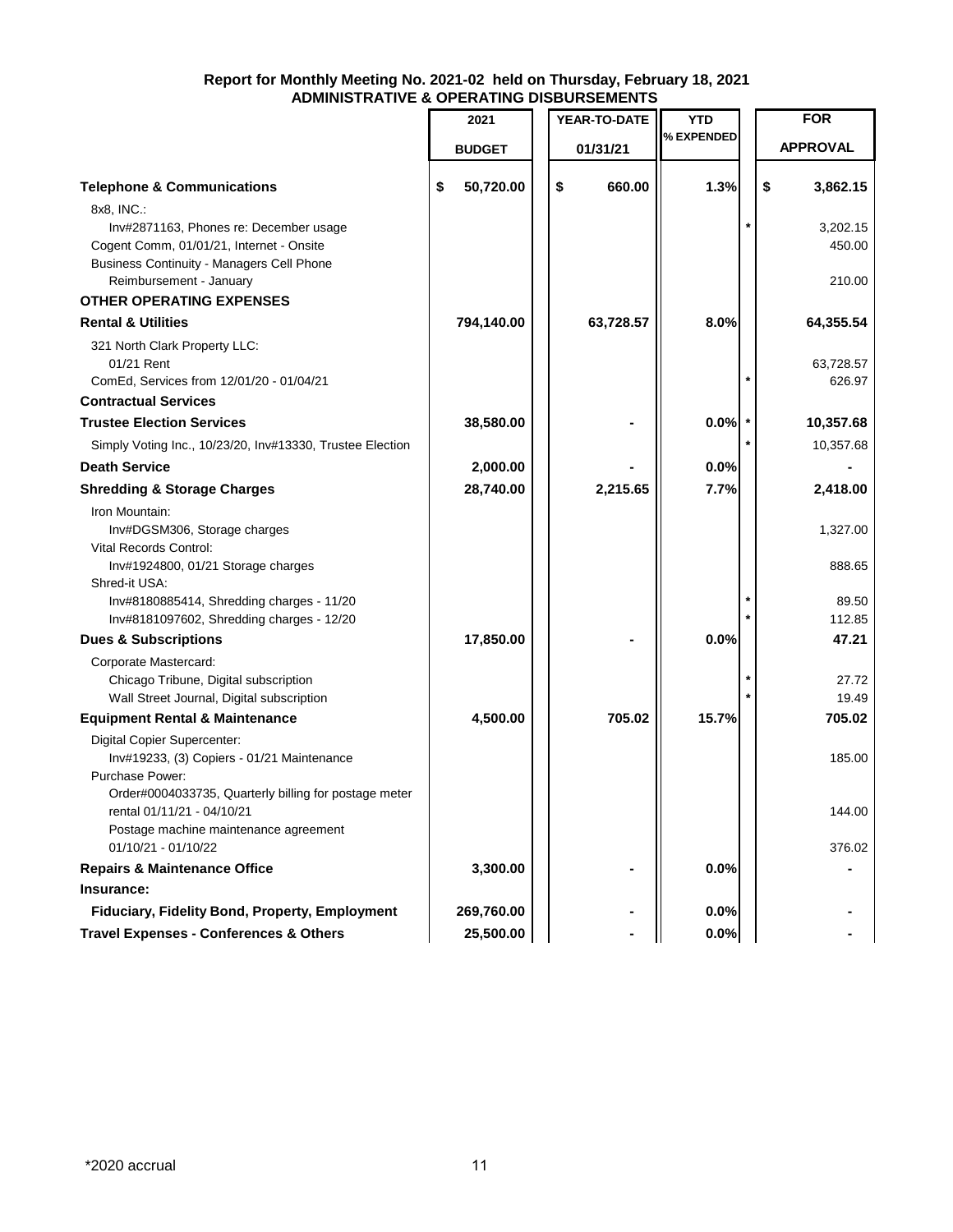|                                                                                                                                                                                 | 2021            |    | YEAR-TO-DATE | YTD<br>% EXPENDED | <b>FOR</b>                   |
|---------------------------------------------------------------------------------------------------------------------------------------------------------------------------------|-----------------|----|--------------|-------------------|------------------------------|
|                                                                                                                                                                                 | <b>BUDGET</b>   |    | 01/31/21     |                   | <b>APPROVAL</b>              |
| <b>Telephone &amp; Communications</b>                                                                                                                                           | \$<br>50,720.00 | \$ | 660.00       | 1.3%              | \$<br>3,862.15               |
| 8x8, INC.:<br>Inv#2871163, Phones re: December usage<br>Cogent Comm, 01/01/21, Internet - Onsite<br><b>Business Continuity - Managers Cell Phone</b><br>Reimbursement - January |                 |    |              |                   | 3,202.15<br>450.00<br>210.00 |
| <b>OTHER OPERATING EXPENSES</b>                                                                                                                                                 |                 |    |              |                   |                              |
| <b>Rental &amp; Utilities</b>                                                                                                                                                   | 794,140.00      |    | 63,728.57    | 8.0%              | 64,355.54                    |
| 321 North Clark Property LLC:<br>01/21 Rent                                                                                                                                     |                 |    |              |                   | 63,728.57                    |
| ComEd, Services from 12/01/20 - 01/04/21                                                                                                                                        |                 |    |              |                   | 626.97                       |
| <b>Contractual Services</b>                                                                                                                                                     |                 |    |              |                   |                              |
| <b>Trustee Election Services</b>                                                                                                                                                | 38,580.00       |    |              | 0.0%              | 10,357.68                    |
| Simply Voting Inc., 10/23/20, Inv#13330, Trustee Election                                                                                                                       |                 |    |              |                   | 10,357.68                    |
| <b>Death Service</b>                                                                                                                                                            | 2,000.00        |    |              | 0.0%              |                              |
| <b>Shredding &amp; Storage Charges</b>                                                                                                                                          | 28,740.00       |    | 2,215.65     | 7.7%              | 2,418.00                     |
| Iron Mountain:<br>Inv#DGSM306, Storage charges<br>Vital Records Control:<br>Inv#1924800, 01/21 Storage charges                                                                  |                 |    |              |                   | 1,327.00<br>888.65           |
| Shred-it USA:<br>Inv#8180885414, Shredding charges - 11/20<br>Inv#8181097602, Shredding charges - 12/20                                                                         |                 |    |              |                   | 89.50<br>112.85              |
| <b>Dues &amp; Subscriptions</b>                                                                                                                                                 | 17,850.00       |    |              | 0.0%              | 47.21                        |
| Corporate Mastercard:<br>Chicago Tribune, Digital subscription<br>Wall Street Journal, Digital subscription                                                                     |                 |    |              |                   | 27.72<br>19.49               |
| <b>Equipment Rental &amp; Maintenance</b>                                                                                                                                       | 4,500.00        |    | 705.02       | 15.7%             | 705.02                       |
| Digital Copier Supercenter:<br>Inv#19233, (3) Copiers - 01/21 Maintenance<br>Purchase Power:<br>Order#0004033735, Quarterly billing for postage meter                           |                 |    |              |                   | 185.00                       |
| rental 01/11/21 - 04/10/21<br>Postage machine maintenance agreement                                                                                                             |                 |    |              |                   | 144.00                       |
| 01/10/21 - 01/10/22                                                                                                                                                             |                 |    |              |                   | 376.02                       |
| <b>Repairs &amp; Maintenance Office</b>                                                                                                                                         | 3,300.00        |    |              | 0.0%              |                              |
| Insurance:                                                                                                                                                                      |                 |    |              |                   |                              |
| Fiduciary, Fidelity Bond, Property, Employment                                                                                                                                  | 269,760.00      |    |              | 0.0%              |                              |
| <b>Travel Expenses - Conferences &amp; Others</b>                                                                                                                               | 25,500.00       |    |              | 0.0%              |                              |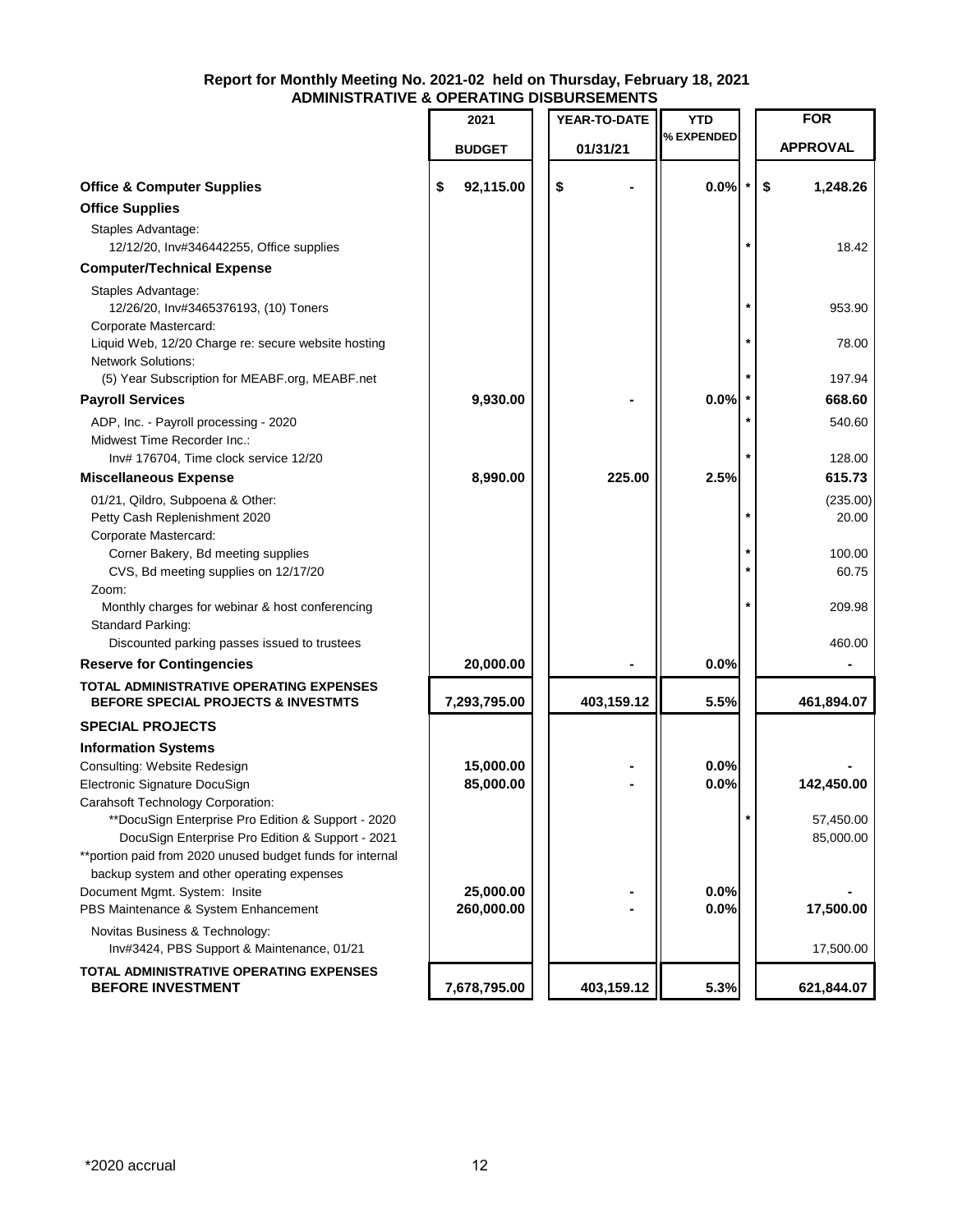|                                                                                                           | 2021            | YEAR-TO-DATE | <b>YTD</b> |         | <b>FOR</b>        |
|-----------------------------------------------------------------------------------------------------------|-----------------|--------------|------------|---------|-------------------|
|                                                                                                           | <b>BUDGET</b>   | 01/31/21     | % EXPENDED |         | <b>APPROVAL</b>   |
| <b>Office &amp; Computer Supplies</b>                                                                     | \$<br>92,115.00 | \$           | 0.0%       |         | \$<br>1,248.26    |
| <b>Office Supplies</b>                                                                                    |                 |              |            |         |                   |
| Staples Advantage:<br>12/12/20, Inv#346442255, Office supplies                                            |                 |              |            |         | 18.42             |
| <b>Computer/Technical Expense</b>                                                                         |                 |              |            |         |                   |
| Staples Advantage:<br>12/26/20, Inv#3465376193, (10) Toners                                               |                 |              |            |         | 953.90            |
| Corporate Mastercard:<br>Liquid Web, 12/20 Charge re: secure website hosting<br><b>Network Solutions:</b> |                 |              |            |         | 78.00             |
| (5) Year Subscription for MEABF.org, MEABF.net                                                            |                 |              |            |         | 197.94            |
| <b>Payroll Services</b>                                                                                   | 9,930.00        |              | 0.0%       |         | 668.60            |
| ADP, Inc. - Payroll processing - 2020<br>Midwest Time Recorder Inc.:                                      |                 |              |            |         | 540.60            |
| Inv# 176704, Time clock service 12/20                                                                     |                 |              |            |         | 128.00            |
| <b>Miscellaneous Expense</b>                                                                              | 8,990.00        | 225.00       | 2.5%       |         | 615.73            |
| 01/21, Qildro, Subpoena & Other:<br>Petty Cash Replenishment 2020<br>Corporate Mastercard:                |                 |              |            | $\star$ | (235.00)<br>20.00 |
| Corner Bakery, Bd meeting supplies<br>CVS, Bd meeting supplies on 12/17/20                                |                 |              |            | $\star$ | 100.00<br>60.75   |
| Zoom:<br>Monthly charges for webinar & host conferencing<br>Standard Parking:                             |                 |              |            |         | 209.98            |
| Discounted parking passes issued to trustees                                                              |                 |              |            |         | 460.00            |
| <b>Reserve for Contingencies</b>                                                                          | 20,000.00       |              | 0.0%       |         |                   |
| TOTAL ADMINISTRATIVE OPERATING EXPENSES<br><b>BEFORE SPECIAL PROJECTS &amp; INVESTMTS</b>                 | 7,293,795.00    | 403,159.12   | 5.5%       |         | 461,894.07        |
| <b>SPECIAL PROJECTS</b>                                                                                   |                 |              |            |         |                   |
| <b>Information Systems</b>                                                                                |                 |              |            |         |                   |
| Consulting: Website Redesign                                                                              | 15,000.00       |              | 0.0%       |         |                   |
| Electronic Signature DocuSign                                                                             | 85,000.00       |              | 0.0%       |         | 142,450.00        |
| Carahsoft Technology Corporation:                                                                         |                 |              |            |         |                   |
| **DocuSign Enterprise Pro Edition & Support - 2020                                                        |                 |              |            |         | 57,450.00         |
| DocuSign Enterprise Pro Edition & Support - 2021                                                          |                 |              |            |         | 85,000.00         |
| **portion paid from 2020 unused budget funds for internal                                                 |                 |              |            |         |                   |
| backup system and other operating expenses<br>Document Mgmt. System: Insite                               | 25,000.00       |              | 0.0%       |         |                   |
| PBS Maintenance & System Enhancement                                                                      | 260,000.00      |              | 0.0%       |         | 17,500.00         |
| Novitas Business & Technology:                                                                            |                 |              |            |         |                   |
| Inv#3424, PBS Support & Maintenance, 01/21                                                                |                 |              |            |         | 17,500.00         |
| TOTAL ADMINISTRATIVE OPERATING EXPENSES<br><b>BEFORE INVESTMENT</b>                                       | 7,678,795.00    | 403,159.12   | 5.3%       |         | 621,844.07        |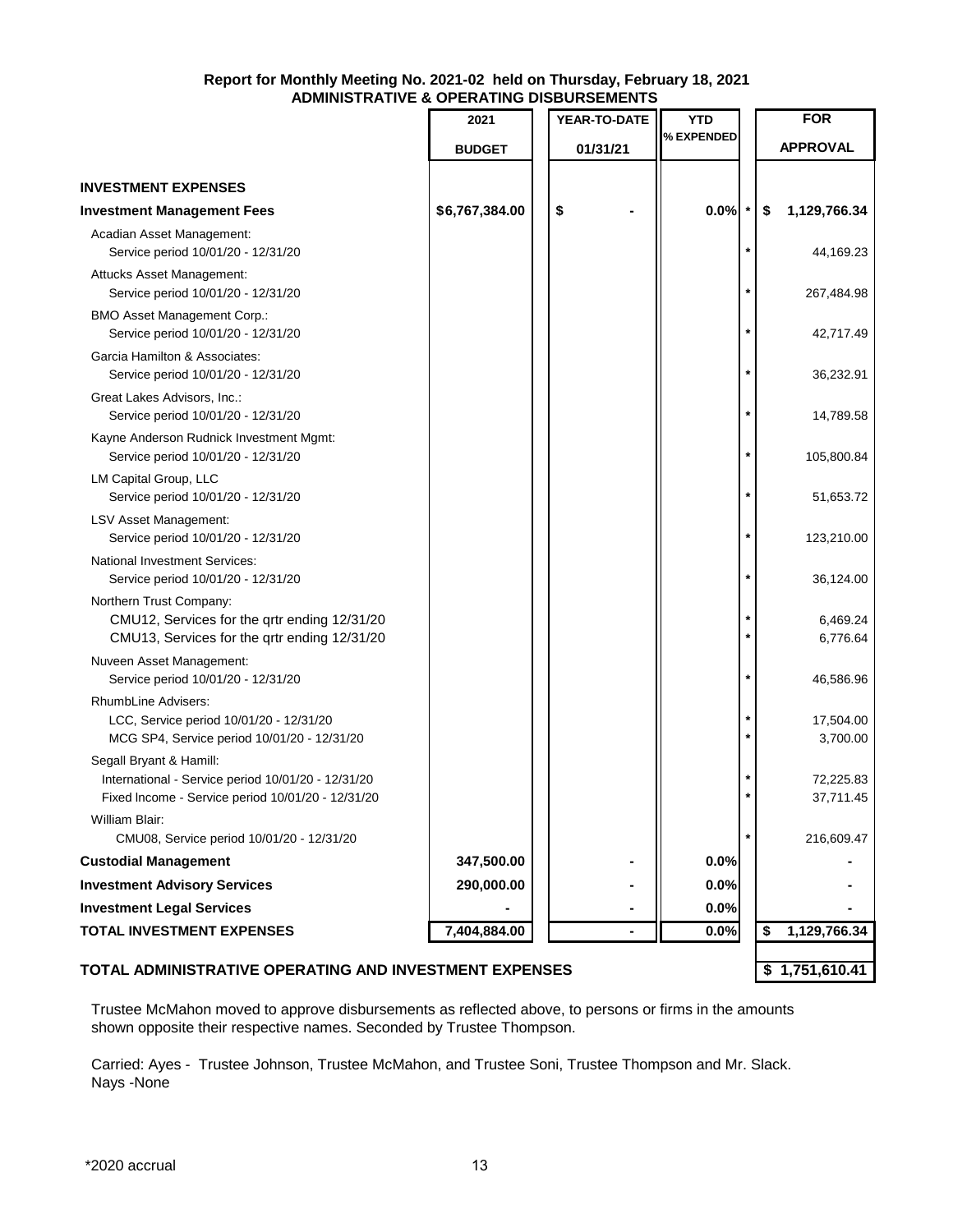|                                                                                                                                    | 2021           | YEAR-TO-DATE   | <b>YTD</b> |              | <b>FOR</b>             |
|------------------------------------------------------------------------------------------------------------------------------------|----------------|----------------|------------|--------------|------------------------|
|                                                                                                                                    | <b>BUDGET</b>  | 01/31/21       | % EXPENDED |              | <b>APPROVAL</b>        |
| <b>INVESTMENT EXPENSES</b>                                                                                                         |                |                |            |              |                        |
| <b>Investment Management Fees</b>                                                                                                  | \$6,767,384.00 | \$             | 0.0%       |              | \$<br>1,129,766.34     |
| Acadian Asset Management:                                                                                                          |                |                |            |              |                        |
| Service period 10/01/20 - 12/31/20                                                                                                 |                |                |            |              | 44,169.23              |
| Attucks Asset Management:<br>Service period 10/01/20 - 12/31/20                                                                    |                |                |            |              | 267,484.98             |
| <b>BMO Asset Management Corp.:</b><br>Service period 10/01/20 - 12/31/20                                                           |                |                |            |              | 42,717.49              |
| Garcia Hamilton & Associates:<br>Service period 10/01/20 - 12/31/20                                                                |                |                |            |              | 36,232.91              |
| Great Lakes Advisors, Inc.:<br>Service period 10/01/20 - 12/31/20                                                                  |                |                |            |              | 14,789.58              |
| Kayne Anderson Rudnick Investment Mgmt:<br>Service period 10/01/20 - 12/31/20                                                      |                |                |            |              | 105,800.84             |
| LM Capital Group, LLC<br>Service period 10/01/20 - 12/31/20                                                                        |                |                |            | $\star$      | 51,653.72              |
| LSV Asset Management:<br>Service period 10/01/20 - 12/31/20                                                                        |                |                |            |              | 123,210.00             |
| <b>National Investment Services:</b><br>Service period 10/01/20 - 12/31/20                                                         |                |                |            |              | 36,124.00              |
| Northern Trust Company:<br>CMU12, Services for the qrtr ending 12/31/20<br>CMU13, Services for the qrtr ending 12/31/20            |                |                |            | *<br>$\star$ | 6,469.24<br>6,776.64   |
| Nuveen Asset Management:<br>Service period 10/01/20 - 12/31/20                                                                     |                |                |            |              | 46,586.96              |
| RhumbLine Advisers:<br>LCC, Service period 10/01/20 - 12/31/20<br>MCG SP4, Service period 10/01/20 - 12/31/20                      |                |                |            | $\ast$       | 17,504.00<br>3,700.00  |
| Segall Bryant & Hamill:<br>International - Service period 10/01/20 - 12/31/20<br>Fixed Income - Service period 10/01/20 - 12/31/20 |                |                |            |              | 72,225.83<br>37,711.45 |
| William Blair:<br>CMU08, Service period 10/01/20 - 12/31/20                                                                        |                |                |            | $\ast$       | 216,609.47             |
| <b>Custodial Management</b>                                                                                                        | 347,500.00     |                | 0.0%       |              |                        |
| <b>Investment Advisory Services</b>                                                                                                | 290,000.00     |                | 0.0%       |              |                        |
| <b>Investment Legal Services</b>                                                                                                   |                |                | 0.0%       |              |                        |
| <b>TOTAL INVESTMENT EXPENSES</b>                                                                                                   | 7,404,884.00   | $\blacksquare$ | 0.0%       |              | \$<br>1,129,766.34     |
|                                                                                                                                    |                |                |            |              |                        |

### **TOTAL ADMINISTRATIVE OPERATING AND INVESTMENT EXPENSES**  $\begin{bmatrix} 1,751,610.41 \end{bmatrix}$

Trustee McMahon moved to approve disbursements as reflected above, to persons or firms in the amounts shown opposite their respective names. Seconded by Trustee Thompson.

Carried: Ayes - Trustee Johnson, Trustee McMahon, and Trustee Soni, Trustee Thompson and Mr. Slack. Nays -None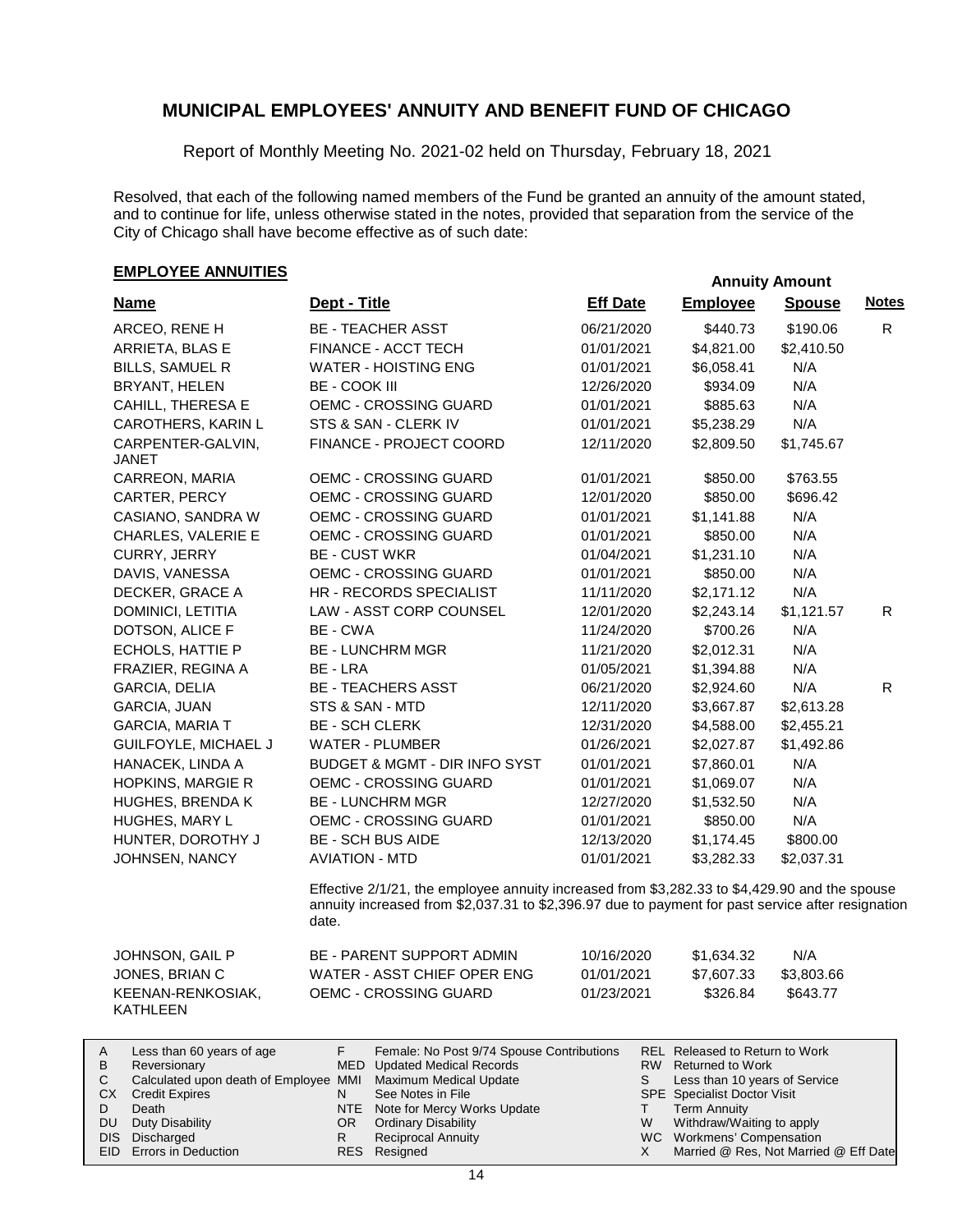Report of Monthly Meeting No. 2021-02 held on Thursday, February 18, 2021

Resolved, that each of the following named members of the Fund be granted an annuity of the amount stated, and to continue for life, unless otherwise stated in the notes, provided that separation from the service of the City of Chicago shall have become effective as of such date:

# **EMPLOYEE ANNUITIES Annuity Amount**

| <b>Name</b>                          | Dept - Title                                                                                                                                                                                                | <b>Eff Date</b> | <b>Employee</b> | <b>Spouse</b> | <b>Notes</b> |
|--------------------------------------|-------------------------------------------------------------------------------------------------------------------------------------------------------------------------------------------------------------|-----------------|-----------------|---------------|--------------|
| ARCEO, RENE H                        | <b>BE - TEACHER ASST</b>                                                                                                                                                                                    | 06/21/2020      | \$440.73        | \$190.06      | $\mathsf{R}$ |
| ARRIETA, BLAS E                      | FINANCE - ACCT TECH                                                                                                                                                                                         | 01/01/2021      | \$4,821.00      | \$2,410.50    |              |
| <b>BILLS, SAMUEL R</b>               | <b>WATER - HOISTING ENG</b>                                                                                                                                                                                 | 01/01/2021      | \$6,058.41      | N/A           |              |
| BRYANT, HELEN                        | BE - COOK III                                                                                                                                                                                               | 12/26/2020      | \$934.09        | N/A           |              |
| <b>CAHILL, THERESA E</b>             | OEMC - CROSSING GUARD                                                                                                                                                                                       | 01/01/2021      | \$885.63        | N/A           |              |
| CAROTHERS, KARIN L                   | STS & SAN - CLERK IV                                                                                                                                                                                        | 01/01/2021      | \$5,238.29      | N/A           |              |
| CARPENTER-GALVIN,<br>JANET           | FINANCE - PROJECT COORD                                                                                                                                                                                     | 12/11/2020      | \$2,809.50      | \$1,745.67    |              |
| CARREON, MARIA                       | <b>OEMC - CROSSING GUARD</b>                                                                                                                                                                                | 01/01/2021      | \$850.00        | \$763.55      |              |
| CARTER, PERCY                        | OEMC - CROSSING GUARD                                                                                                                                                                                       | 12/01/2020      | \$850.00        | \$696.42      |              |
| CASIANO, SANDRA W                    | OEMC - CROSSING GUARD                                                                                                                                                                                       | 01/01/2021      | \$1,141.88      | N/A           |              |
| CHARLES, VALERIE E                   | OEMC - CROSSING GUARD                                                                                                                                                                                       | 01/01/2021      | \$850.00        | N/A           |              |
| CURRY, JERRY                         | <b>BE - CUST WKR</b>                                                                                                                                                                                        | 01/04/2021      | \$1,231.10      | N/A           |              |
| DAVIS, VANESSA                       | OEMC - CROSSING GUARD                                                                                                                                                                                       | 01/01/2021      | \$850.00        | N/A           |              |
| DECKER, GRACE A                      | HR - RECORDS SPECIALIST                                                                                                                                                                                     | 11/11/2020      | \$2,171.12      | N/A           |              |
| DOMINICI, LETITIA                    | LAW - ASST CORP COUNSEL                                                                                                                                                                                     | 12/01/2020      | \$2,243.14      | \$1,121.57    | R            |
| DOTSON, ALICE F                      | BE - CWA                                                                                                                                                                                                    | 11/24/2020      | \$700.26        | N/A           |              |
| ECHOLS, HATTIE P                     | <b>BE - LUNCHRM MGR</b>                                                                                                                                                                                     | 11/21/2020      | \$2,012.31      | N/A           |              |
| FRAZIER, REGINA A                    | BE - LRA                                                                                                                                                                                                    | 01/05/2021      | \$1,394.88      | N/A           |              |
| GARCIA, DELIA                        | <b>BE - TEACHERS ASST</b>                                                                                                                                                                                   | 06/21/2020      | \$2,924.60      | N/A           | R.           |
| <b>GARCIA, JUAN</b>                  | STS & SAN - MTD                                                                                                                                                                                             | 12/11/2020      | \$3,667.87      | \$2,613.28    |              |
| <b>GARCIA, MARIA T</b>               | <b>BE - SCH CLERK</b>                                                                                                                                                                                       | 12/31/2020      | \$4,588.00      | \$2,455.21    |              |
| GUILFOYLE, MICHAEL J                 | <b>WATER - PLUMBER</b>                                                                                                                                                                                      | 01/26/2021      | \$2,027.87      | \$1,492.86    |              |
| HANACEK, LINDA A                     | BUDGET & MGMT - DIR INFO SYST                                                                                                                                                                               | 01/01/2021      | \$7,860.01      | N/A           |              |
| HOPKINS, MARGIE R                    | <b>OEMC - CROSSING GUARD</b>                                                                                                                                                                                | 01/01/2021      | \$1,069.07      | N/A           |              |
| <b>HUGHES, BRENDA K</b>              | <b>BE - LUNCHRM MGR</b>                                                                                                                                                                                     | 12/27/2020      | \$1,532.50      | N/A           |              |
| HUGHES, MARY L                       | OEMC - CROSSING GUARD                                                                                                                                                                                       | 01/01/2021      | \$850.00        | N/A           |              |
| HUNTER, DOROTHY J                    | <b>BE - SCH BUS AIDE</b>                                                                                                                                                                                    | 12/13/2020      | \$1,174.45      | \$800.00      |              |
| JOHNSEN, NANCY                       | <b>AVIATION - MTD</b>                                                                                                                                                                                       | 01/01/2021      | \$3,282.33      | \$2,037.31    |              |
|                                      | Effective 2/1/21, the employee annuity increased from \$3,282.33 to \$4,429.90 and the spouse<br>annuity increased from \$2,037.31 to \$2,396.97 due to payment for past service after resignation<br>date. |                 |                 |               |              |
| JOHNSON, GAIL P                      | <b>BE - PARENT SUPPORT ADMIN</b>                                                                                                                                                                            | 10/16/2020      | \$1,634.32      | N/A           |              |
| JONES, BRIAN C                       | WATER - ASST CHIEF OPER ENG                                                                                                                                                                                 | 01/01/2021      | \$7,607.33      | \$3,803.66    |              |
| KEENAN-RENKOSIAK,<br><b>KATHLEEN</b> | OEMC - CROSSING GUARD                                                                                                                                                                                       | 01/23/2021      | \$326.84        | \$643.77      |              |
|                                      |                                                                                                                                                                                                             |                 |                 |               |              |

|           | Less than 60 years of age                                    |     | Female: No Post 9/74 Spouse Contributions |   | REL Released to Return to Work        |
|-----------|--------------------------------------------------------------|-----|-------------------------------------------|---|---------------------------------------|
| B         | Reversionary                                                 |     | MED Updated Medical Records               |   | RW Returned to Work                   |
|           | Calculated upon death of Employee MMI Maximum Medical Update |     |                                           |   | Less than 10 years of Service         |
| CX.       | Credit Expires                                               |     | See Notes in File                         |   | <b>SPE</b> Specialist Doctor Visit    |
|           | Death                                                        |     | NTE Note for Mercy Works Update           |   | <b>Term Annuity</b>                   |
| <b>DU</b> | Duty Disability                                              | OR. | <b>Ordinary Disability</b>                | W | Withdraw/Waiting to apply             |
|           | DIS Discharged                                               |     | <b>Reciprocal Annuity</b>                 |   | WC Workmens' Compensation             |
|           | <b>EID</b> Errors in Deduction                               |     | RES Resigned                              |   | Married @ Res, Not Married @ Eff Date |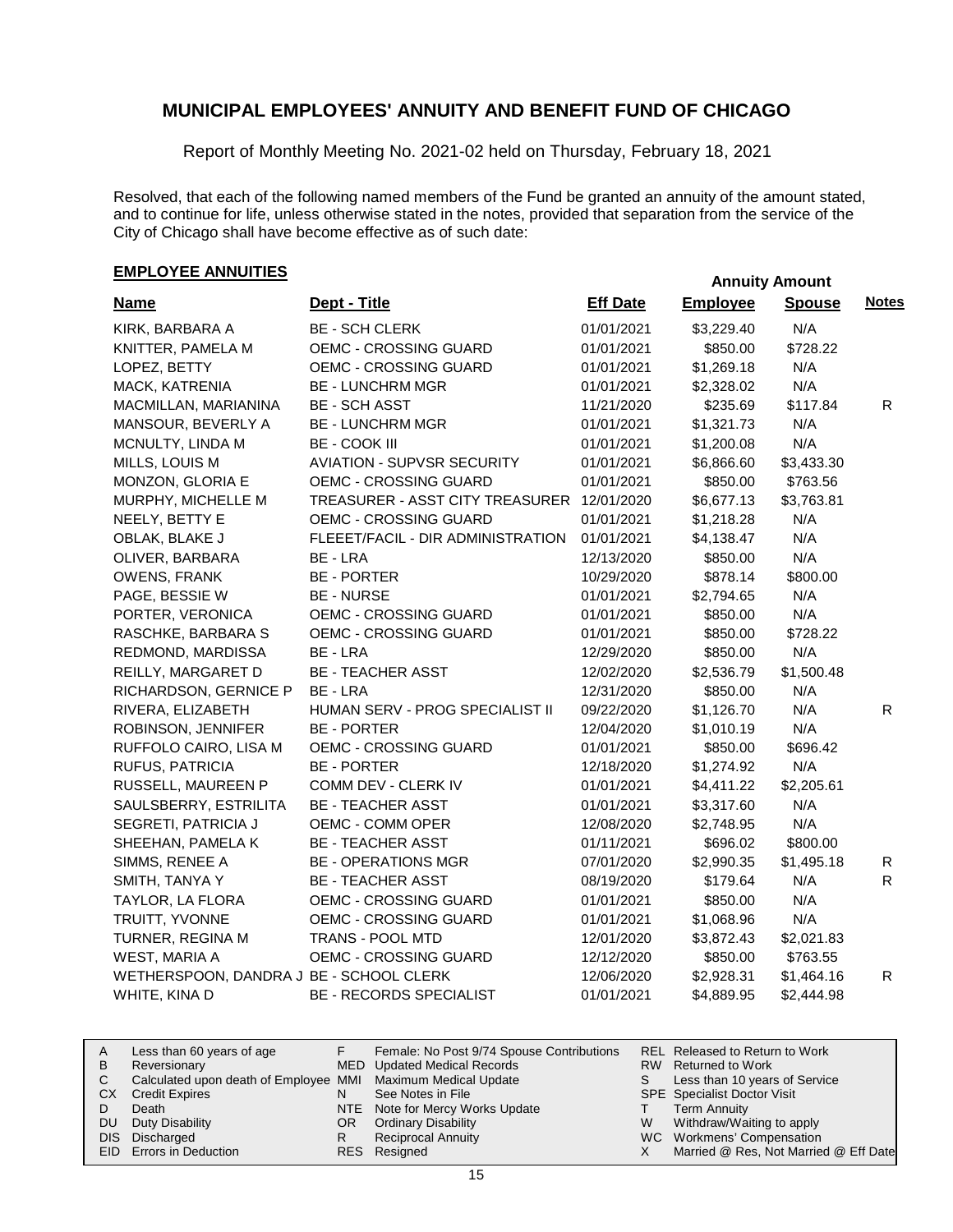Report of Monthly Meeting No. 2021-02 held on Thursday, February 18, 2021

Resolved, that each of the following named members of the Fund be granted an annuity of the amount stated, and to continue for life, unless otherwise stated in the notes, provided that separation from the service of the City of Chicago shall have become effective as of such date:

# **EMPLOYEE ANNUITIES**

| <b>Name</b>                             | Dept - Title                      | <b>Eff Date</b> | <b>Employee</b> | <b>Spouse</b> | <b>Notes</b> |
|-----------------------------------------|-----------------------------------|-----------------|-----------------|---------------|--------------|
| KIRK, BARBARA A                         | <b>BE - SCH CLERK</b>             | 01/01/2021      | \$3,229.40      | N/A           |              |
| KNITTER, PAMELA M                       | OEMC - CROSSING GUARD             | 01/01/2021      | \$850.00        | \$728.22      |              |
| LOPEZ, BETTY                            | OEMC - CROSSING GUARD             | 01/01/2021      | \$1,269.18      | N/A           |              |
| MACK, KATRENIA                          | <b>BE - LUNCHRM MGR</b>           | 01/01/2021      | \$2,328.02      | N/A           |              |
| MACMILLAN, MARIANINA                    | <b>BE - SCH ASST</b>              | 11/21/2020      | \$235.69        | \$117.84      | R.           |
| MANSOUR, BEVERLY A                      | <b>BE - LUNCHRM MGR</b>           | 01/01/2021      | \$1,321.73      | N/A           |              |
| MCNULTY, LINDA M                        | <b>BE - COOK III</b>              | 01/01/2021      | \$1,200.08      | N/A           |              |
| MILLS, LOUIS M                          | <b>AVIATION - SUPVSR SECURITY</b> | 01/01/2021      | \$6,866.60      | \$3,433.30    |              |
| MONZON, GLORIA E                        | OEMC - CROSSING GUARD             | 01/01/2021      | \$850.00        | \$763.56      |              |
| MURPHY, MICHELLE M                      | TREASURER - ASST CITY TREASURER   | 12/01/2020      | \$6,677.13      | \$3,763.81    |              |
| NEELY, BETTY E                          | OEMC - CROSSING GUARD             | 01/01/2021      | \$1,218.28      | N/A           |              |
| OBLAK, BLAKE J                          | FLEEET/FACIL - DIR ADMINISTRATION | 01/01/2021      | \$4,138.47      | N/A           |              |
| OLIVER, BARBARA                         | BE - LRA                          | 12/13/2020      | \$850.00        | N/A           |              |
| OWENS, FRANK                            | <b>BE - PORTER</b>                | 10/29/2020      | \$878.14        | \$800.00      |              |
| PAGE, BESSIE W                          | <b>BE - NURSE</b>                 | 01/01/2021      | \$2,794.65      | N/A           |              |
| PORTER, VERONICA                        | OEMC - CROSSING GUARD             | 01/01/2021      | \$850.00        | N/A           |              |
| RASCHKE, BARBARA S                      | OEMC - CROSSING GUARD             | 01/01/2021      | \$850.00        | \$728.22      |              |
| REDMOND, MARDISSA                       | BE - LRA                          | 12/29/2020      | \$850.00        | N/A           |              |
| REILLY, MARGARET D                      | <b>BE - TEACHER ASST</b>          | 12/02/2020      | \$2,536.79      | \$1,500.48    |              |
| RICHARDSON, GERNICE P                   | BE - LRA                          | 12/31/2020      | \$850.00        | N/A           |              |
| RIVERA, ELIZABETH                       | HUMAN SERV - PROG SPECIALIST II   | 09/22/2020      | \$1,126.70      | N/A           | $\mathsf{R}$ |
| ROBINSON, JENNIFER                      | <b>BE - PORTER</b>                | 12/04/2020      | \$1,010.19      | N/A           |              |
| RUFFOLO CAIRO, LISA M                   | <b>OEMC - CROSSING GUARD</b>      | 01/01/2021      | \$850.00        | \$696.42      |              |
| RUFUS, PATRICIA                         | <b>BE - PORTER</b>                | 12/18/2020      | \$1,274.92      | N/A           |              |
| RUSSELL, MAUREEN P                      | COMM DEV - CLERK IV               | 01/01/2021      | \$4,411.22      | \$2,205.61    |              |
| SAULSBERRY, ESTRILITA                   | <b>BE - TEACHER ASST</b>          | 01/01/2021      | \$3,317.60      | N/A           |              |
| SEGRETI, PATRICIA J                     | OEMC - COMM OPER                  | 12/08/2020      | \$2,748.95      | N/A           |              |
| SHEEHAN, PAMELA K                       | <b>BE - TEACHER ASST</b>          | 01/11/2021      | \$696.02        | \$800.00      |              |
| SIMMS, RENEE A                          | <b>BE - OPERATIONS MGR</b>        | 07/01/2020      | \$2,990.35      | \$1,495.18    | R            |
| SMITH, TANYA Y                          | <b>BE - TEACHER ASST</b>          | 08/19/2020      | \$179.64        | N/A           | R.           |
| TAYLOR, LA FLORA                        | <b>OEMC - CROSSING GUARD</b>      | 01/01/2021      | \$850.00        | N/A           |              |
| TRUITT, YVONNE                          | OEMC - CROSSING GUARD             | 01/01/2021      | \$1,068.96      | N/A           |              |
| TURNER, REGINA M                        | TRANS - POOL MTD                  | 12/01/2020      | \$3,872.43      | \$2,021.83    |              |
| WEST, MARIA A                           | <b>OEMC - CROSSING GUARD</b>      | 12/12/2020      | \$850.00        | \$763.55      |              |
| WETHERSPOON, DANDRA J BE - SCHOOL CLERK |                                   | 12/06/2020      | \$2,928.31      | \$1,464.16    | R            |
| WHITE, KINA D                           | <b>BE - RECORDS SPECIALIST</b>    | 01/01/2021      | \$4,889.95      | \$2,444.98    |              |

| A   | Less than 60 years of age                                    |     | Female: No Post 9/74 Spouse Contributions |   | REL Released to Return to Work        |
|-----|--------------------------------------------------------------|-----|-------------------------------------------|---|---------------------------------------|
| B   | Reversionary                                                 |     | MED Updated Medical Records               |   | RW Returned to Work                   |
|     | Calculated upon death of Employee MMI Maximum Medical Update |     |                                           |   | Less than 10 years of Service         |
| CX. | <b>Credit Expires</b>                                        |     | See Notes in File                         |   | <b>SPE</b> Specialist Doctor Visit    |
|     | Death                                                        |     | NTE Note for Mercy Works Update           |   | <b>Term Annuity</b>                   |
| DU. | Duty Disability                                              | OR. | <b>Ordinary Disability</b>                | w | Withdraw/Waiting to apply             |
|     | DIS Discharged                                               |     | <b>Reciprocal Annuity</b>                 |   | WC Workmens' Compensation             |
|     | <b>EID</b> Errors in Deduction                               |     | RES Resigned                              |   | Married @ Res, Not Married @ Eff Date |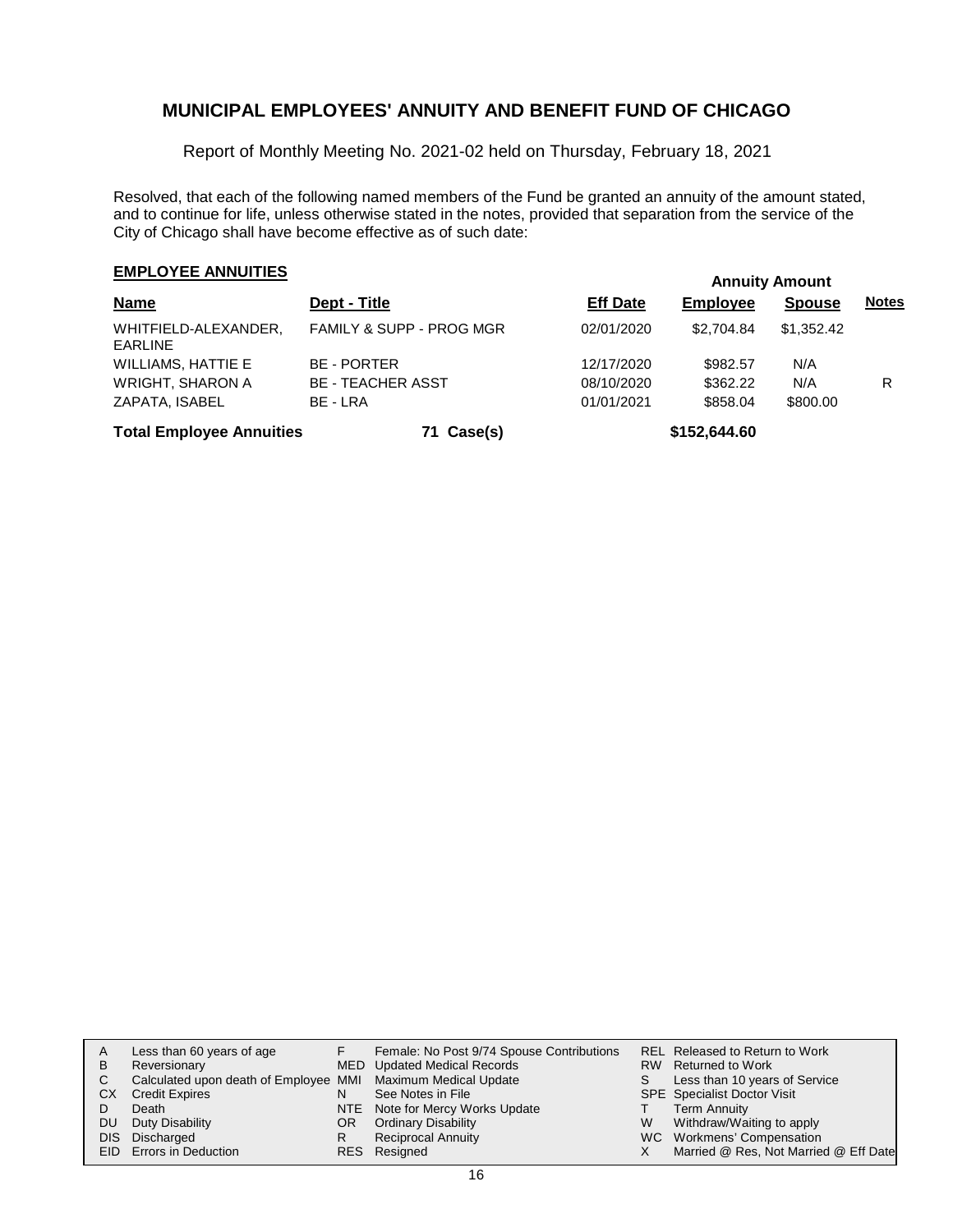Report of Monthly Meeting No. 2021-02 held on Thursday, February 18, 2021

Resolved, that each of the following named members of the Fund be granted an annuity of the amount stated, and to continue for life, unless otherwise stated in the notes, provided that separation from the service of the City of Chicago shall have become effective as of such date:

# **EMPLOYEE ANNUITIES**

| <b>Name</b>                            | Dept - Title                        | <b>Eff Date</b> | <b>Employee</b> | <b>Spouse</b> | <b>Notes</b> |
|----------------------------------------|-------------------------------------|-----------------|-----------------|---------------|--------------|
| WHITFIELD-ALEXANDER,<br><b>EARLINE</b> | <b>FAMILY &amp; SUPP - PROG MGR</b> | 02/01/2020      | \$2.704.84      | \$1,352,42    |              |
| WILLIAMS, HATTIE E                     | <b>BE - PORTER</b>                  | 12/17/2020      | \$982.57        | N/A           |              |
| <b>WRIGHT, SHARON A</b>                | <b>BE - TEACHER ASST</b>            | 08/10/2020      | \$362.22        | N/A           | R            |
| ZAPATA, ISABEL                         | BE - LRA                            | 01/01/2021      | \$858.04        | \$800.00      |              |
| <b>Total Employee Annuities</b>        | 71 Case(s)                          |                 | \$152,644.60    |               |              |

| A         | Less than 60 years of age                                    |     | Female: No Post 9/74 Spouse Contributions |   | <b>REL Released to Return to Work</b> |
|-----------|--------------------------------------------------------------|-----|-------------------------------------------|---|---------------------------------------|
| B         | Reversionary                                                 |     | MED Updated Medical Records               |   | RW Returned to Work                   |
|           | Calculated upon death of Employee MMI Maximum Medical Update |     |                                           |   | Less than 10 years of Service         |
| CХ        | <b>Credit Expires</b>                                        |     | See Notes in File                         |   | <b>SPE</b> Specialist Doctor Visit    |
|           | Death                                                        |     | NTE Note for Mercy Works Update           |   | <b>Term Annuity</b>                   |
| <b>DU</b> | Duty Disability                                              | OR. | <b>Ordinary Disability</b>                | W | Withdraw/Waiting to apply             |
|           | DIS Discharged                                               |     | <b>Reciprocal Annuity</b>                 |   | WC Workmens' Compensation             |
|           | EID Errors in Deduction                                      |     | RES Resigned                              |   | Married @ Res, Not Married @ Eff Date |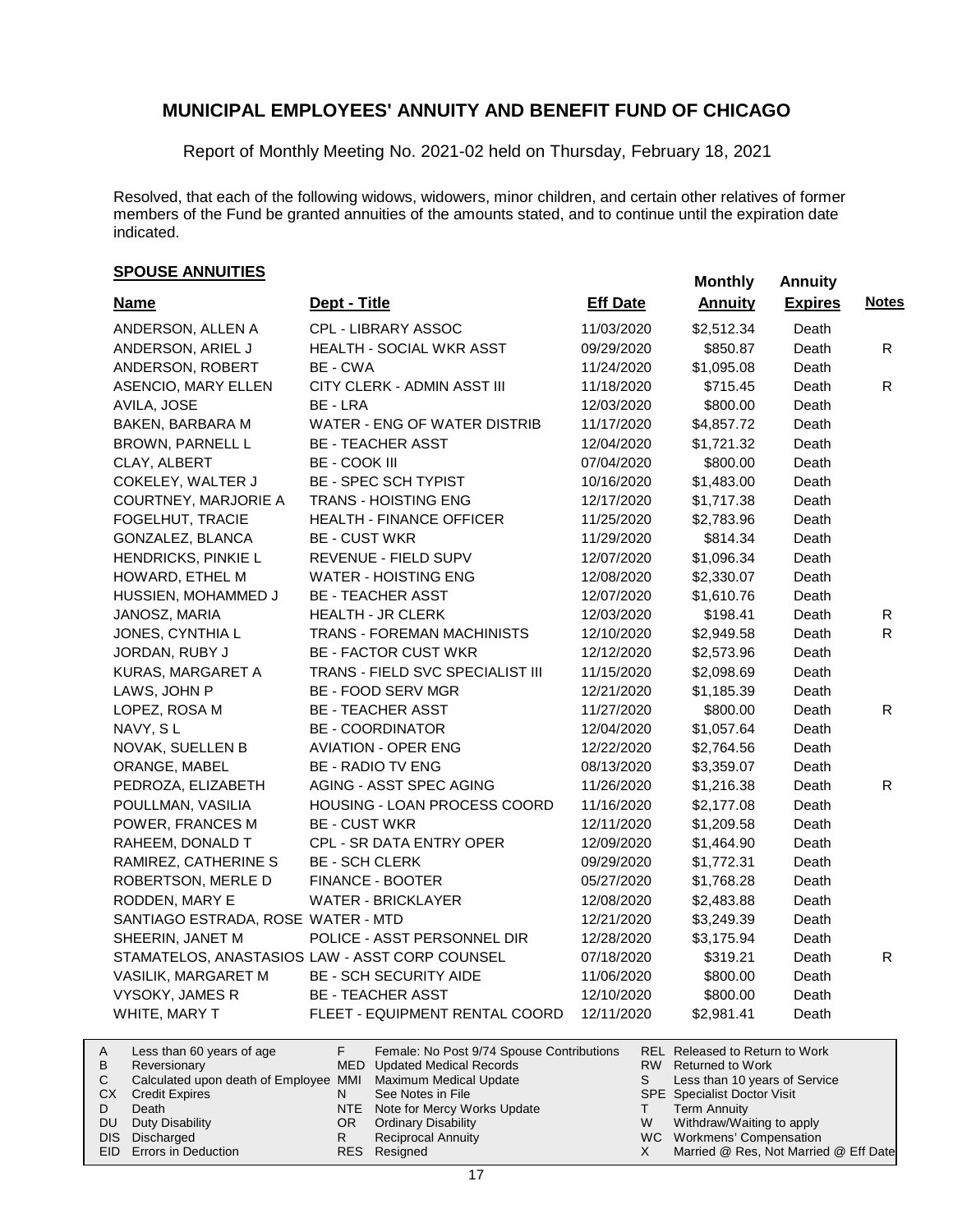Report of Monthly Meeting No. 2021-02 held on Thursday, February 18, 2021

Resolved, that each of the following widows, widowers, minor children, and certain other relatives of former members of the Fund be granted annuities of the amounts stated, and to continue until the expiration date indicated.

# **Monthly Annuities SPOUSE ANNUITIES**

| <b>Name</b>                        | Dept - Title                                   | <b>Eff Date</b> | <b>Annuity</b> | <b>Expires</b> | <b>Notes</b> |
|------------------------------------|------------------------------------------------|-----------------|----------------|----------------|--------------|
| ANDERSON, ALLEN A                  | CPL - LIBRARY ASSOC                            | 11/03/2020      | \$2,512.34     | Death          |              |
| ANDERSON, ARIEL J                  | HEALTH - SOCIAL WKR ASST                       | 09/29/2020      | \$850.87       | Death          | R            |
| ANDERSON, ROBERT                   | BE - CWA                                       | 11/24/2020      | \$1,095.08     | Death          |              |
| ASENCIO, MARY ELLEN                | CITY CLERK - ADMIN ASST III                    | 11/18/2020      | \$715.45       | Death          | R            |
| AVILA, JOSE                        | BE - LRA                                       | 12/03/2020      | \$800.00       | Death          |              |
| BAKEN, BARBARA M                   | WATER - ENG OF WATER DISTRIB                   | 11/17/2020      | \$4,857.72     | Death          |              |
| BROWN, PARNELL L                   | <b>BE - TEACHER ASST</b>                       | 12/04/2020      | \$1,721.32     | Death          |              |
| CLAY, ALBERT                       | <b>BE - COOK III</b>                           | 07/04/2020      | \$800.00       | Death          |              |
| COKELEY, WALTER J                  | BE - SPEC SCH TYPIST                           | 10/16/2020      | \$1,483.00     | Death          |              |
| COURTNEY, MARJORIE A               | <b>TRANS - HOISTING ENG</b>                    | 12/17/2020      | \$1,717.38     | Death          |              |
| FOGELHUT, TRACIE                   | HEALTH - FINANCE OFFICER                       | 11/25/2020      | \$2,783.96     | Death          |              |
| GONZALEZ, BLANCA                   | <b>BE - CUST WKR</b>                           | 11/29/2020      | \$814.34       | Death          |              |
| HENDRICKS, PINKIE L                | REVENUE - FIELD SUPV                           | 12/07/2020      | \$1,096.34     | Death          |              |
| HOWARD, ETHEL M                    | <b>WATER - HOISTING ENG</b>                    | 12/08/2020      | \$2,330.07     | Death          |              |
| HUSSIEN, MOHAMMED J                | <b>BE - TEACHER ASST</b>                       | 12/07/2020      | \$1,610.76     | Death          |              |
| JANOSZ, MARIA                      | <b>HEALTH - JR CLERK</b>                       | 12/03/2020      | \$198.41       | Death          | R            |
| JONES, CYNTHIA L                   | TRANS - FOREMAN MACHINISTS                     | 12/10/2020      | \$2,949.58     | Death          | $\mathsf{R}$ |
| JORDAN, RUBY J                     | <b>BE - FACTOR CUST WKR</b>                    | 12/12/2020      | \$2,573.96     | Death          |              |
| KURAS, MARGARET A                  | TRANS - FIELD SVC SPECIALIST III               | 11/15/2020      | \$2,098.69     | Death          |              |
| LAWS, JOHN P                       | BE - FOOD SERV MGR                             | 12/21/2020      | \$1,185.39     | Death          |              |
| LOPEZ, ROSA M                      | <b>BE - TEACHER ASST</b>                       | 11/27/2020      | \$800.00       | Death          | R.           |
| NAVY, SL                           | <b>BE - COORDINATOR</b>                        | 12/04/2020      | \$1,057.64     | Death          |              |
| NOVAK, SUELLEN B                   | <b>AVIATION - OPER ENG</b>                     | 12/22/2020      | \$2,764.56     | Death          |              |
| ORANGE, MABEL                      | <b>BE - RADIO TV ENG</b>                       | 08/13/2020      | \$3,359.07     | Death          |              |
| PEDROZA, ELIZABETH                 | AGING - ASST SPEC AGING                        | 11/26/2020      | \$1,216.38     | Death          | R.           |
| POULLMAN, VASILIA                  | HOUSING - LOAN PROCESS COORD                   | 11/16/2020      | \$2,177.08     | Death          |              |
| POWER, FRANCES M                   | <b>BE - CUST WKR</b>                           | 12/11/2020      | \$1,209.58     | Death          |              |
| RAHEEM, DONALD T                   | CPL - SR DATA ENTRY OPER                       | 12/09/2020      | \$1,464.90     | Death          |              |
| RAMIREZ, CATHERINE S               | <b>BE - SCH CLERK</b>                          | 09/29/2020      | \$1,772.31     | Death          |              |
| ROBERTSON, MERLE D                 | FINANCE - BOOTER                               | 05/27/2020      | \$1,768.28     | Death          |              |
| RODDEN, MARY E                     | <b>WATER - BRICKLAYER</b>                      | 12/08/2020      | \$2,483.88     | Death          |              |
| SANTIAGO ESTRADA, ROSE WATER - MTD |                                                | 12/21/2020      | \$3,249.39     | Death          |              |
| SHEERIN, JANET M                   | POLICE - ASST PERSONNEL DIR                    | 12/28/2020      | \$3,175.94     | Death          |              |
|                                    | STAMATELOS, ANASTASIOS LAW - ASST CORP COUNSEL | 07/18/2020      | \$319.21       | Death          | R            |
| VASILIK, MARGARET M                | <b>BE - SCH SECURITY AIDE</b>                  | 11/06/2020      | \$800.00       | Death          |              |
| VYSOKY, JAMES R                    | <b>BE - TEACHER ASST</b>                       | 12/10/2020      | \$800.00       | Death          |              |
| WHITE, MARY T                      | FLEET - EQUIPMENT RENTAL COORD                 | 12/11/2020      | \$2,981.41     | Death          |              |
|                                    |                                                |                 |                |                |              |

| A   | Less than 60 years of age                                    |     | Female: No Post 9/74 Spouse Contributions | <b>REL Released to Return to Work</b> |
|-----|--------------------------------------------------------------|-----|-------------------------------------------|---------------------------------------|
| B   | Reversionary                                                 |     | MED Updated Medical Records               | RW Returned to Work                   |
|     | Calculated upon death of Employee MMI Maximum Medical Update |     |                                           | Less than 10 years of Service         |
| CX. | <b>Credit Expires</b>                                        |     | See Notes in File                         | <b>SPE</b> Specialist Doctor Visit    |
|     | Death                                                        |     | NTE Note for Mercy Works Update           | <b>Term Annuity</b>                   |
| DU. | Duty Disability                                              | OR. | <b>Ordinary Disability</b>                | Withdraw/Waiting to apply             |
|     | DIS Discharged                                               |     | Reciprocal Annuity                        | WC Workmens' Compensation             |
|     | EID Errors in Deduction                                      |     | RES Resigned                              | Married @ Res, Not Married @ Eff Date |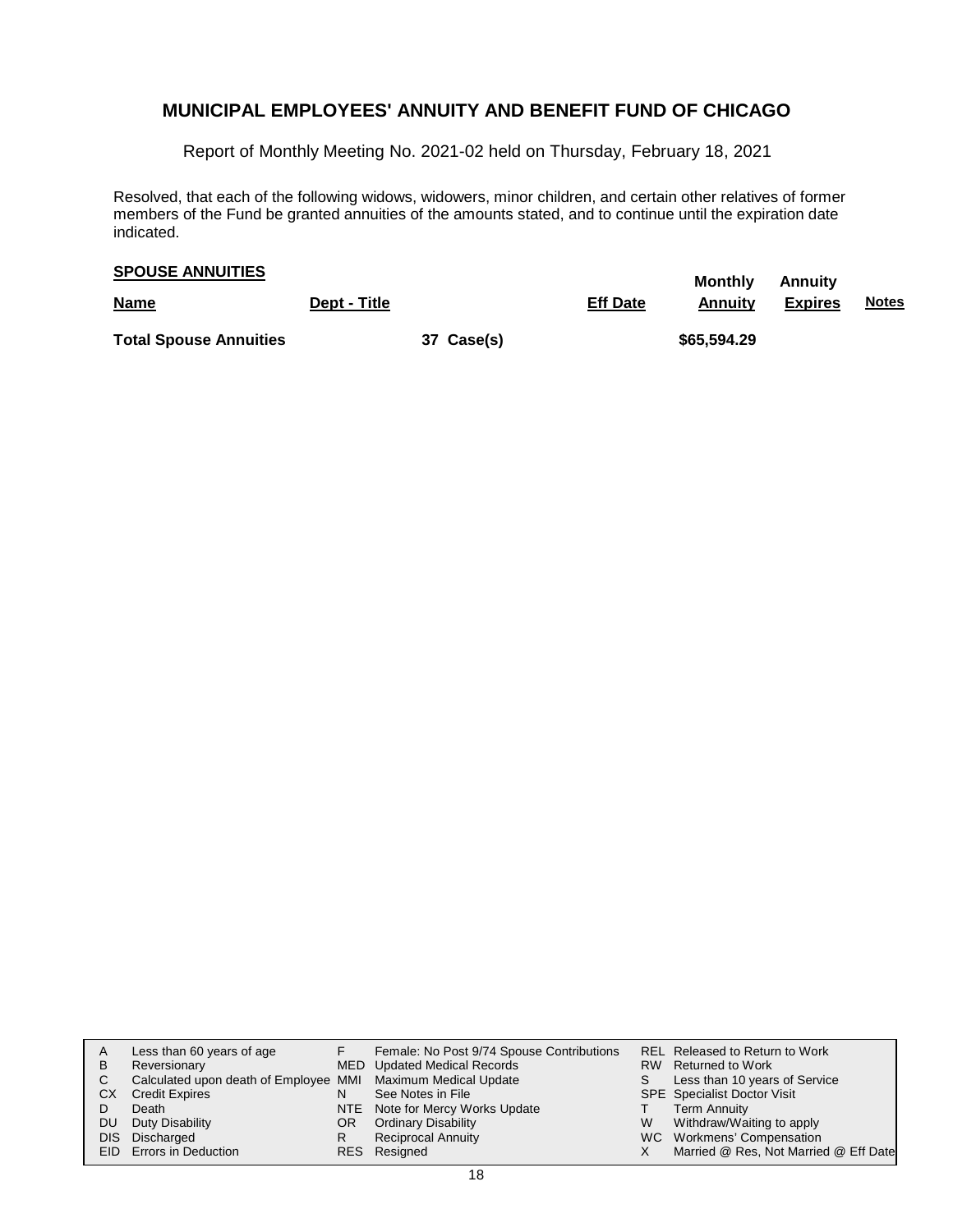Report of Monthly Meeting No. 2021-02 held on Thursday, February 18, 2021

Resolved, that each of the following widows, widowers, minor children, and certain other relatives of former members of the Fund be granted annuities of the amounts stated, and to continue until the expiration date indicated.

# **Monthly Annuity SPOUSE ANNUITIES**

| <b>Name</b>                   | Dept - Title |            | <b>Eff Date</b> | $\sim$<br>Annuitv | <b>Expires</b> | <u>Notes</u> |
|-------------------------------|--------------|------------|-----------------|-------------------|----------------|--------------|
| <b>Total Spouse Annuities</b> |              | 37 Case(s) |                 | \$65,594.29       |                |              |

| В<br>С<br>CХ<br>DU | Less than 60 years of age<br>Reversionary<br>Calculated upon death of Employee MMI Maximum Medical Update<br><b>Credit Expires</b><br>Death<br>Duty Disability<br>DIS Discharged | OR. | Female: No Post 9/74 Spouse Contributions<br>MED Updated Medical Records<br>See Notes in File<br>NTE Note for Mercy Works Update<br><b>Ordinary Disability</b><br><b>Reciprocal Annuity</b> | W | <b>REL Released to Return to Work</b><br>RW Returned to Work<br>Less than 10 years of Service<br><b>SPE</b> Specialist Doctor Visit<br><b>Term Annuity</b><br>Withdraw/Waiting to apply<br>WC Workmens' Compensation |
|--------------------|----------------------------------------------------------------------------------------------------------------------------------------------------------------------------------|-----|---------------------------------------------------------------------------------------------------------------------------------------------------------------------------------------------|---|----------------------------------------------------------------------------------------------------------------------------------------------------------------------------------------------------------------------|
|                    | EID Errors in Deduction                                                                                                                                                          |     | RES Resigned                                                                                                                                                                                |   | Married @ Res, Not Married @ Eff Date                                                                                                                                                                                |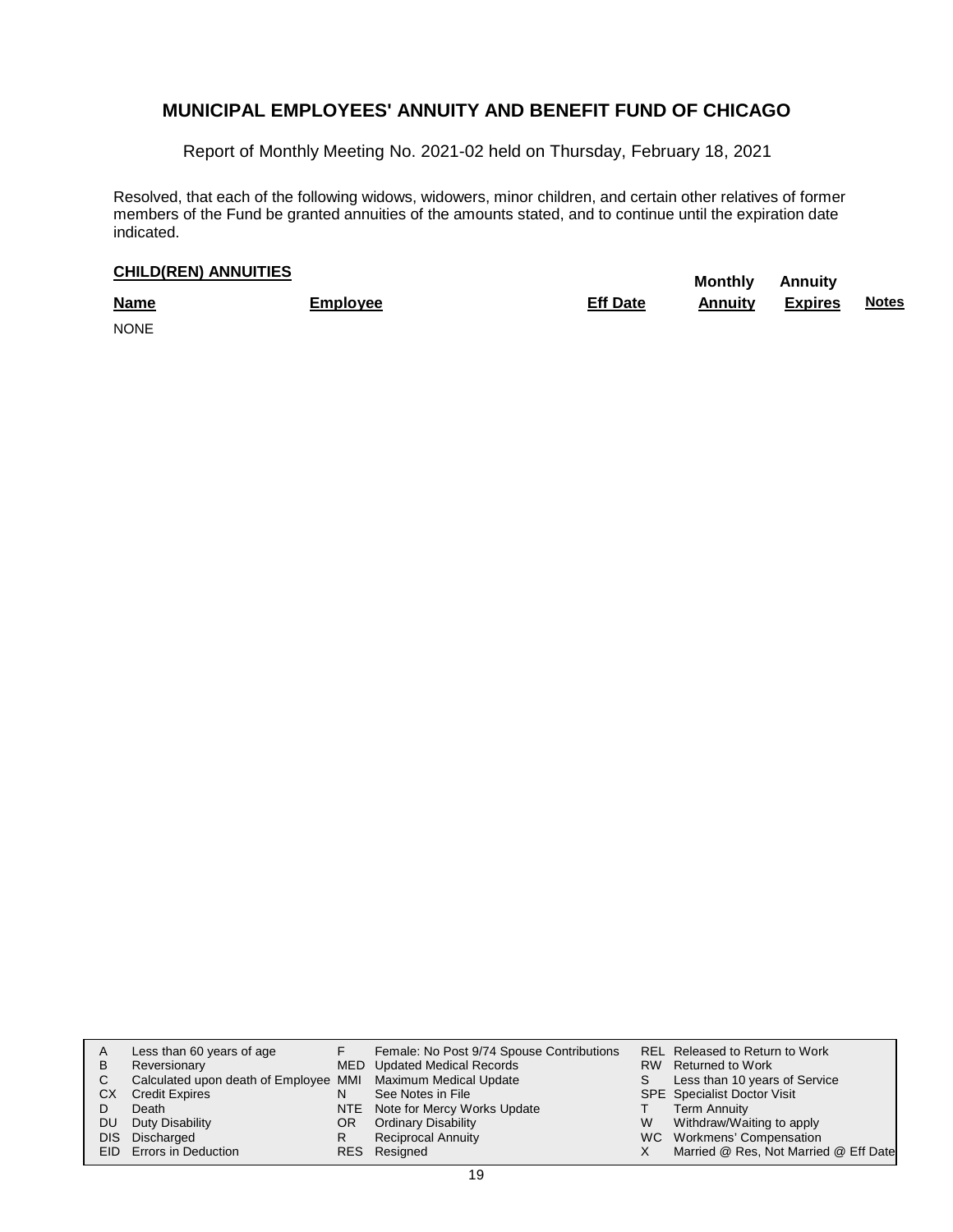Report of Monthly Meeting No. 2021-02 held on Thursday, February 18, 2021

Resolved, that each of the following widows, widowers, minor children, and certain other relatives of former members of the Fund be granted annuities of the amounts stated, and to continue until the expiration date indicated.

# **CHILD(REN) ANNUITIES**<br> **Monthly** Annuity

| <b>Name</b> | Employee | <b>Eff Date</b> | Annuity | <b>Expires</b> | <b>Notes</b> |
|-------------|----------|-----------------|---------|----------------|--------------|
| <b>NONE</b> |          |                 |         |                |              |

| В<br>С<br>CХ<br>DU | Less than 60 years of age<br>Reversionary<br>Calculated upon death of Employee MMI Maximum Medical Update<br><b>Credit Expires</b><br>Death<br>Duty Disability<br>DIS Discharged | OR. | Female: No Post 9/74 Spouse Contributions<br>MED Updated Medical Records<br>See Notes in File<br>NTE Note for Mercy Works Update<br><b>Ordinary Disability</b><br><b>Reciprocal Annuity</b> | W | <b>REL Released to Return to Work</b><br>RW Returned to Work<br>Less than 10 years of Service<br><b>SPE</b> Specialist Doctor Visit<br><b>Term Annuity</b><br>Withdraw/Waiting to apply<br>WC Workmens' Compensation |
|--------------------|----------------------------------------------------------------------------------------------------------------------------------------------------------------------------------|-----|---------------------------------------------------------------------------------------------------------------------------------------------------------------------------------------------|---|----------------------------------------------------------------------------------------------------------------------------------------------------------------------------------------------------------------------|
|                    | EID Errors in Deduction                                                                                                                                                          |     | RES Resigned                                                                                                                                                                                |   | Married @ Res, Not Married @ Eff Date                                                                                                                                                                                |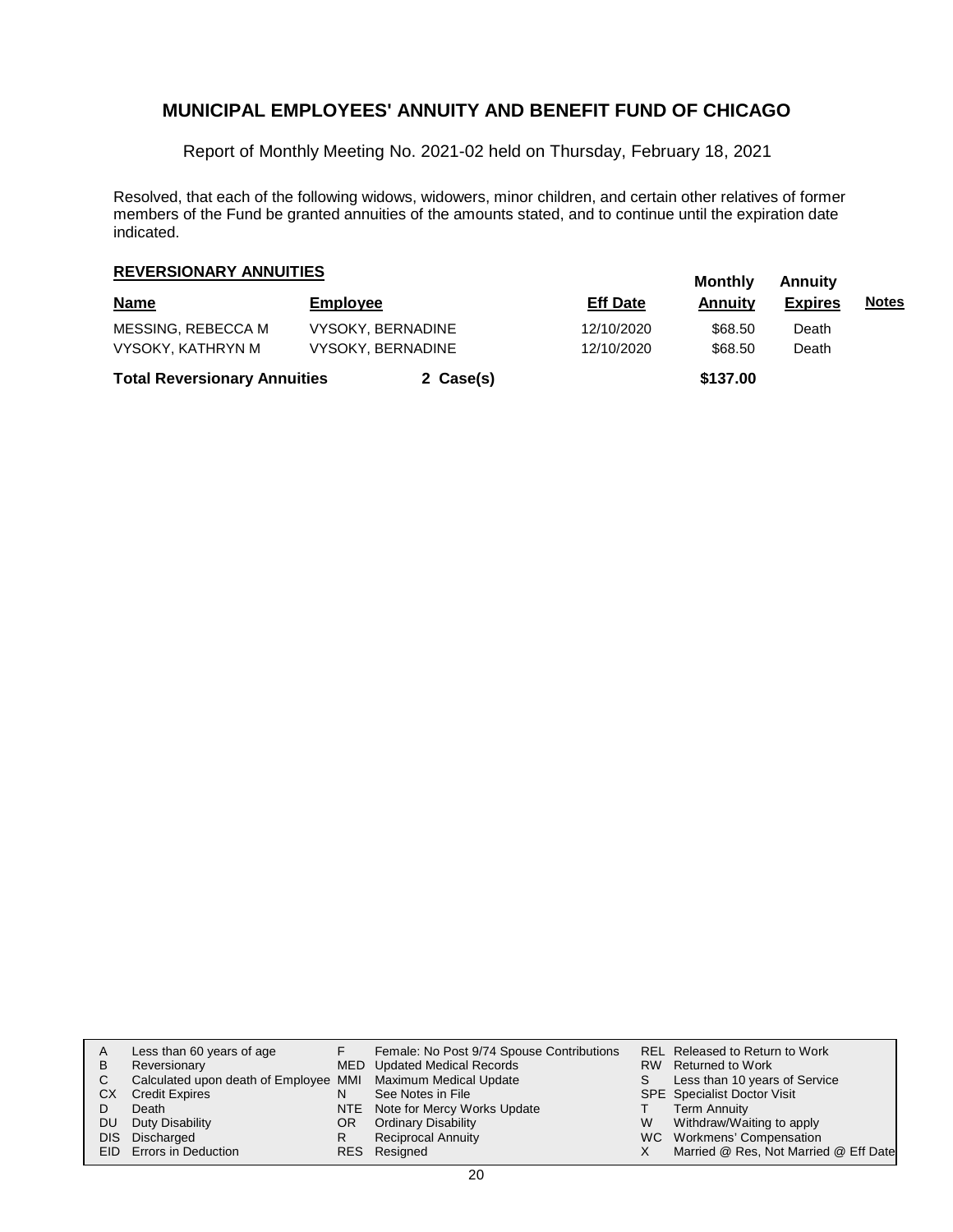Report of Monthly Meeting No. 2021-02 held on Thursday, February 18, 2021

Resolved, that each of the following widows, widowers, minor children, and certain other relatives of former members of the Fund be granted annuities of the amounts stated, and to continue until the expiration date indicated.

# **Monthly Annuity REVERSIONARY ANNUITIES**

| <b>Name</b>                         | <b>Employee</b>          |           | <b>Eff Date</b> | <br>Annuitv | , ,,,,,,,,,,<br><b>Expires</b> | <u>Notes</u> |
|-------------------------------------|--------------------------|-----------|-----------------|-------------|--------------------------------|--------------|
| MESSING. REBECCA M                  | <b>VYSOKY, BERNADINE</b> |           | 12/10/2020      | \$68.50     | Death                          |              |
| VYSOKY, KATHRYN M                   | <b>VYSOKY, BERNADINE</b> |           | 12/10/2020      | \$68.50     | Death                          |              |
| <b>Total Reversionary Annuities</b> |                          | 2 Case(s) |                 | \$137.00    |                                |              |

| A   | Less than 60 years of age                                    |     | Female: No Post 9/74 Spouse Contributions |   | <b>REL Released to Return to Work</b> |
|-----|--------------------------------------------------------------|-----|-------------------------------------------|---|---------------------------------------|
| B   | Reversionary                                                 |     | MED Updated Medical Records               |   | RW Returned to Work                   |
|     | Calculated upon death of Employee MMI Maximum Medical Update |     |                                           |   | Less than 10 years of Service         |
| CХ  | <b>Credit Expires</b>                                        |     | See Notes in File                         |   | <b>SPE</b> Specialist Doctor Visit    |
|     | Death                                                        |     | NTE Note for Mercy Works Update           |   | <b>Term Annuity</b>                   |
| DU. | Duty Disability                                              | OR. | <b>Ordinary Disability</b>                | W | Withdraw/Waiting to apply             |
|     | DIS Discharged                                               | R   | <b>Reciprocal Annuity</b>                 |   | WC Workmens' Compensation             |
|     | EID Errors in Deduction                                      |     | RES Resigned                              |   | Married @ Res, Not Married @ Eff Date |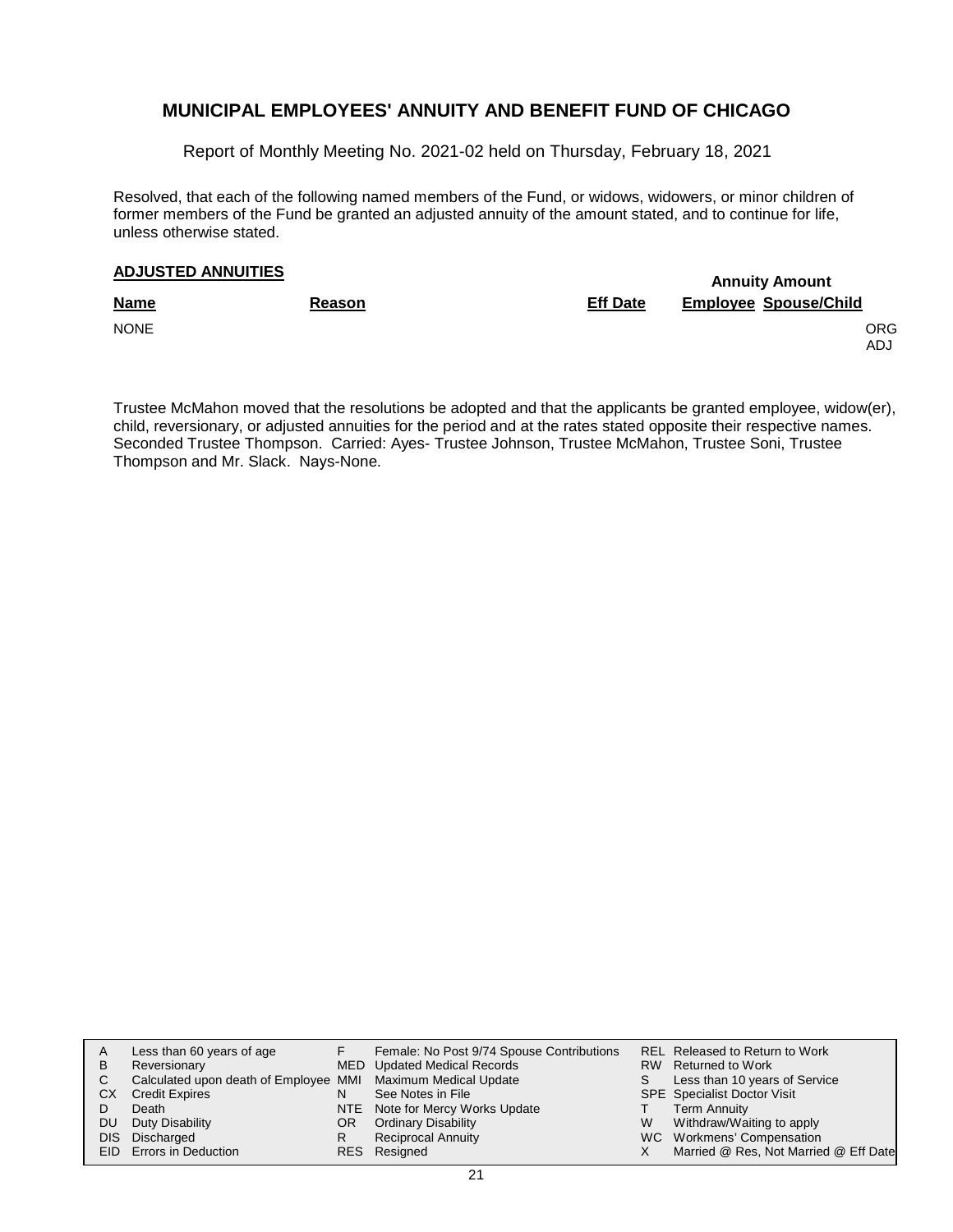Report of Monthly Meeting No. 2021-02 held on Thursday, February 18, 2021

Resolved, that each of the following named members of the Fund, or widows, widowers, or minor children of former members of the Fund be granted an adjusted annuity of the amount stated, and to continue for life, unless otherwise stated.

### **Annuity Amount ADJUSTED ANNUITIES**

| <b>Name</b> | <b>Reason</b> | <b>Eff Date</b> | <b>Employee Spouse/Child</b> |
|-------------|---------------|-----------------|------------------------------|
| <b>NONE</b> |               |                 | <b>ORG</b><br>ADJ            |
|             |               |                 |                              |

Trustee McMahon moved that the resolutions be adopted and that the applicants be granted employee, widow(er), child, reversionary, or adjusted annuities for the period and at the rates stated opposite their respective names. Seconded Trustee Thompson. Carried: Ayes- Trustee Johnson, Trustee McMahon, Trustee Soni, Trustee Thompson and Mr. Slack. Nays-None.

|    | Less than 60 years of age                                    |     | Female: No Post 9/74 Spouse Contributions |   | <b>REL Released to Return to Work</b> |
|----|--------------------------------------------------------------|-----|-------------------------------------------|---|---------------------------------------|
| В  | Reversionary                                                 |     | MED Updated Medical Records               |   | RW Returned to Work                   |
| C. | Calculated upon death of Employee MMI Maximum Medical Update |     |                                           |   | Less than 10 years of Service         |
| CХ | <b>Credit Expires</b>                                        |     | See Notes in File                         |   | <b>SPE</b> Specialist Doctor Visit    |
|    | Death                                                        |     | NTE Note for Mercy Works Update           |   | Term Annuity                          |
| DU | Duty Disability                                              | OR. | <b>Ordinary Disability</b>                | W | Withdraw/Waiting to apply             |
|    | DIS Discharged                                               |     | <b>Reciprocal Annuity</b>                 |   | WC Workmens' Compensation             |
|    | EID Errors in Deduction                                      |     | RES Resigned                              |   | Married @ Res, Not Married @ Eff Date |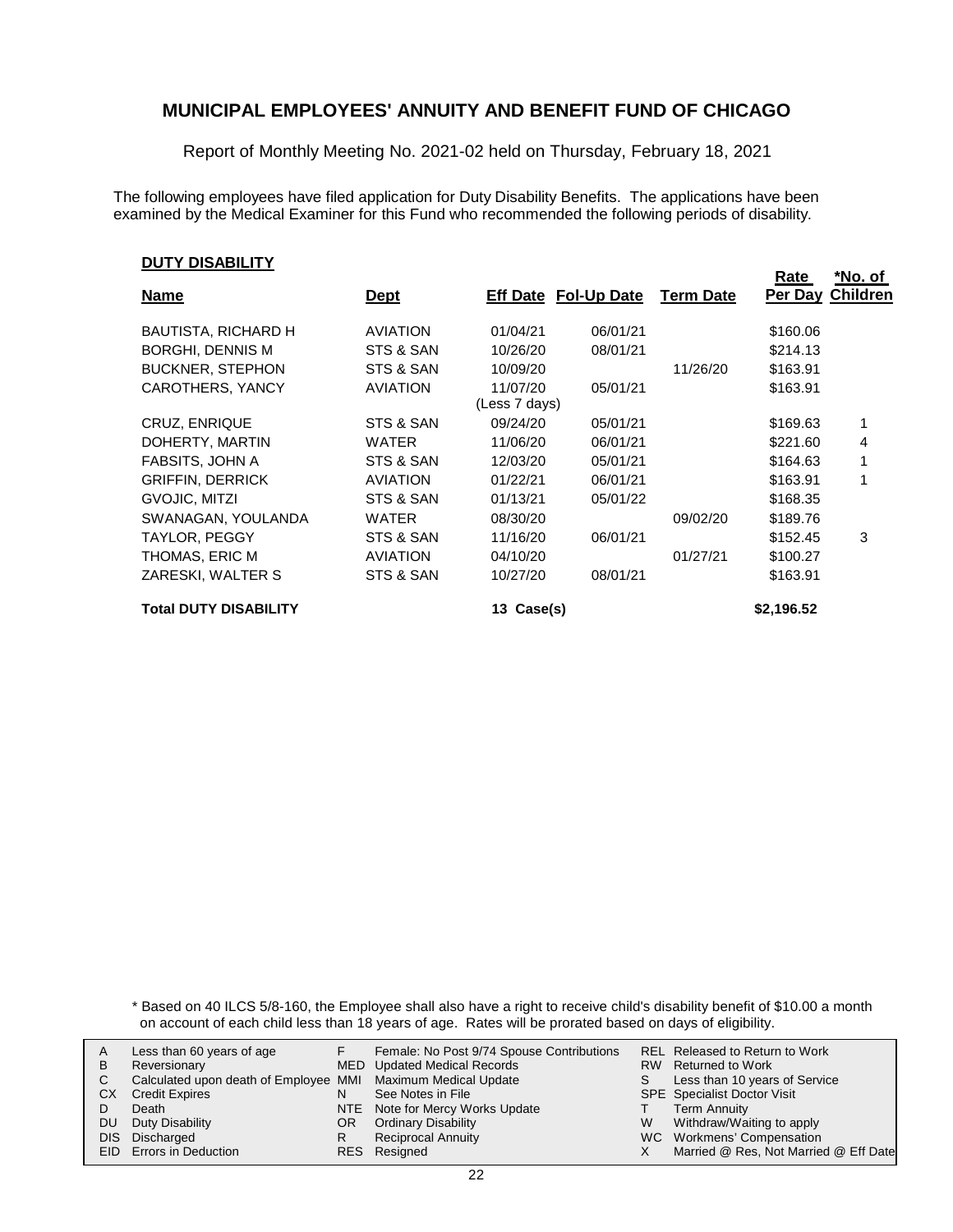Report of Monthly Meeting No. 2021-02 held on Thursday, February 18, 2021

The following employees have filed application for Duty Disability Benefits. The applications have been examined by the Medical Examiner for this Fund who recommended the following periods of disability.

#### **DUTY DISABILITY**

|                              |                 |               |                             |                  | Rate       | NO. OI           |
|------------------------------|-----------------|---------------|-----------------------------|------------------|------------|------------------|
| <b>Name</b>                  | <b>Dept</b>     |               | <b>Eff Date Fol-Up Date</b> | <b>Term Date</b> |            | Per Day Children |
| <b>BAUTISTA, RICHARD H</b>   | <b>AVIATION</b> | 01/04/21      | 06/01/21                    |                  | \$160.06   |                  |
| <b>BORGHI, DENNIS M</b>      | STS & SAN       | 10/26/20      | 08/01/21                    |                  | \$214.13   |                  |
| <b>BUCKNER, STEPHON</b>      | STS & SAN       | 10/09/20      |                             | 11/26/20         | \$163.91   |                  |
| CAROTHERS, YANCY             | <b>AVIATION</b> | 11/07/20      | 05/01/21                    |                  | \$163.91   |                  |
|                              |                 | (Less 7 days) |                             |                  |            |                  |
| <b>CRUZ, ENRIQUE</b>         | STS & SAN       | 09/24/20      | 05/01/21                    |                  | \$169.63   | 1                |
| DOHERTY, MARTIN              | WATER           | 11/06/20      | 06/01/21                    |                  | \$221.60   | 4                |
| FABSITS, JOHN A              | STS & SAN       | 12/03/20      | 05/01/21                    |                  | \$164.63   | 1                |
| <b>GRIFFIN, DERRICK</b>      | <b>AVIATION</b> | 01/22/21      | 06/01/21                    |                  | \$163.91   | 1                |
| GVOJIC, MITZI                | STS & SAN       | 01/13/21      | 05/01/22                    |                  | \$168.35   |                  |
| SWANAGAN, YOULANDA           | WATER           | 08/30/20      |                             | 09/02/20         | \$189.76   |                  |
| TAYLOR, PEGGY                | STS & SAN       | 11/16/20      | 06/01/21                    |                  | \$152.45   | 3                |
| THOMAS, ERIC M               | <b>AVIATION</b> | 04/10/20      |                             | 01/27/21         | \$100.27   |                  |
| ZARESKI, WALTER S            | STS & SAN       | 10/27/20      | 08/01/21                    |                  | \$163.91   |                  |
| <b>Total DUTY DISABILITY</b> |                 | Case(s)<br>13 |                             |                  | \$2,196.52 |                  |

**Rate**

**\*No. of**

\* Based on 40 ILCS 5/8-160, the Employee shall also have a right to receive child's disability benefit of \$10.00 a month on account of each child less than 18 years of age. Rates will be prorated based on days of eligibility.

|    | Less than 60 years of age                                    |     | Female: No Post 9/74 Spouse Contributions |   | REL Released to Return to Work        |
|----|--------------------------------------------------------------|-----|-------------------------------------------|---|---------------------------------------|
| В  | Reversionary                                                 |     | MED Updated Medical Records               |   | RW Returned to Work                   |
|    | Calculated upon death of Employee MMI Maximum Medical Update |     |                                           |   | Less than 10 years of Service         |
| CХ | <b>Credit Expires</b>                                        |     | See Notes in File                         |   | <b>SPE</b> Specialist Doctor Visit    |
|    | Death                                                        |     | NTE Note for Mercy Works Update           |   | <b>Term Annuity</b>                   |
| DU | Duty Disability                                              | OR. | <b>Ordinary Disability</b>                | W | Withdraw/Waiting to apply             |
|    | DIS Discharged                                               |     | <b>Reciprocal Annuity</b>                 |   | WC Workmens' Compensation             |
|    | <b>EID</b> Errors in Deduction                               |     | RES Resigned                              |   | Married @ Res, Not Married @ Eff Date |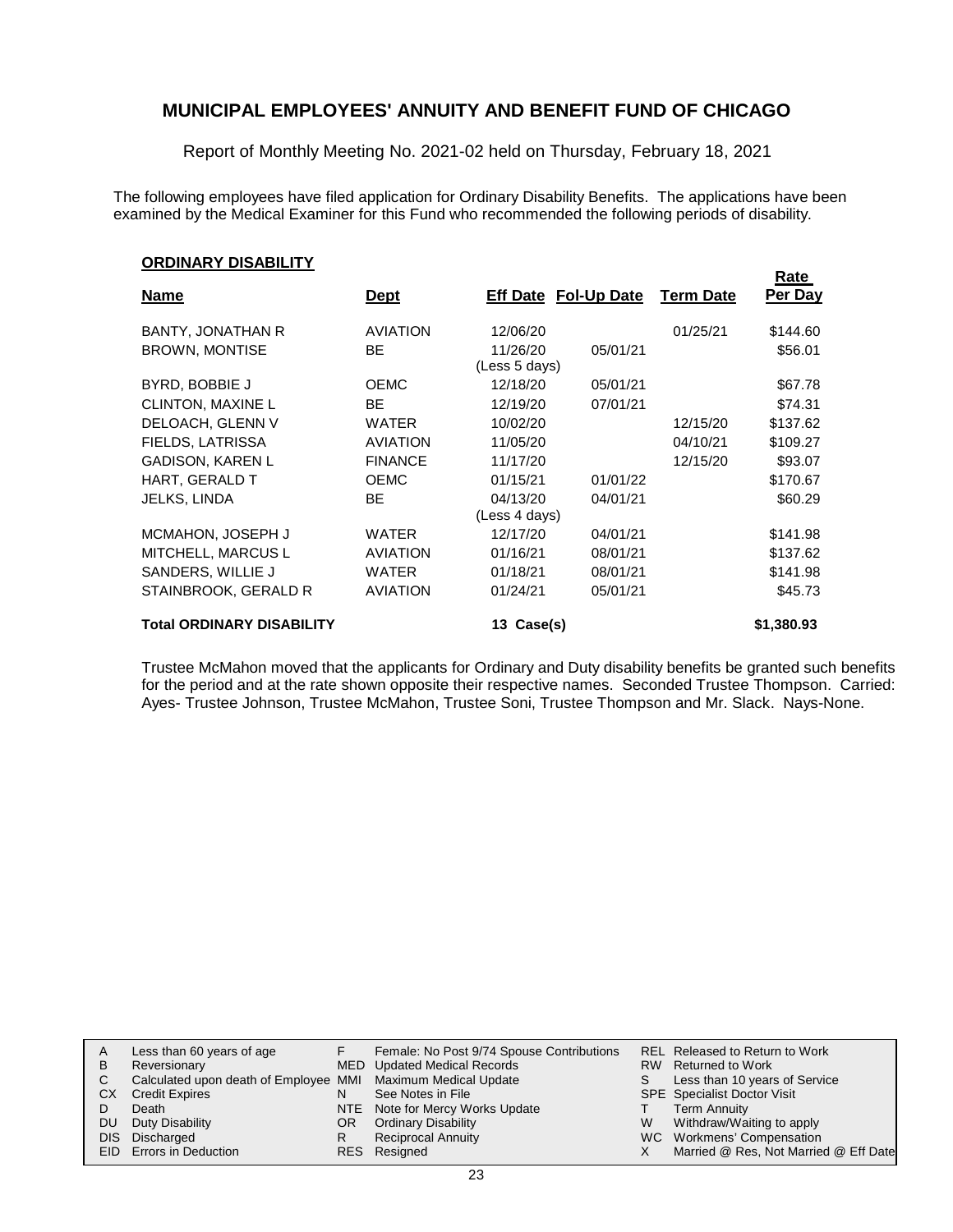Report of Monthly Meeting No. 2021-02 held on Thursday, February 18, 2021

The following employees have filed application for Ordinary Disability Benefits. The applications have been examined by the Medical Examiner for this Fund who recommended the following periods of disability.

**Rate**

#### **ORDINARY DISABILITY**

| <b>Name</b>                      | <b>Dept</b>     | <b>Eff Date Fol-Up Date</b> |          | <b>Term Date</b> | nale<br>Per Day |
|----------------------------------|-----------------|-----------------------------|----------|------------------|-----------------|
| <b>BANTY, JONATHAN R</b>         | <b>AVIATION</b> | 12/06/20                    |          | 01/25/21         | \$144.60        |
| <b>BROWN, MONTISE</b>            | BE.             | 11/26/20<br>(Less 5 days)   | 05/01/21 |                  | \$56.01         |
| BYRD, BOBBIE J                   | <b>OEMC</b>     | 12/18/20                    | 05/01/21 |                  | \$67.78         |
| <b>CLINTON, MAXINE L</b>         | BE              | 12/19/20                    | 07/01/21 |                  | \$74.31         |
| DELOACH, GLENN V                 | <b>WATER</b>    | 10/02/20                    |          | 12/15/20         | \$137.62        |
| FIELDS, LATRISSA                 | <b>AVIATION</b> | 11/05/20                    |          | 04/10/21         | \$109.27        |
| <b>GADISON, KAREN L</b>          | <b>FINANCE</b>  | 11/17/20                    |          | 12/15/20         | \$93.07         |
| HART, GERALD T                   | <b>OEMC</b>     | 01/15/21                    | 01/01/22 |                  | \$170.67        |
| <b>JELKS, LINDA</b>              | BE              | 04/13/20                    | 04/01/21 |                  | \$60.29         |
|                                  |                 | (Less 4 days)               |          |                  |                 |
| MCMAHON, JOSEPH J                | <b>WATER</b>    | 12/17/20                    | 04/01/21 |                  | \$141.98        |
| MITCHELL, MARCUS L               | <b>AVIATION</b> | 01/16/21                    | 08/01/21 |                  | \$137.62        |
| SANDERS, WILLIE J                | <b>WATER</b>    | 01/18/21                    | 08/01/21 |                  | \$141.98        |
| STAINBROOK, GERALD R             | <b>AVIATION</b> | 01/24/21                    | 05/01/21 |                  | \$45.73         |
| <b>Total ORDINARY DISABILITY</b> |                 | Case(s)<br>13               |          |                  | \$1,380.93      |

Trustee McMahon moved that the applicants for Ordinary and Duty disability benefits be granted such benefits for the period and at the rate shown opposite their respective names. Seconded Trustee Thompson. Carried: Ayes- Trustee Johnson, Trustee McMahon, Trustee Soni, Trustee Thompson and Mr. Slack. Nays-None.

|    | Less than 60 years of age                                    |     | Female: No Post 9/74 Spouse Contributions |   | REL Released to Return to Work        |
|----|--------------------------------------------------------------|-----|-------------------------------------------|---|---------------------------------------|
| B  | Reversionary                                                 |     | MED Updated Medical Records               |   | RW Returned to Work                   |
|    | Calculated upon death of Employee MMI Maximum Medical Update |     |                                           |   | Less than 10 years of Service         |
| СX | <b>Credit Expires</b>                                        |     | See Notes in File                         |   | <b>SPE</b> Specialist Doctor Visit    |
|    | Death                                                        |     | NTE Note for Mercy Works Update           |   | Term Annuity                          |
| DU | Duty Disability                                              | OR. | <b>Ordinary Disability</b>                | W | Withdraw/Waiting to apply             |
|    | DIS Discharged                                               |     | <b>Reciprocal Annuity</b>                 |   | WC Workmens' Compensation             |
|    | <b>EID</b> Errors in Deduction                               |     | RES Resigned                              |   | Married @ Res, Not Married @ Eff Date |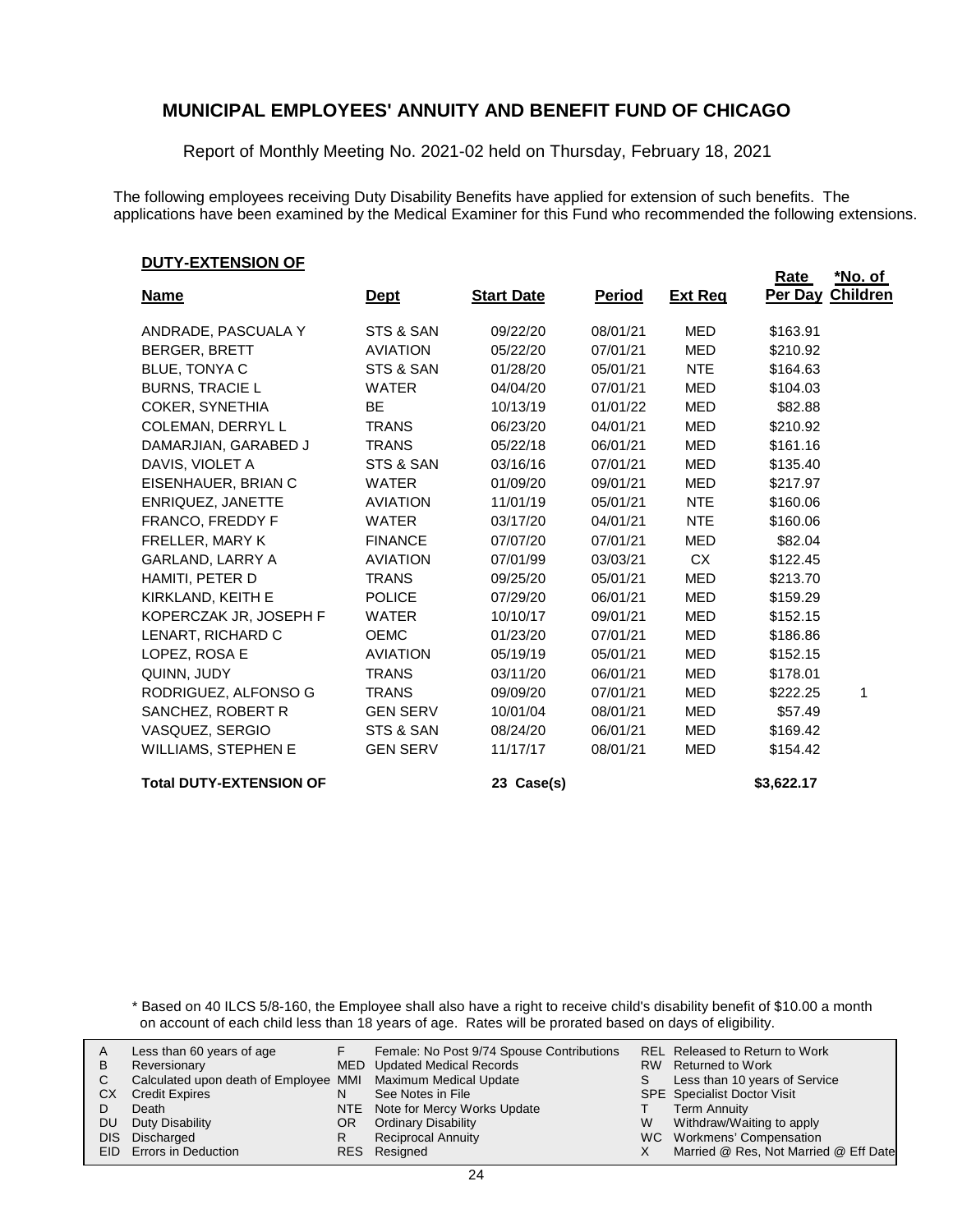Report of Monthly Meeting No. 2021-02 held on Thursday, February 18, 2021

The following employees receiving Duty Disability Benefits have applied for extension of such benefits. The applications have been examined by the Medical Examiner for this Fund who recommended the following extensions.

#### **DUTY-EXTENSION OF**

|                                |                 |                   |               |                | <b>Rate</b>             | <u>*No. of</u> |
|--------------------------------|-----------------|-------------------|---------------|----------------|-------------------------|----------------|
| <b>Name</b>                    | <u>Dept</u>     | <b>Start Date</b> | <b>Period</b> | <b>Ext Reg</b> | <b>Per Day Children</b> |                |
| ANDRADE, PASCUALA Y            | STS & SAN       | 09/22/20          | 08/01/21      | <b>MED</b>     | \$163.91                |                |
| <b>BERGER, BRETT</b>           | <b>AVIATION</b> | 05/22/20          | 07/01/21      | <b>MED</b>     | \$210.92                |                |
| BLUE, TONYA C                  | STS & SAN       | 01/28/20          | 05/01/21      | <b>NTE</b>     | \$164.63                |                |
| <b>BURNS, TRACIE L</b>         | <b>WATER</b>    | 04/04/20          | 07/01/21      | MED            | \$104.03                |                |
| COKER, SYNETHIA                | <b>BE</b>       | 10/13/19          | 01/01/22      | <b>MED</b>     | \$82.88                 |                |
| COLEMAN, DERRYL L              | <b>TRANS</b>    | 06/23/20          | 04/01/21      | <b>MED</b>     | \$210.92                |                |
| DAMARJIAN, GARABED J           | <b>TRANS</b>    | 05/22/18          | 06/01/21      | <b>MED</b>     | \$161.16                |                |
| DAVIS, VIOLET A                | STS & SAN       | 03/16/16          | 07/01/21      | MED            | \$135.40                |                |
| EISENHAUER, BRIAN C            | <b>WATER</b>    | 01/09/20          | 09/01/21      | <b>MED</b>     | \$217.97                |                |
| ENRIQUEZ, JANETTE              | <b>AVIATION</b> | 11/01/19          | 05/01/21      | <b>NTE</b>     | \$160.06                |                |
| FRANCO, FREDDY F               | <b>WATER</b>    | 03/17/20          | 04/01/21      | <b>NTE</b>     | \$160.06                |                |
| FRELLER, MARY K                | <b>FINANCE</b>  | 07/07/20          | 07/01/21      | <b>MED</b>     | \$82.04                 |                |
| <b>GARLAND, LARRY A</b>        | <b>AVIATION</b> | 07/01/99          | 03/03/21      | <b>CX</b>      | \$122.45                |                |
| HAMITI, PETER D                | <b>TRANS</b>    | 09/25/20          | 05/01/21      | <b>MED</b>     | \$213.70                |                |
| KIRKLAND, KEITH E              | <b>POLICE</b>   | 07/29/20          | 06/01/21      | <b>MED</b>     | \$159.29                |                |
| KOPERCZAK JR, JOSEPH F         | <b>WATER</b>    | 10/10/17          | 09/01/21      | MED            | \$152.15                |                |
| LENART, RICHARD C              | <b>OEMC</b>     | 01/23/20          | 07/01/21      | <b>MED</b>     | \$186.86                |                |
| LOPEZ, ROSA E                  | <b>AVIATION</b> | 05/19/19          | 05/01/21      | <b>MED</b>     | \$152.15                |                |
| QUINN, JUDY                    | <b>TRANS</b>    | 03/11/20          | 06/01/21      | <b>MED</b>     | \$178.01                |                |
| RODRIGUEZ, ALFONSO G           | <b>TRANS</b>    | 09/09/20          | 07/01/21      | <b>MED</b>     | \$222.25                | 1              |
| SANCHEZ, ROBERT R              | <b>GEN SERV</b> | 10/01/04          | 08/01/21      | <b>MED</b>     | \$57.49                 |                |
| VASQUEZ, SERGIO                | STS & SAN       | 08/24/20          | 06/01/21      | <b>MED</b>     | \$169.42                |                |
| <b>WILLIAMS, STEPHEN E</b>     | <b>GEN SERV</b> | 11/17/17          | 08/01/21      | <b>MED</b>     | \$154.42                |                |
| <b>Total DUTY-EXTENSION OF</b> |                 | 23 Case(s)        |               |                | \$3,622.17              |                |

\* Based on 40 ILCS 5/8-160, the Employee shall also have a right to receive child's disability benefit of \$10.00 a month on account of each child less than 18 years of age. Rates will be prorated based on days of eligibility.

| В  | Less than 60 years of age<br>Reversionary                    |     | Female: No Post 9/74 Spouse Contributions<br>MED Updated Medical Records |   | REL Released to Return to Work<br>RW Returned to Work |
|----|--------------------------------------------------------------|-----|--------------------------------------------------------------------------|---|-------------------------------------------------------|
|    | Calculated upon death of Employee MMI Maximum Medical Update |     |                                                                          |   | Less than 10 years of Service                         |
| CХ | <b>Credit Expires</b>                                        |     | See Notes in File                                                        |   | <b>SPE</b> Specialist Doctor Visit                    |
|    | Death                                                        |     | NTE Note for Mercy Works Update                                          |   | Term Annuity                                          |
| DU | Duty Disability                                              | OR. | <b>Ordinary Disability</b>                                               | W | Withdraw/Waiting to apply                             |
|    | DIS Discharged                                               |     | <b>Reciprocal Annuity</b>                                                |   | WC Workmens' Compensation                             |
|    | <b>EID</b> Errors in Deduction                               |     | RES Resigned                                                             |   | Married @ Res, Not Married @ Eff Date                 |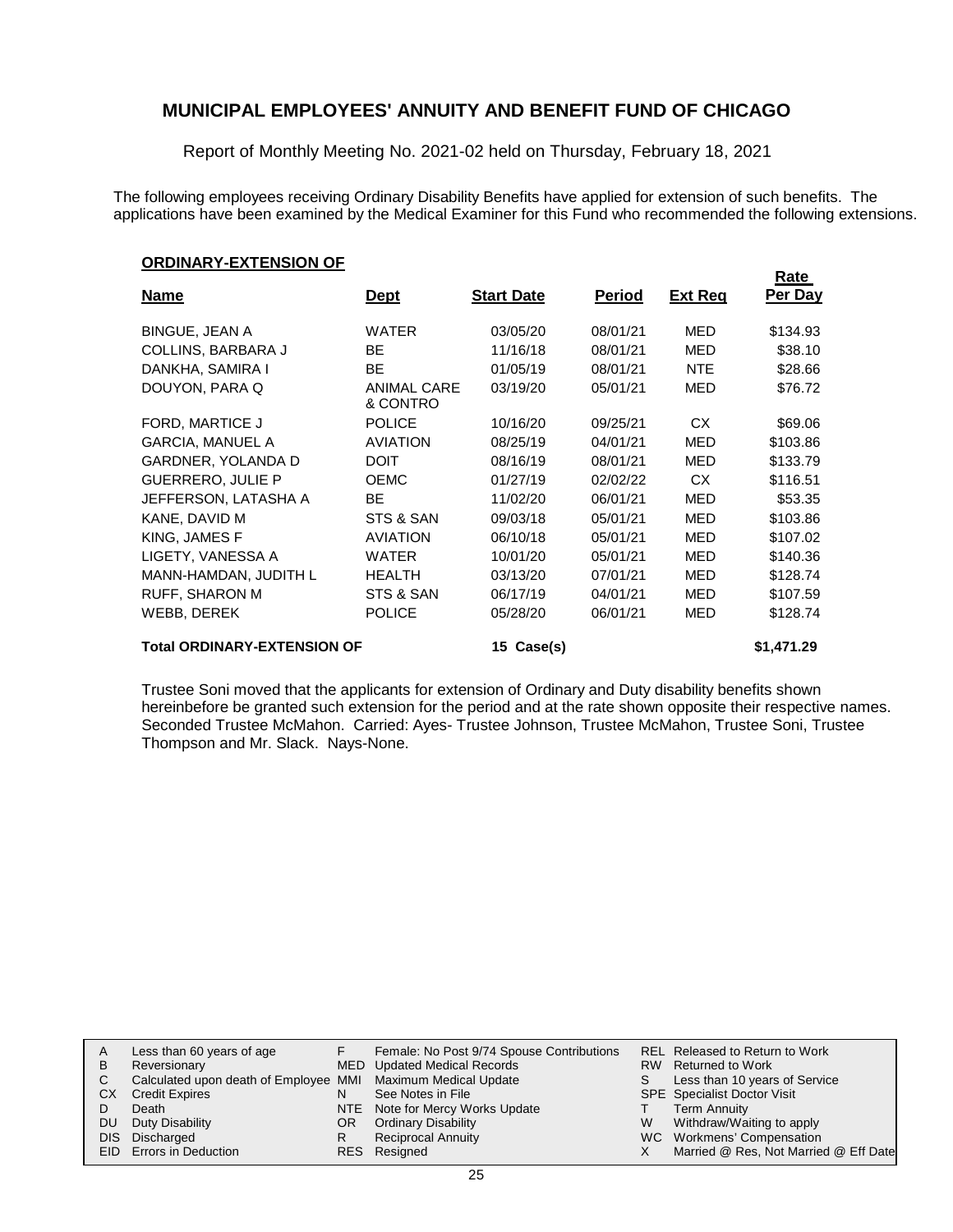Report of Monthly Meeting No. 2021-02 held on Thursday, February 18, 2021

The following employees receiving Ordinary Disability Benefits have applied for extension of such benefits. The applications have been examined by the Medical Examiner for this Fund who recommended the following extensions.

#### **ORDINARY-EXTENSION OF**

|                                    |                                |                   |               |                | Rate       |
|------------------------------------|--------------------------------|-------------------|---------------|----------------|------------|
| <b>Name</b>                        | <u>Dept</u>                    | <b>Start Date</b> | <u>Period</u> | <b>Ext Reg</b> | Per Day    |
| <b>BINGUE, JEAN A</b>              | WATER                          | 03/05/20          | 08/01/21      | <b>MED</b>     | \$134.93   |
| <b>COLLINS, BARBARA J</b>          | BE.                            | 11/16/18          | 08/01/21      | <b>MED</b>     | \$38.10    |
| DANKHA, SAMIRA I                   | BE                             | 01/05/19          | 08/01/21      | <b>NTE</b>     | \$28.66    |
| DOUYON, PARA Q                     | <b>ANIMAL CARE</b><br>& CONTRO | 03/19/20          | 05/01/21      | <b>MED</b>     | \$76.72    |
| FORD, MARTICE J                    | <b>POLICE</b>                  | 10/16/20          | 09/25/21      | CX.            | \$69.06    |
| <b>GARCIA, MANUEL A</b>            | <b>AVIATION</b>                | 08/25/19          | 04/01/21      | MED            | \$103.86   |
| <b>GARDNER, YOLANDA D</b>          | <b>DOIT</b>                    | 08/16/19          | 08/01/21      | <b>MED</b>     | \$133.79   |
| <b>GUERRERO, JULIE P</b>           | <b>OEMC</b>                    | 01/27/19          | 02/02/22      | CX.            | \$116.51   |
| JEFFERSON, LATASHA A               | BE                             | 11/02/20          | 06/01/21      | MED            | \$53.35    |
| KANE, DAVID M                      | STS & SAN                      | 09/03/18          | 05/01/21      | MED            | \$103.86   |
| KING. JAMES F                      | <b>AVIATION</b>                | 06/10/18          | 05/01/21      | <b>MED</b>     | \$107.02   |
| LIGETY, VANESSA A                  | <b>WATER</b>                   | 10/01/20          | 05/01/21      | MED            | \$140.36   |
| MANN-HAMDAN, JUDITH L              | <b>HEALTH</b>                  | 03/13/20          | 07/01/21      | <b>MED</b>     | \$128.74   |
| <b>RUFF, SHARON M</b>              | STS & SAN                      | 06/17/19          | 04/01/21      | MED            | \$107.59   |
| WEBB, DEREK                        | <b>POLICE</b>                  | 05/28/20          | 06/01/21      | MED            | \$128.74   |
| <b>Total ORDINARY-EXTENSION OF</b> |                                | 15 Case(s)        |               |                | \$1,471.29 |

Trustee Soni moved that the applicants for extension of Ordinary and Duty disability benefits shown hereinbefore be granted such extension for the period and at the rate shown opposite their respective names. Seconded Trustee McMahon. Carried: Ayes- Trustee Johnson, Trustee McMahon, Trustee Soni, Trustee Thompson and Mr. Slack. Nays-None.

|    | Less than 60 years of age                                    |     | Female: No Post 9/74 Spouse Contributions |   | <b>REL Released to Return to Work</b> |
|----|--------------------------------------------------------------|-----|-------------------------------------------|---|---------------------------------------|
| В  | Reversionary                                                 |     | MED Updated Medical Records               |   | RW Returned to Work                   |
|    | Calculated upon death of Employee MMI Maximum Medical Update |     |                                           |   | Less than 10 years of Service         |
| СX | <b>Credit Expires</b>                                        |     | See Notes in File                         |   | <b>SPE</b> Specialist Doctor Visit    |
|    | Death                                                        |     | NTE Note for Mercy Works Update           |   | Term Annuity                          |
| DU | Duty Disability                                              | OR. | <b>Ordinary Disability</b>                | W | Withdraw/Waiting to apply             |
|    | DIS Discharged                                               |     | <b>Reciprocal Annuity</b>                 |   | WC Workmens' Compensation             |
|    | EID Errors in Deduction                                      |     | RES Resigned                              |   | Married @ Res, Not Married @ Eff Date |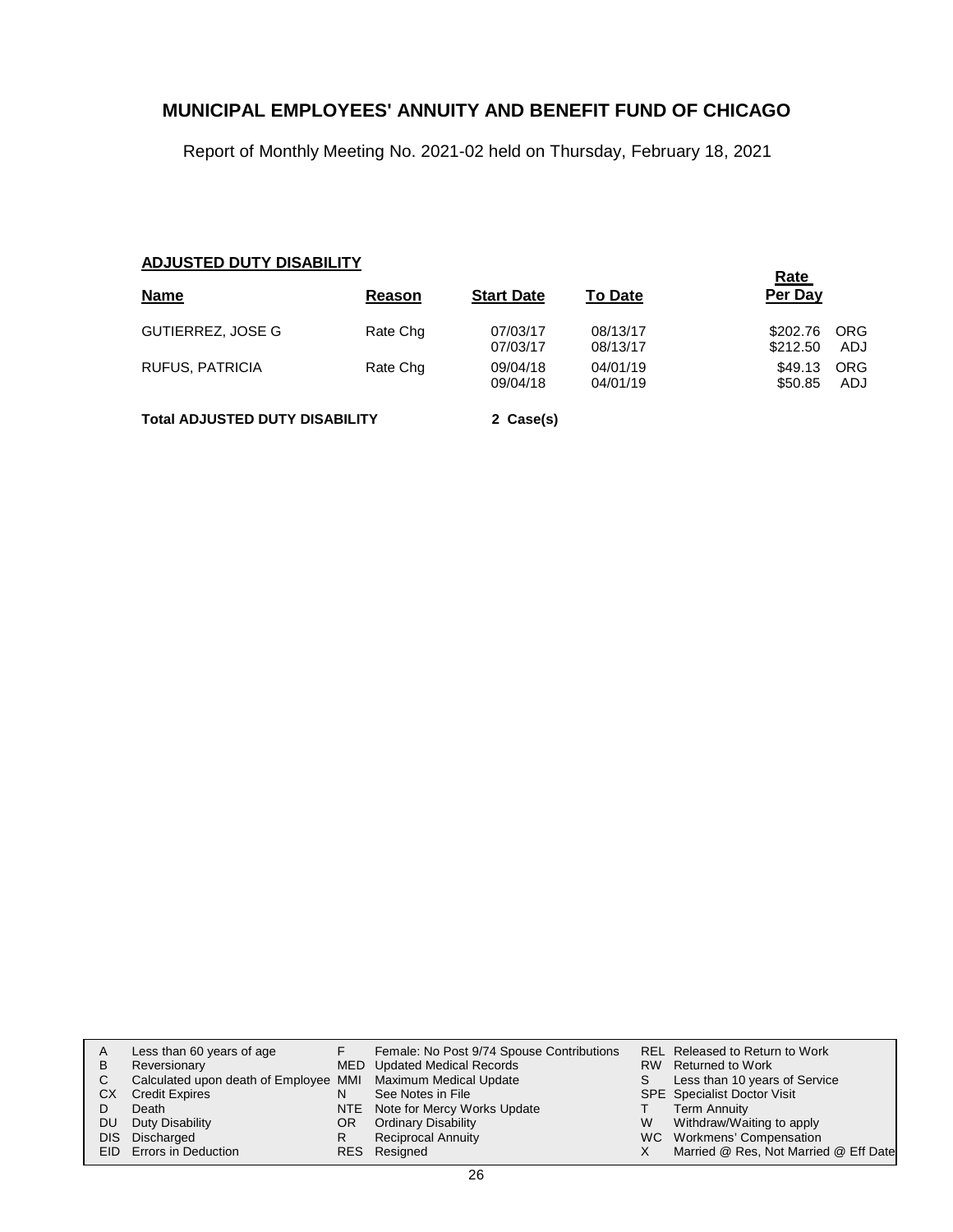Report of Monthly Meeting No. 2021-02 held on Thursday, February 18, 2021

### **ADJUSTED DUTY DISABILITY**

| <b>Name</b>              | Reason   | <b>Start Date</b>    | <b>To Date</b>       | <u>Rate</u><br>Per Day |                    |
|--------------------------|----------|----------------------|----------------------|------------------------|--------------------|
| <b>GUTIERREZ, JOSE G</b> | Rate Chg | 07/03/17<br>07/03/17 | 08/13/17<br>08/13/17 | \$202.76<br>\$212.50   | <b>ORG</b><br>ADJ  |
| RUFUS, PATRICIA          | Rate Chg | 09/04/18<br>09/04/18 | 04/01/19<br>04/01/19 | \$49.13<br>\$50.85     | <b>ORG</b><br>ADJ. |

**Total ADJUSTED DUTY DISABILITY 2 Case(s)**

| A<br>B | Less than 60 years of age                                    |     | Female: No Post 9/74 Spouse Contributions |   | <b>REL Released to Return to Work</b><br>RW Returned to Work |
|--------|--------------------------------------------------------------|-----|-------------------------------------------|---|--------------------------------------------------------------|
|        | Reversionary                                                 |     | MED Updated Medical Records               |   |                                                              |
|        | Calculated upon death of Employee MMI Maximum Medical Update |     |                                           |   | Less than 10 years of Service                                |
| СX     | <b>Credit Expires</b>                                        |     | See Notes in File                         |   | <b>SPE</b> Specialist Doctor Visit                           |
|        | Death                                                        |     | NTE Note for Mercy Works Update           |   | <b>Term Annuity</b>                                          |
| DU.    | Duty Disability                                              | OR. | <b>Ordinary Disability</b>                | W | Withdraw/Waiting to apply                                    |
|        | DIS Discharged                                               |     | <b>Reciprocal Annuity</b>                 |   | WC Workmens' Compensation                                    |
|        | EID Errors in Deduction                                      |     | RES Resigned                              |   | Married @ Res, Not Married @ Eff Date                        |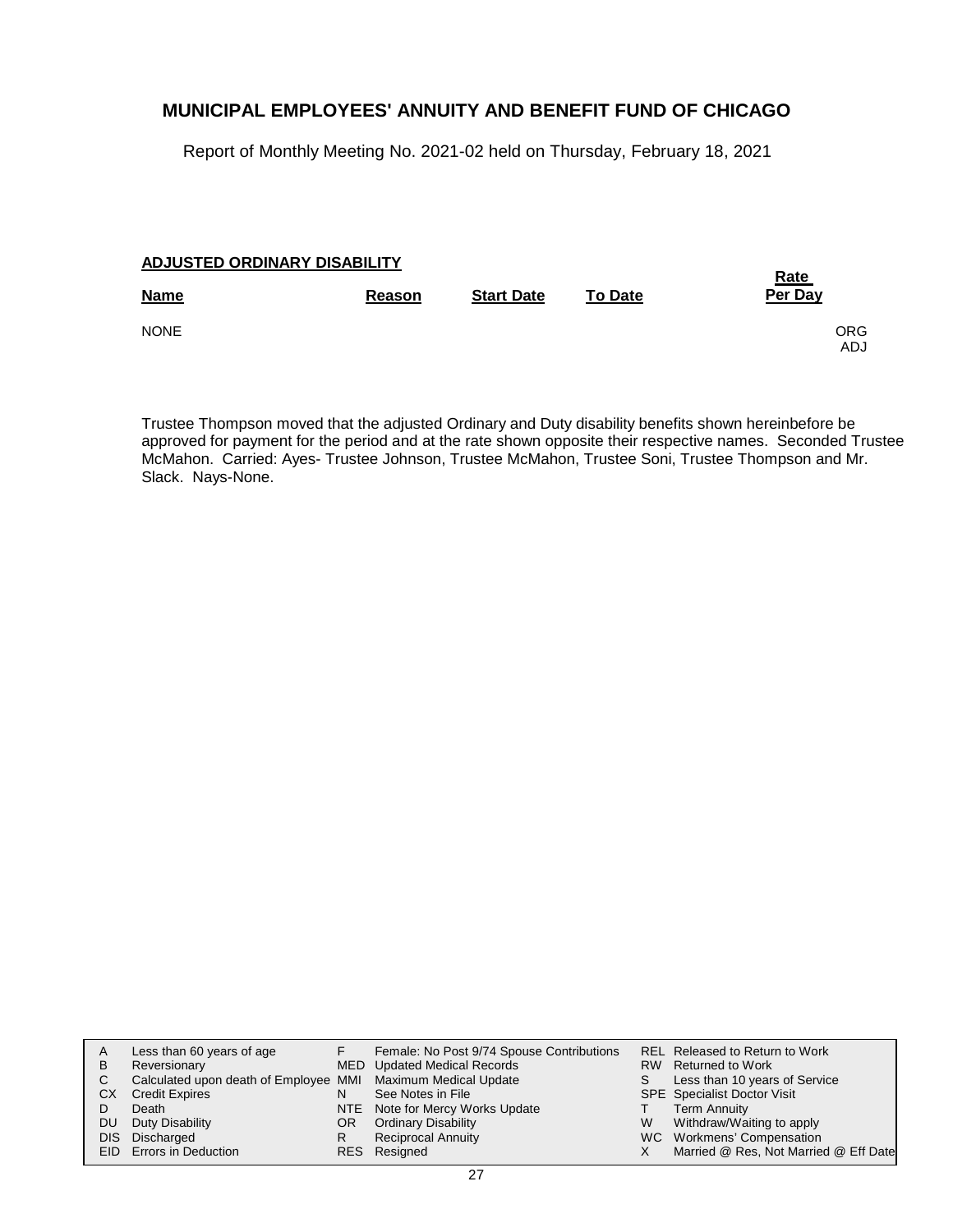Report of Monthly Meeting No. 2021-02 held on Thursday, February 18, 2021

### **ADJUSTED ORDINARY DISABILITY**

| <b>Name</b> | Reason | <b>Start Date</b> | <b>To Date</b> | <u>Rate</u><br>Per Day |
|-------------|--------|-------------------|----------------|------------------------|
| <b>NONE</b> |        |                   |                | <b>ORG</b><br>ADJ      |

Trustee Thompson moved that the adjusted Ordinary and Duty disability benefits shown hereinbefore be approved for payment for the period and at the rate shown opposite their respective names. Seconded Trustee McMahon. Carried: Ayes- Trustee Johnson, Trustee McMahon, Trustee Soni, Trustee Thompson and Mr. Slack. Nays-None.

| A   | Less than 60 years of age                                    |     | Female: No Post 9/74 Spouse Contributions |   | REL Released to Return to Work        |
|-----|--------------------------------------------------------------|-----|-------------------------------------------|---|---------------------------------------|
| B   | Reversionary                                                 |     | MED Updated Medical Records               |   | RW Returned to Work                   |
| C.  | Calculated upon death of Employee MMI Maximum Medical Update |     |                                           |   | Less than 10 years of Service         |
| СX  | <b>Credit Expires</b>                                        |     | See Notes in File                         |   | <b>SPE</b> Specialist Doctor Visit    |
|     | Death                                                        |     | NTE Note for Mercy Works Update           |   | <b>Term Annuity</b>                   |
| DU. | Duty Disability                                              | OR. | <b>Ordinary Disability</b>                | W | Withdraw/Waiting to apply             |
|     | DIS Discharged                                               | R.  | <b>Reciprocal Annuity</b>                 |   | WC Workmens' Compensation             |
|     | EID Errors in Deduction                                      |     | RES Resigned                              |   | Married @ Res, Not Married @ Eff Date |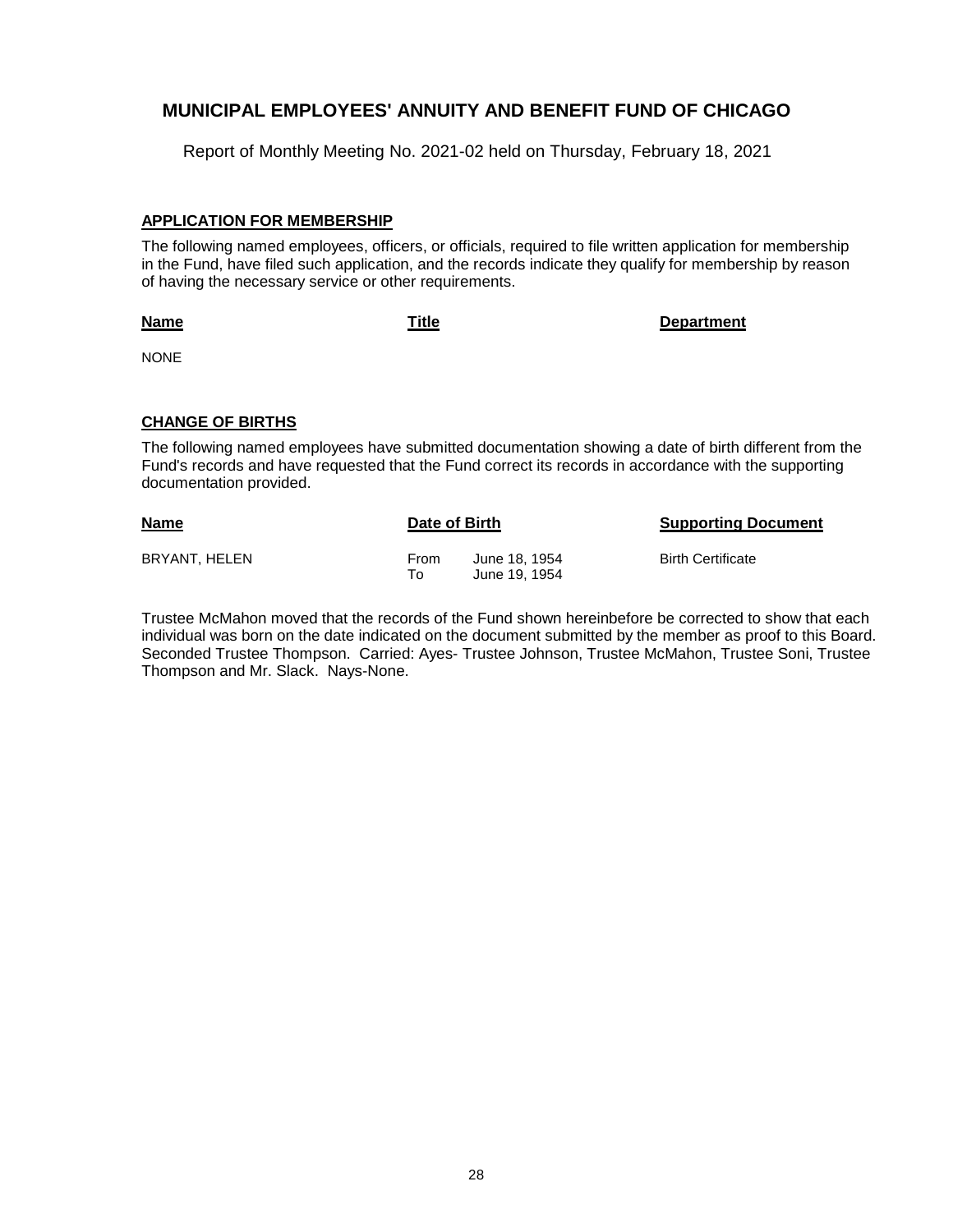Report of Monthly Meeting No. 2021-02 held on Thursday, February 18, 2021

#### **APPLICATION FOR MEMBERSHIP**

The following named employees, officers, or officials, required to file written application for membership in the Fund, have filed such application, and the records indicate they qualify for membership by reason of having the necessary service or other requirements.

**Name**

**Title Department**

NONE

#### **CHANGE OF BIRTHS**

The following named employees have submitted documentation showing a date of birth different from the Fund's records and have requested that the Fund correct its records in accordance with the supporting documentation provided.

| <b>Name</b>   | Date of Birth       |                                | <b>Supporting Document</b> |
|---------------|---------------------|--------------------------------|----------------------------|
| BRYANT, HELEN | <b>From</b><br>To I | June 18, 1954<br>June 19, 1954 | <b>Birth Certificate</b>   |

Trustee McMahon moved that the records of the Fund shown hereinbefore be corrected to show that each individual was born on the date indicated on the document submitted by the member as proof to this Board. Seconded Trustee Thompson. Carried: Ayes- Trustee Johnson, Trustee McMahon, Trustee Soni, Trustee Thompson and Mr. Slack. Nays-None.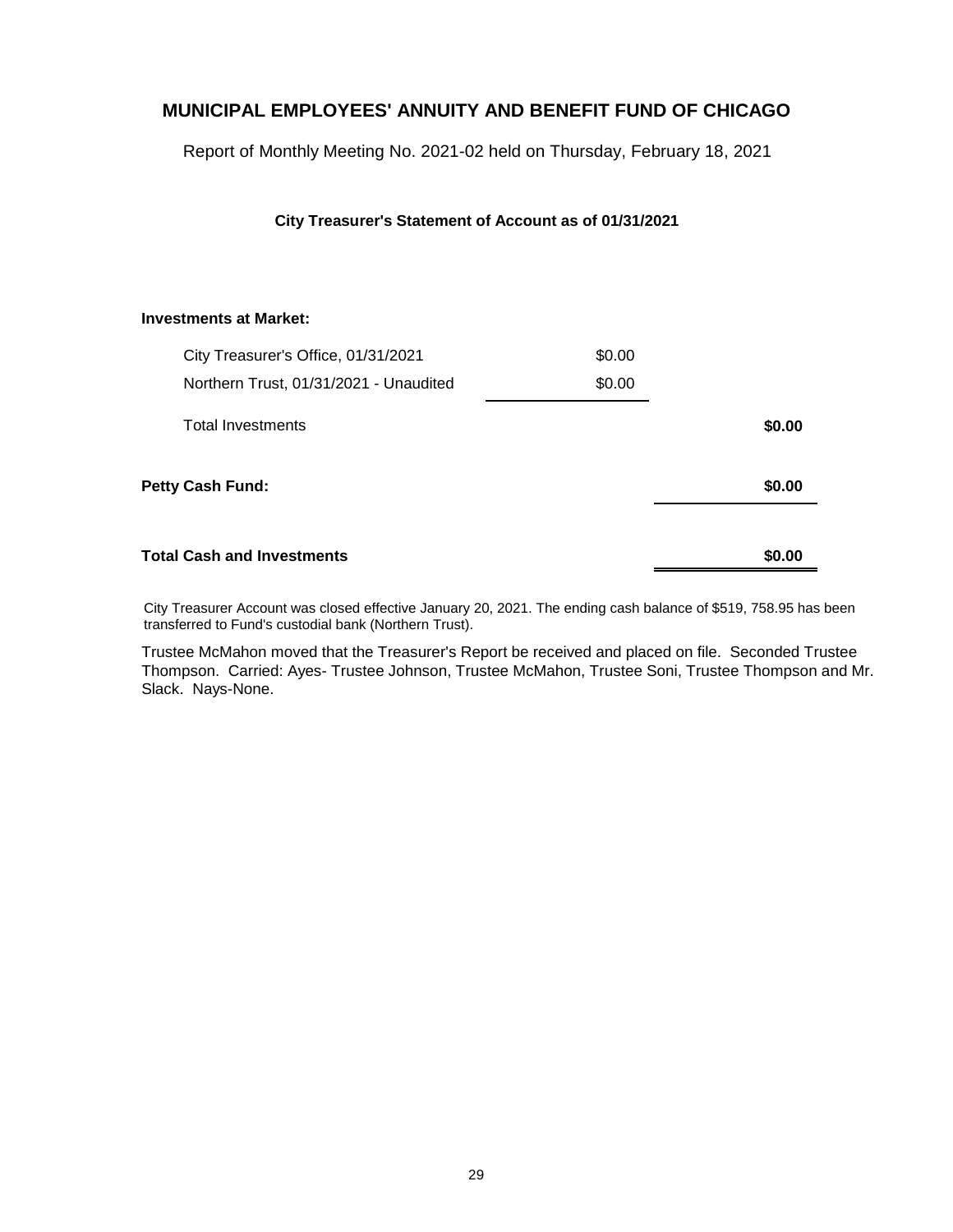Report of Monthly Meeting No. 2021-02 held on Thursday, February 18, 2021

### **City Treasurer's Statement of Account as of 01/31/2021**

#### **Investments at Market:**

| City Treasurer's Office, 01/31/2021    | \$0.00 |        |
|----------------------------------------|--------|--------|
| Northern Trust, 01/31/2021 - Unaudited | \$0.00 |        |
| Total Investments                      |        | \$0.00 |
| Petty Cash Fund:                       |        | \$0.00 |
| <b>Total Cash and Investments</b>      |        | \$0.00 |

City Treasurer Account was closed effective January 20, 2021. The ending cash balance of \$519, 758.95 has been transferred to Fund's custodial bank (Northern Trust).

Trustee McMahon moved that the Treasurer's Report be received and placed on file. Seconded Trustee Thompson. Carried: Ayes- Trustee Johnson, Trustee McMahon, Trustee Soni, Trustee Thompson and Mr. Slack. Nays-None.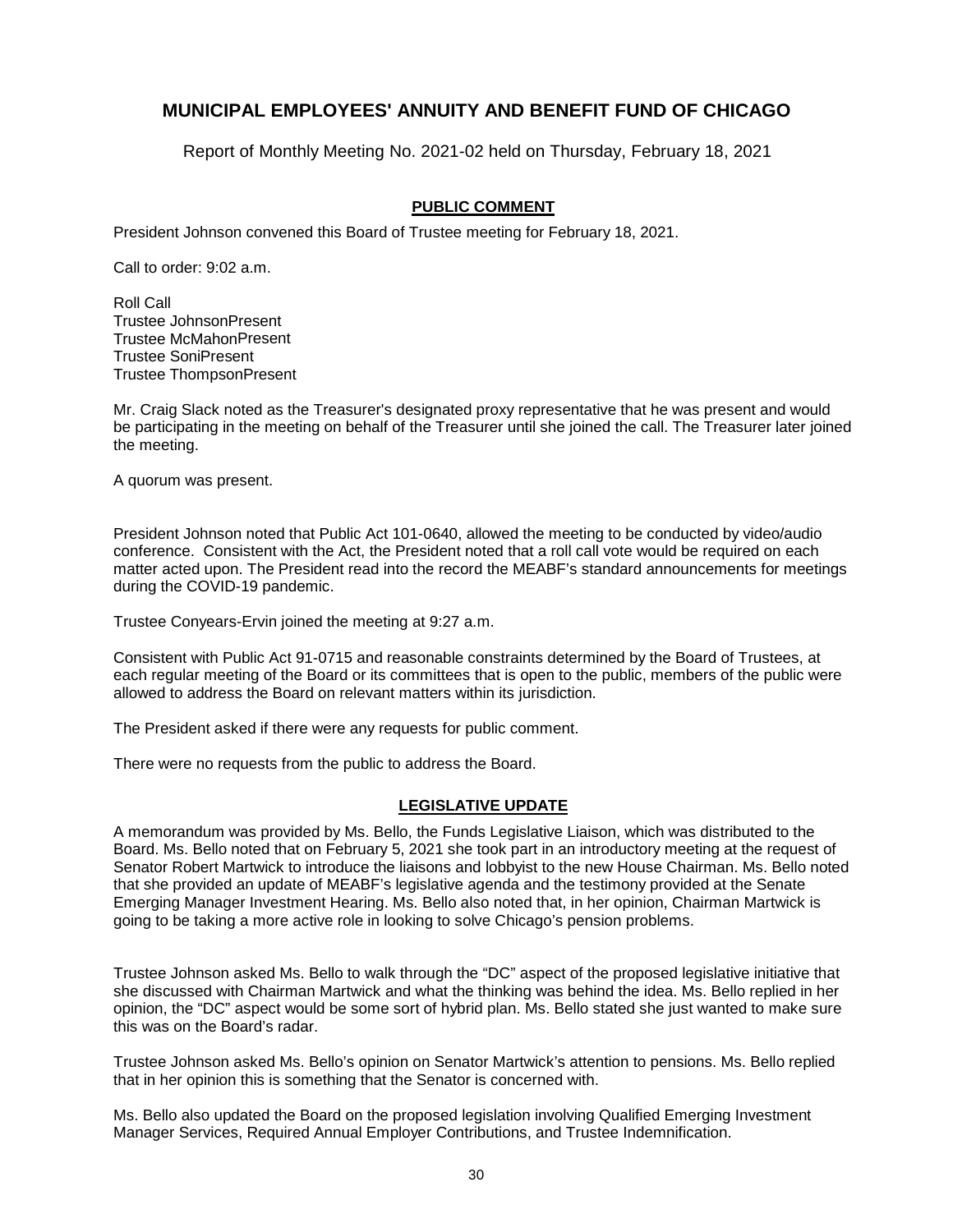Report of Monthly Meeting No. 2021-02 held on Thursday, February 18, 2021

### **PUBLIC COMMENT**

President Johnson convened this Board of Trustee meeting for February 18, 2021.

Call to order: 9:02 a.m.

Roll Call Trustee JohnsonPresent Trustee McMahonPresent Trustee SoniPresent Trustee ThompsonPresent

Mr. Craig Slack noted as the Treasurer's designated proxy representative that he was present and would be participating in the meeting on behalf of the Treasurer until she joined the call. The Treasurer later joined the meeting.

A quorum was present.

President Johnson noted that Public Act 101-0640, allowed the meeting to be conducted by video/audio conference. Consistent with the Act, the President noted that a roll call vote would be required on each matter acted upon. The President read into the record the MEABF's standard announcements for meetings during the COVID-19 pandemic.

Trustee Conyears-Ervin joined the meeting at 9:27 a.m.

Consistent with Public Act 91-0715 and reasonable constraints determined by the Board of Trustees, at each regular meeting of the Board or its committees that is open to the public, members of the public were allowed to address the Board on relevant matters within its jurisdiction.

The President asked if there were any requests for public comment.

There were no requests from the public to address the Board.

#### **LEGISLATIVE UPDATE**

A memorandum was provided by Ms. Bello, the Funds Legislative Liaison, which was distributed to the Board. Ms. Bello noted that on February 5, 2021 she took part in an introductory meeting at the request of Senator Robert Martwick to introduce the liaisons and lobbyist to the new House Chairman. Ms. Bello noted that she provided an update of MEABF's legislative agenda and the testimony provided at the Senate Emerging Manager Investment Hearing. Ms. Bello also noted that, in her opinion, Chairman Martwick is going to be taking a more active role in looking to solve Chicago's pension problems.

Trustee Johnson asked Ms. Bello to walk through the "DC" aspect of the proposed legislative initiative that she discussed with Chairman Martwick and what the thinking was behind the idea. Ms. Bello replied in her opinion, the "DC" aspect would be some sort of hybrid plan. Ms. Bello stated she just wanted to make sure this was on the Board's radar.

Trustee Johnson asked Ms. Bello's opinion on Senator Martwick's attention to pensions. Ms. Bello replied that in her opinion this is something that the Senator is concerned with.

Ms. Bello also updated the Board on the proposed legislation involving Qualified Emerging Investment Manager Services, Required Annual Employer Contributions, and Trustee Indemnification.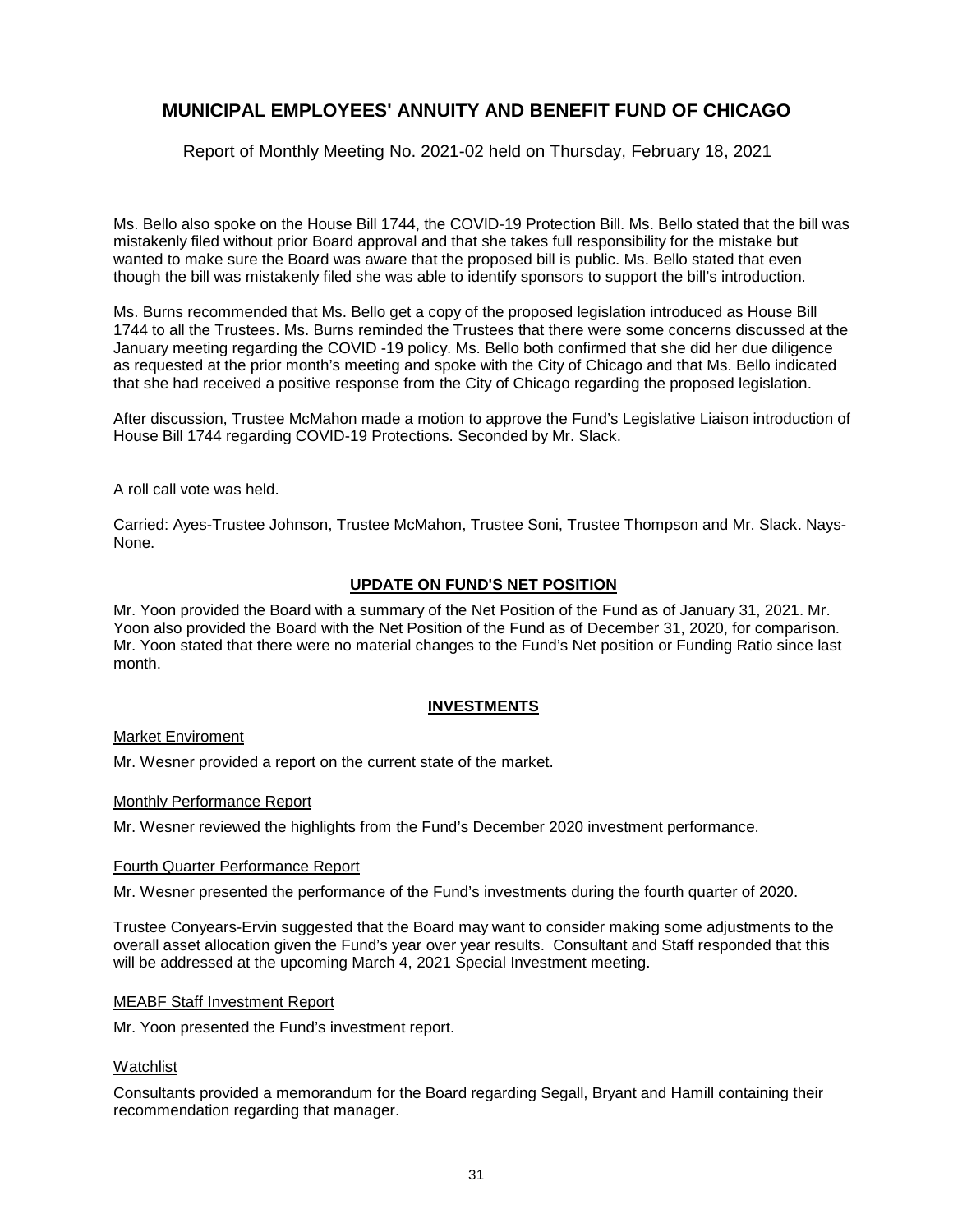Report of Monthly Meeting No. 2021-02 held on Thursday, February 18, 2021

Ms. Bello also spoke on the House Bill 1744, the COVID-19 Protection Bill. Ms. Bello stated that the bill was mistakenly filed without prior Board approval and that she takes full responsibility for the mistake but wanted to make sure the Board was aware that the proposed bill is public. Ms. Bello stated that even though the bill was mistakenly filed she was able to identify sponsors to support the bill's introduction.

Ms. Burns recommended that Ms. Bello get a copy of the proposed legislation introduced as House Bill 1744 to all the Trustees. Ms. Burns reminded the Trustees that there were some concerns discussed at the January meeting regarding the COVID -19 policy. Ms. Bello both confirmed that she did her due diligence as requested at the prior month's meeting and spoke with the City of Chicago and that Ms. Bello indicated that she had received a positive response from the City of Chicago regarding the proposed legislation.

After discussion, Trustee McMahon made a motion to approve the Fund's Legislative Liaison introduction of House Bill 1744 regarding COVID-19 Protections. Seconded by Mr. Slack.

A roll call vote was held.

Carried: Ayes-Trustee Johnson, Trustee McMahon, Trustee Soni, Trustee Thompson and Mr. Slack. Nays-None.

### **UPDATE ON FUND'S NET POSITION**

Mr. Yoon provided the Board with a summary of the Net Position of the Fund as of January 31, 2021. Mr. Yoon also provided the Board with the Net Position of the Fund as of December 31, 2020, for comparison. Mr. Yoon stated that there were no material changes to the Fund's Net position or Funding Ratio since last month.

### **INVESTMENTS**

#### Market Enviroment

Mr. Wesner provided a report on the current state of the market.

#### Monthly Performance Report

Mr. Wesner reviewed the highlights from the Fund's December 2020 investment performance.

#### Fourth Quarter Performance Report

Mr. Wesner presented the performance of the Fund's investments during the fourth quarter of 2020.

Trustee Conyears-Ervin suggested that the Board may want to consider making some adjustments to the overall asset allocation given the Fund's year over year results. Consultant and Staff responded that this will be addressed at the upcoming March 4, 2021 Special Investment meeting.

#### MEABF Staff Investment Report

Mr. Yoon presented the Fund's investment report.

#### Watchlist

Consultants provided a memorandum for the Board regarding Segall, Bryant and Hamill containing their recommendation regarding that manager.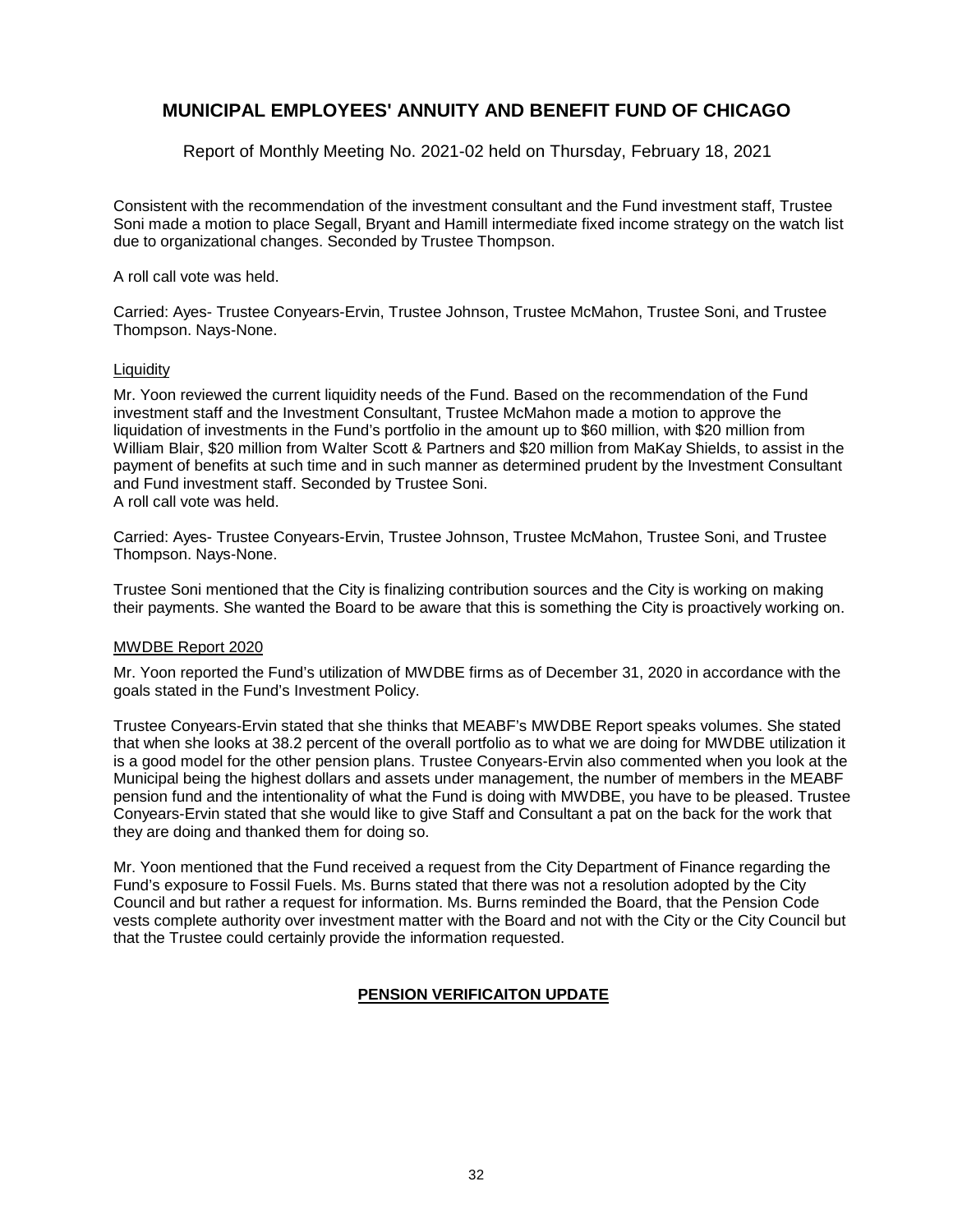Report of Monthly Meeting No. 2021-02 held on Thursday, February 18, 2021

Consistent with the recommendation of the investment consultant and the Fund investment staff, Trustee Soni made a motion to place Segall, Bryant and Hamill intermediate fixed income strategy on the watch list due to organizational changes. Seconded by Trustee Thompson.

A roll call vote was held.

Carried: Ayes- Trustee Conyears-Ervin, Trustee Johnson, Trustee McMahon, Trustee Soni, and Trustee Thompson. Nays-None.

### Liquidity

Mr. Yoon reviewed the current liquidity needs of the Fund. Based on the recommendation of the Fund investment staff and the Investment Consultant, Trustee McMahon made a motion to approve the liquidation of investments in the Fund's portfolio in the amount up to \$60 million, with \$20 million from William Blair, \$20 million from Walter Scott & Partners and \$20 million from MaKay Shields, to assist in the payment of benefits at such time and in such manner as determined prudent by the Investment Consultant and Fund investment staff. Seconded by Trustee Soni. A roll call vote was held.

Carried: Ayes- Trustee Conyears-Ervin, Trustee Johnson, Trustee McMahon, Trustee Soni, and Trustee Thompson. Nays-None.

Trustee Soni mentioned that the City is finalizing contribution sources and the City is working on making their payments. She wanted the Board to be aware that this is something the City is proactively working on.

#### MWDBE Report 2020

Mr. Yoon reported the Fund's utilization of MWDBE firms as of December 31, 2020 in accordance with the goals stated in the Fund's Investment Policy.

Trustee Conyears-Ervin stated that she thinks that MEABF's MWDBE Report speaks volumes. She stated that when she looks at 38.2 percent of the overall portfolio as to what we are doing for MWDBE utilization it is a good model for the other pension plans. Trustee Conyears-Ervin also commented when you look at the Municipal being the highest dollars and assets under management, the number of members in the MEABF pension fund and the intentionality of what the Fund is doing with MWDBE, you have to be pleased. Trustee Conyears-Ervin stated that she would like to give Staff and Consultant a pat on the back for the work that they are doing and thanked them for doing so.

Mr. Yoon mentioned that the Fund received a request from the City Department of Finance regarding the Fund's exposure to Fossil Fuels. Ms. Burns stated that there was not a resolution adopted by the City Council and but rather a request for information. Ms. Burns reminded the Board, that the Pension Code vests complete authority over investment matter with the Board and not with the City or the City Council but that the Trustee could certainly provide the information requested.

### **PENSION VERIFICAITON UPDATE**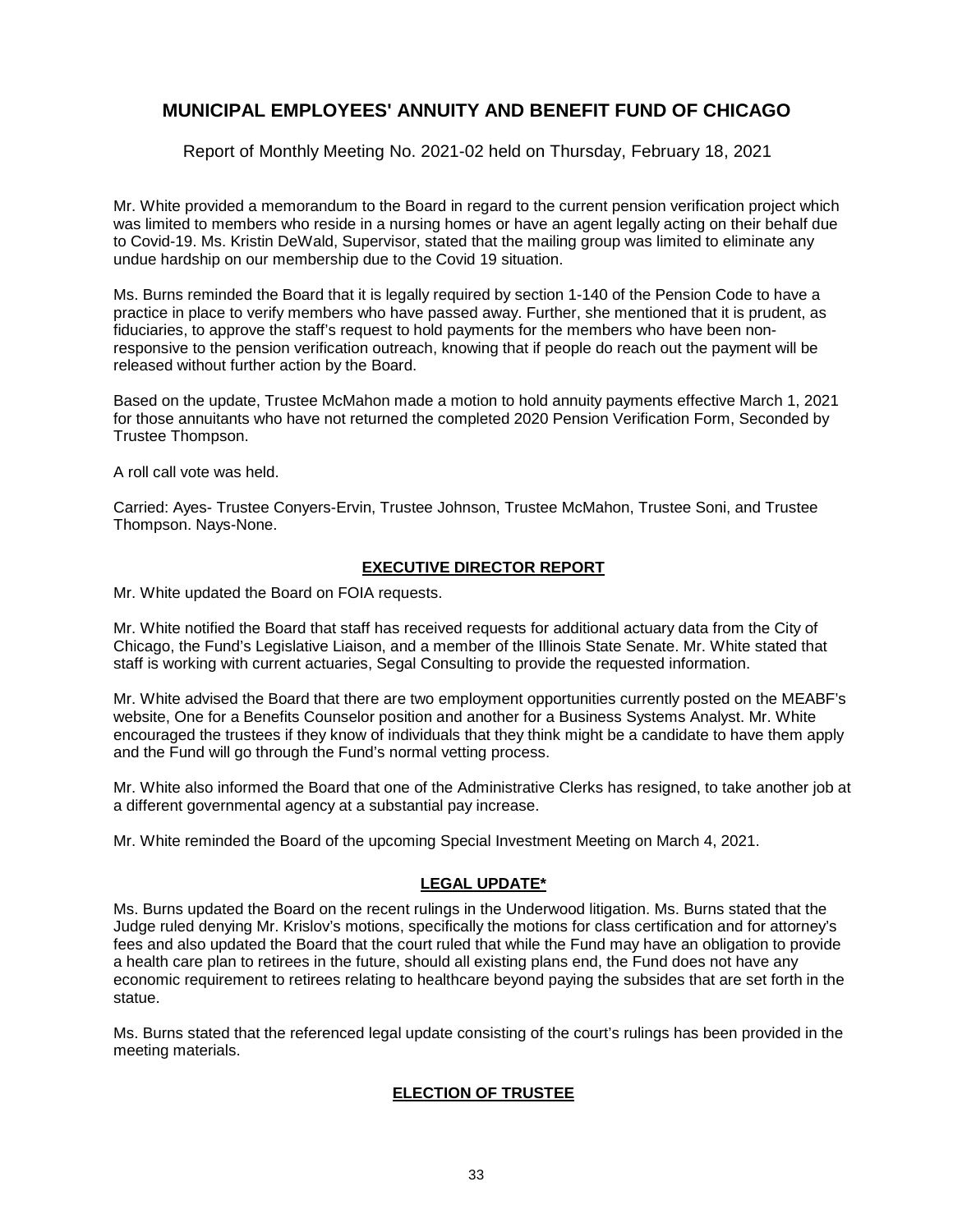Report of Monthly Meeting No. 2021-02 held on Thursday, February 18, 2021

Mr. White provided a memorandum to the Board in regard to the current pension verification project which was limited to members who reside in a nursing homes or have an agent legally acting on their behalf due to Covid-19. Ms. Kristin DeWald, Supervisor, stated that the mailing group was limited to eliminate any undue hardship on our membership due to the Covid 19 situation.

Ms. Burns reminded the Board that it is legally required by section 1-140 of the Pension Code to have a practice in place to verify members who have passed away. Further, she mentioned that it is prudent, as fiduciaries, to approve the staff's request to hold payments for the members who have been nonresponsive to the pension verification outreach, knowing that if people do reach out the payment will be released without further action by the Board.

Based on the update, Trustee McMahon made a motion to hold annuity payments effective March 1, 2021 for those annuitants who have not returned the completed 2020 Pension Verification Form, Seconded by Trustee Thompson.

A roll call vote was held.

Carried: Ayes- Trustee Conyers-Ervin, Trustee Johnson, Trustee McMahon, Trustee Soni, and Trustee Thompson. Nays-None.

### **EXECUTIVE DIRECTOR REPORT**

Mr. White updated the Board on FOIA requests.

Mr. White notified the Board that staff has received requests for additional actuary data from the City of Chicago, the Fund's Legislative Liaison, and a member of the Illinois State Senate. Mr. White stated that staff is working with current actuaries, Segal Consulting to provide the requested information.

Mr. White advised the Board that there are two employment opportunities currently posted on the MEABF's website, One for a Benefits Counselor position and another for a Business Systems Analyst. Mr. White encouraged the trustees if they know of individuals that they think might be a candidate to have them apply and the Fund will go through the Fund's normal vetting process.

Mr. White also informed the Board that one of the Administrative Clerks has resigned, to take another job at a different governmental agency at a substantial pay increase.

Mr. White reminded the Board of the upcoming Special Investment Meeting on March 4, 2021.

#### **LEGAL UPDATE\***

Ms. Burns updated the Board on the recent rulings in the Underwood litigation. Ms. Burns stated that the Judge ruled denying Mr. Krislov's motions, specifically the motions for class certification and for attorney's fees and also updated the Board that the court ruled that while the Fund may have an obligation to provide a health care plan to retirees in the future, should all existing plans end, the Fund does not have any economic requirement to retirees relating to healthcare beyond paying the subsides that are set forth in the statue.

Ms. Burns stated that the referenced legal update consisting of the court's rulings has been provided in the meeting materials.

### **ELECTION OF TRUSTEE**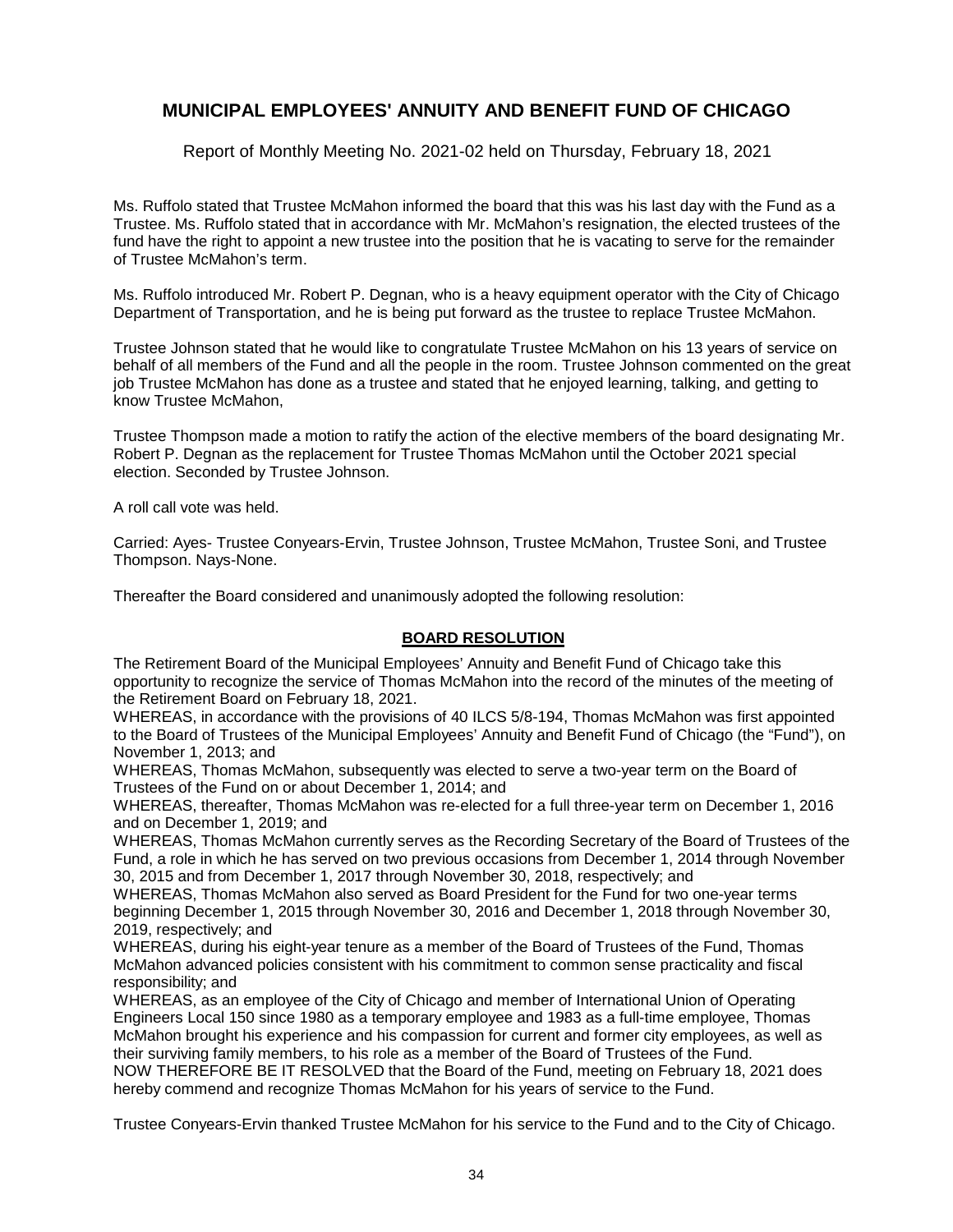Report of Monthly Meeting No. 2021-02 held on Thursday, February 18, 2021

Ms. Ruffolo stated that Trustee McMahon informed the board that this was his last day with the Fund as a Trustee. Ms. Ruffolo stated that in accordance with Mr. McMahon's resignation, the elected trustees of the fund have the right to appoint a new trustee into the position that he is vacating to serve for the remainder of Trustee McMahon's term.

Ms. Ruffolo introduced Mr. Robert P. Degnan, who is a heavy equipment operator with the City of Chicago Department of Transportation, and he is being put forward as the trustee to replace Trustee McMahon.

Trustee Johnson stated that he would like to congratulate Trustee McMahon on his 13 years of service on behalf of all members of the Fund and all the people in the room. Trustee Johnson commented on the great iob Trustee McMahon has done as a trustee and stated that he enjoyed learning, talking, and getting to know Trustee McMahon,

Trustee Thompson made a motion to ratify the action of the elective members of the board designating Mr. Robert P. Degnan as the replacement for Trustee Thomas McMahon until the October 2021 special election. Seconded by Trustee Johnson.

A roll call vote was held.

Carried: Ayes- Trustee Conyears-Ervin, Trustee Johnson, Trustee McMahon, Trustee Soni, and Trustee Thompson. Nays-None.

Thereafter the Board considered and unanimously adopted the following resolution:

#### **BOARD RESOLUTION**

The Retirement Board of the Municipal Employees' Annuity and Benefit Fund of Chicago take this opportunity to recognize the service of Thomas McMahon into the record of the minutes of the meeting of the Retirement Board on February 18, 2021.

WHEREAS, in accordance with the provisions of 40 ILCS 5/8-194, Thomas McMahon was first appointed to the Board of Trustees of the Municipal Employees' Annuity and Benefit Fund of Chicago (the "Fund"), on November 1, 2013; and

WHEREAS, Thomas McMahon, subsequently was elected to serve a two-year term on the Board of Trustees of the Fund on or about December 1, 2014; and

WHEREAS, thereafter, Thomas McMahon was re-elected for a full three-year term on December 1, 2016 and on December 1, 2019; and

WHEREAS, Thomas McMahon currently serves as the Recording Secretary of the Board of Trustees of the Fund, a role in which he has served on two previous occasions from December 1, 2014 through November 30, 2015 and from December 1, 2017 through November 30, 2018, respectively; and

WHEREAS, Thomas McMahon also served as Board President for the Fund for two one-year terms beginning December 1, 2015 through November 30, 2016 and December 1, 2018 through November 30, 2019, respectively; and

WHEREAS, during his eight-year tenure as a member of the Board of Trustees of the Fund, Thomas McMahon advanced policies consistent with his commitment to common sense practicality and fiscal responsibility; and

WHEREAS, as an employee of the City of Chicago and member of International Union of Operating Engineers Local 150 since 1980 as a temporary employee and 1983 as a full-time employee, Thomas McMahon brought his experience and his compassion for current and former city employees, as well as their surviving family members, to his role as a member of the Board of Trustees of the Fund. NOW THEREFORE BE IT RESOLVED that the Board of the Fund, meeting on February 18, 2021 does hereby commend and recognize Thomas McMahon for his years of service to the Fund.

Trustee Conyears-Ervin thanked Trustee McMahon for his service to the Fund and to the City of Chicago.